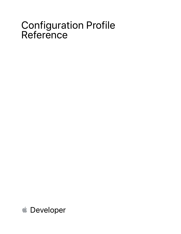# Configuration Profile Reference

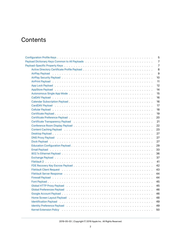# **Contents**

|                                                                                                                                                                                                                                | 5              |
|--------------------------------------------------------------------------------------------------------------------------------------------------------------------------------------------------------------------------------|----------------|
|                                                                                                                                                                                                                                | $\overline{7}$ |
|                                                                                                                                                                                                                                | 7              |
|                                                                                                                                                                                                                                | 8              |
|                                                                                                                                                                                                                                | 9              |
|                                                                                                                                                                                                                                | 10             |
|                                                                                                                                                                                                                                | 11             |
|                                                                                                                                                                                                                                | 12             |
|                                                                                                                                                                                                                                | 14             |
|                                                                                                                                                                                                                                | 15             |
|                                                                                                                                                                                                                                | 16             |
|                                                                                                                                                                                                                                | 16             |
|                                                                                                                                                                                                                                | 17             |
|                                                                                                                                                                                                                                | 18             |
|                                                                                                                                                                                                                                | 19             |
|                                                                                                                                                                                                                                | 20             |
|                                                                                                                                                                                                                                | 21             |
|                                                                                                                                                                                                                                | 22             |
|                                                                                                                                                                                                                                | 23             |
|                                                                                                                                                                                                                                | 27             |
|                                                                                                                                                                                                                                | 27             |
|                                                                                                                                                                                                                                | 27             |
|                                                                                                                                                                                                                                | 29             |
|                                                                                                                                                                                                                                | 33             |
|                                                                                                                                                                                                                                | 36             |
|                                                                                                                                                                                                                                | 37             |
|                                                                                                                                                                                                                                | 41             |
|                                                                                                                                                                                                                                | 42             |
|                                                                                                                                                                                                                                | 43             |
|                                                                                                                                                                                                                                | 44             |
|                                                                                                                                                                                                                                | 44             |
|                                                                                                                                                                                                                                | 45             |
|                                                                                                                                                                                                                                | 45             |
|                                                                                                                                                                                                                                | 46             |
|                                                                                                                                                                                                                                | 46             |
| Home Screen Layout Payload (and a server of the server of the server of the server of the server of the server                                                                                                                 | 48             |
| Identification Payload (ed. the context of the context of the context of the context of the context of the context of the context of the context of the context of the context of the context of the context of the context of | 49             |
|                                                                                                                                                                                                                                | 49             |
|                                                                                                                                                                                                                                | 50             |

2019-05-03 | Copyright © 2019 Apple Inc. All Rights Reserved.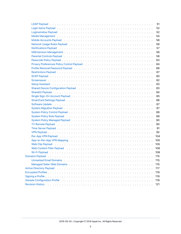|                                                                                                                                                                                                                                | 51  |
|--------------------------------------------------------------------------------------------------------------------------------------------------------------------------------------------------------------------------------|-----|
|                                                                                                                                                                                                                                | 52  |
|                                                                                                                                                                                                                                | 52  |
| Media Management (Alberts Lessers Lessers Lessers Lessers Lessers Lessers Lessers Lessers Les                                                                                                                                  | 54  |
|                                                                                                                                                                                                                                | 56  |
|                                                                                                                                                                                                                                | 56  |
| Notifications Payload (and a series are contained a series and a series are contained as $\mathsf{P}$                                                                                                                          | 57  |
|                                                                                                                                                                                                                                | 58  |
| Parental Controls Payload entertainment and the control of the control of the control of the control of the control of the control of the control of the control of the control of the control of the control of the control o | 58  |
|                                                                                                                                                                                                                                | 63  |
|                                                                                                                                                                                                                                | 64  |
|                                                                                                                                                                                                                                | 66  |
|                                                                                                                                                                                                                                | 67  |
|                                                                                                                                                                                                                                | 80  |
|                                                                                                                                                                                                                                | 82  |
|                                                                                                                                                                                                                                | 83  |
|                                                                                                                                                                                                                                | 83  |
|                                                                                                                                                                                                                                | 84  |
|                                                                                                                                                                                                                                | 85  |
|                                                                                                                                                                                                                                | 86  |
|                                                                                                                                                                                                                                | 87  |
|                                                                                                                                                                                                                                | 87  |
|                                                                                                                                                                                                                                | 88  |
|                                                                                                                                                                                                                                | 88  |
|                                                                                                                                                                                                                                | 90  |
| TV Remote Payload (and a series are contained as a series and a series are contained as $\mathbb{R}^n$                                                                                                                         | 90  |
|                                                                                                                                                                                                                                | 91  |
|                                                                                                                                                                                                                                | 92  |
|                                                                                                                                                                                                                                | 104 |
|                                                                                                                                                                                                                                | 105 |
|                                                                                                                                                                                                                                | 105 |
| Web Content Filter Payload (ed. to a content of the content of the content of the content of the content of the content of the content of the content of the content of the content of the content of the content of the conte | 106 |
|                                                                                                                                                                                                                                | 108 |
|                                                                                                                                                                                                                                | 115 |
|                                                                                                                                                                                                                                | 115 |
|                                                                                                                                                                                                                                | 115 |
|                                                                                                                                                                                                                                | 117 |
|                                                                                                                                                                                                                                | 119 |
|                                                                                                                                                                                                                                | 119 |
| Sample Configuration Profile enterpreteration of the content of the content of the content of the content of the content of the content of the content of the content of the content of the content of the content of the cont | 119 |
|                                                                                                                                                                                                                                | 121 |
|                                                                                                                                                                                                                                |     |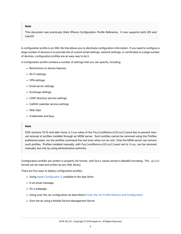#### **Note**

This document was previously titled *iPhone Configuration Profile Reference*. It now supports both iOS and macOS.

A configuration profile is an XML file that allows you to distribute configuration information. If you need to configure a large number of devices or to provide lots of custom email settings, network settings, or certificates to a large number of devices, configuration profiles are an easy way to do it.

A configuration profile contains a number of settings that you can specify, including:

- Restrictions on device features
- Wi-Fi settings
- VPN settings
- Email server settings
- Exchange settings
- LDAP directory service settings
- CalDAV calendar service settings
- Web clips
- Credentials and keys

#### **Note**

OSX versions 10.10 and later honor a true value of the PayloadRemovalDisallowed key to prevent manual removal of profiles installed through an MDM server. Such profiles cannot be removed using the Profiles preference pane, nor the profiles command line tool even when run as root. Only the MDM server can remove such profiles. Profiles installed manually, with PayloadRemovalDisallowed set to true, can be removed manually, but only by using administrative authority.

Configuration profiles are written in property list format, with Data values stored in Base64 encoding. The .plist format can be read and written by any XML library.

There are five ways to deploy configuration profiles:

- Using [Apple Configurator 2](https://itunes.apple.com/us/app/apple-configurator-2/id1037126344?mt=12), available in the App Store
- In an email message
- On a webpage
- Using over-the-air configuration as described in [Over-the-Air Profile Delivery and Configuration](https://developer.apple.com/library/archive/documentation/NetworkingInternet/Conceptual/iPhoneOTAConfiguration/Introduction/Introduction.html#//apple_ref/doc/uid/TP40009505)
- Over the air using a Mobile Device Management Server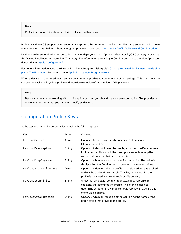#### **Note**

Profile installation fails when the device is locked with a passcode.

Both iOS and macOS support using encryption to protect the contents of profiles. Profiles can also be signed to guarantee data integrity. To learn about encrypted profile delivery, read [Over-the-Air Profile Delivery and Configuration](https://developer.apple.com/library/archive/documentation/NetworkingInternet/Conceptual/iPhoneOTAConfiguration/Introduction/Introduction.html#//apple_ref/doc/uid/TP40009505).

Devices can be supervised when preparing them for deployment with Apple Configurator 2 (iOS 5 or later) or by using the Device Enrollment Program (iOS 7 or later). For information about Apple Configurator, go to the Mac App Store description at [Apple Configurator 2.](https://itunes.apple.com/us/app/apple-configurator-2/id1037126344?mt=12)

For general information about the Device Enrollment Program, visit Apple's [Corporate-owned deployments made sim](http://www.apple.com/business/dep/)[ple](http://www.apple.com/business/dep/) or [IT in Education.](https://www.apple.com/education/it/) For details, go to [Apple Deployment Programs Help.](http://help.apple.com/deployment/programs/)

When a device is supervised, you can use configuration profiles to control many of its settings. This document describes the available keys in a profile and provides examples of the resulting XML payloads.

#### **Note**

Before you get started working with configuration profiles, you should create a skeleton profile. This provides a useful starting point that you can then modify as desired.

### <span id="page-4-0"></span>Configuration Profile Keys

At the top level, a profile property list contains the following keys:

| Content<br>Key<br><b>Type</b> |                                                                                                                                                                                                                     |
|-------------------------------|---------------------------------------------------------------------------------------------------------------------------------------------------------------------------------------------------------------------|
| PayloadContent<br>Array       | Optional. Array of payload dictionaries. Not present if<br>IsEncrypted is true.                                                                                                                                     |
| PayloadDescription<br>String  | Optional. A description of the profile, shown on the Detail screen<br>for the profile. This should be descriptive enough to help the<br>user decide whether to install the profile.                                 |
| PayloadDisplayName<br>String  | Optional. A human-readable name for the profile. This value is<br>displayed on the Detail screen. It does not have to be unique.                                                                                    |
| PayloadExpirationDate<br>Date | Optional. A date on which a profile is considered to have expired<br>and can be updated over the air. This key is only used if the<br>profile is delivered via over-the-air profile delivery.                       |
| PayloadIdentifier<br>String   | A reverse-DNS style identifier (com.example.myprofile, for<br>example) that identifies the profile. This string is used to<br>determine whether a new profile should replace an existing one<br>or should be added. |
| PayloadOrganization<br>String | Optional. A human-readable string containing the name of the<br>organization that provided the profile.                                                                                                             |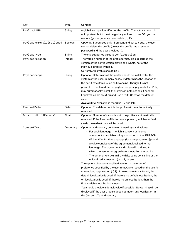| Key                      | Type           | Content                                                                                                                                                                                                                                                                                                                                                                                                                                                                                                                                                                                                                                                                                                                                                                                                                                                                                                                                                                                                                                                                                         |
|--------------------------|----------------|-------------------------------------------------------------------------------------------------------------------------------------------------------------------------------------------------------------------------------------------------------------------------------------------------------------------------------------------------------------------------------------------------------------------------------------------------------------------------------------------------------------------------------------------------------------------------------------------------------------------------------------------------------------------------------------------------------------------------------------------------------------------------------------------------------------------------------------------------------------------------------------------------------------------------------------------------------------------------------------------------------------------------------------------------------------------------------------------------|
| PayloadUUID              | String         | A globally unique identifier for the profile. The actual content is<br>unimportant, but it must be globally unique. In macOS, you can<br>use uuidgen to generate reasonable UUIDs.                                                                                                                                                                                                                                                                                                                                                                                                                                                                                                                                                                                                                                                                                                                                                                                                                                                                                                              |
| PayloadRemovalDisallowed | <b>Boolean</b> | Optional. Supervised only. If present and set to true, the user<br>cannot delete the profile (unless the profile has a removal<br>password and the user provides it).                                                                                                                                                                                                                                                                                                                                                                                                                                                                                                                                                                                                                                                                                                                                                                                                                                                                                                                           |
| PayloadType              | String         | The only supported value is Configuration.                                                                                                                                                                                                                                                                                                                                                                                                                                                                                                                                                                                                                                                                                                                                                                                                                                                                                                                                                                                                                                                      |
| PayloadVersion           | Integer        | The version number of the profile format. This describes the<br>version of the configuration profile as a whole, not of the<br>individual profiles within it.<br>Currently, this value should be 1.                                                                                                                                                                                                                                                                                                                                                                                                                                                                                                                                                                                                                                                                                                                                                                                                                                                                                             |
| PayloadScope             | String         | Optional. Determines if the profile should be installed for the<br>system or the user. In many cases, it determines the location of<br>the certificate items, such as keychains. Though it is not<br>possible to declare different payload scopes, payloads, like VPN,<br>may automatically install their items in both scopes if needed.<br>Legal values are System and User, with User as the default<br>value.<br>Availability: Available in macOS 10.7 and later.                                                                                                                                                                                                                                                                                                                                                                                                                                                                                                                                                                                                                           |
| RemovalDate              | Date           | Optional. The date on which the profile will be automatically<br>removed.                                                                                                                                                                                                                                                                                                                                                                                                                                                                                                                                                                                                                                                                                                                                                                                                                                                                                                                                                                                                                       |
| DurationUntilRemoval     | Float          | Optional. Number of seconds until the profile is automatically<br>removed. If the RemovalDate keys is present, whichever field<br>yields the earliest date will be used.                                                                                                                                                                                                                                                                                                                                                                                                                                                                                                                                                                                                                                                                                                                                                                                                                                                                                                                        |
| ConsentText              | Dictionary     | Optional. A dictionary containing these keys and values:<br>• For each language in which a consent or license<br>agreement is available, a key consisting of the IETF BCP<br>47 identifier for that language (for example, en or jp) and<br>a value consisting of the agreement localized to that<br>language. The agreement is displayed in a dialog to<br>which the user must agree before installing the profile.<br>• The optional key default with its value consisting of the<br>unlocalized agreement (usually in en).<br>The system chooses a localized version in the order of<br>preference specified by the user (macOS) or based on the user's<br>current language setting (iOS). If no exact match is found, the<br>default localization is used. If there is no default localization, the<br>en localization is used. If there is no en localization, then the<br>first available localization is used.<br>You should provide a default value if possible. No warning will be<br>displayed if the user's locale does not match any localization in<br>the ConsentText dictionary. |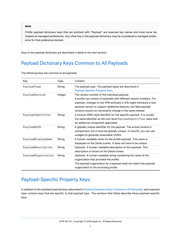#### **Note**

Profile payload dictionary keys that are prefixed with "Payload" are reserved key names and must never be treated as managed preferences. Any other key in the payload dictionary may be considered a managed preference for that preference domain.

<span id="page-6-4"></span>Keys in the payload dictionary are described in detail in the next section.

# <span id="page-6-0"></span>Payload Dictionary Keys Common to All Payloads

| The following keys are common to all payloads: |  |  |
|------------------------------------------------|--|--|
|                                                |  |  |

| Key                 | Type    | Content                                                                                                                                                                                                                                                                                                                       |
|---------------------|---------|-------------------------------------------------------------------------------------------------------------------------------------------------------------------------------------------------------------------------------------------------------------------------------------------------------------------------------|
| PayloadType         | String  | The payload type. The payload types are described in<br>Payload-Specific Property Keys.                                                                                                                                                                                                                                       |
| PayloadVersion      | Integer | The version number of the individual payload.<br>A profile can consist of payloads with different version numbers. For<br>example, changes to the VPN software in iOS might introduce a new<br>payload version to support additional features, but Mail payload<br>versions would not necessarily change in the same release. |
| PayloadIdentifier   | String  | A reverse-DNS-style identifier for the specific payload. It is usually<br>the same identifier as the root-level Payload Identifier value with<br>an additional component appended.                                                                                                                                            |
| PayloadUUID         | String  | A globally unique identifier for the payload. The actual content is<br>unimportant, but it must be globally unique. In macOS, you can use<br>uuidgen to generate reasonable UUIDs.                                                                                                                                            |
| PayloadDisplayName  | String  | A human-readable name for the profile payload. This name is<br>displayed on the Detail screen. It does not have to be unique.                                                                                                                                                                                                 |
| PayloadDescription  | String  | Optional. A human-readable description of this payload. This<br>description is shown on the Detail screen.                                                                                                                                                                                                                    |
| PayloadOrganization | String  | Optional. A human-readable string containing the name of the<br>organization that provided the profile.<br>The payload organization for a payload need not match the payload<br>organization in the enclosing profile.                                                                                                        |

# <span id="page-6-3"></span><span id="page-6-1"></span>Payload-Specific Property Keys

<span id="page-6-2"></span>In addition to the standard payload keys (described in [Payload Dictionary Keys Common to All Payloads](#page-6-4)), each payload type contains keys that are specific to that payload type. The sections that follow describe those payload-specific keys.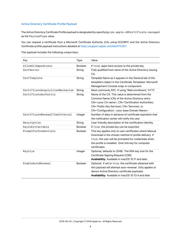#### Active Directory Certificate Profile Payload

The Active Directory Certificate Profile payload is designated by specifying com.apple.ADCertificate.managed as the PayloadType value.

You can request a certificate from a Microsoft Certificate Authority (CA) using DCE/RPC and the Active Directory Certificate profile payload instructions detailed at [https://support.apple.com/kb/HT5357.](https://support.apple.com/kb/HT5357)

This payload includes the following unique keys:

| Key                             | <b>Type</b>    | Value                                                                                                                                                                                                                                                                                     |
|---------------------------------|----------------|-------------------------------------------------------------------------------------------------------------------------------------------------------------------------------------------------------------------------------------------------------------------------------------------|
| AllowAllAppsAccess              | <b>Boolean</b> | If true, apps have access to the private key.                                                                                                                                                                                                                                             |
| CertServer                      | String         | Fully qualified host name of the Active Directory issuing<br>CA.                                                                                                                                                                                                                          |
| CertTemplate                    | String         | Template Name as it appears in the General tab of the<br>template's object in the Certificate Templates' Microsoft<br>Management Console snap-in component.                                                                                                                               |
| CertificateAcquisitionMechanism | String         | Most commonly RPC. If using 'Web enrollment,' HTTP.                                                                                                                                                                                                                                       |
| CertificateAuthority            | String         | Name of the CA. This value is determined from the<br>Common Name (CN) of the Active Directory entry:<br>CN= <your ca="" name="">, CN='Certification Authorities',<br/>CN='Public Key Services', CN='Services', or<br/>CN='Configuration', <your base="" domain="" name="">.</your></your> |
| CertificateRenewalTimeInterval  | Integer        | Number of days in advance of certificate expiration that<br>the notification center will notify the user.                                                                                                                                                                                 |
| Description                     | String         | User-friendly description of the certification identity.                                                                                                                                                                                                                                  |
| KeyIsExtractable                | <b>Boolean</b> | If true, the private key can be exported.                                                                                                                                                                                                                                                 |
| PromptForCredentials            | Boolean        | This key applies only to user certificates where Manual<br>Download is the chosen method of profile delivery. If<br>true, the user will be prompted for credentials when<br>the profile is installed. Omit this key for computer<br>certificates.                                         |
| Keysize                         | Integer        | Optional; defaults to 2048. The RSA key size for the<br>Certificate Signing Request (CSR).<br>Availability: Available in macOS 10.11 and later.                                                                                                                                           |
| EnableAutoRenewal               | <b>Boolean</b> | Optional. If set to true, the certificate obtained with<br>this payload will attempt auto-renewal. Only applies to<br>device Active Directory certificate payloads.<br>Availability: Available in macOS 10.13.4 and later.                                                                |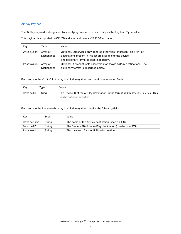#### <span id="page-8-0"></span>AirPlay Payload

The AirPlay payload is designated by specifying com.apple.airplay as the PayloadType value.

This payload is supported on iOS 7.0 and later and on macOS 10.10 and later.

| Key       | Tvpe                            | Value                                                                                                                                                                                  |
|-----------|---------------------------------|----------------------------------------------------------------------------------------------------------------------------------------------------------------------------------------|
| Whitelist | Array of<br><b>Dictionaries</b> | Optional. Supervised only (ignored otherwise). If present, only AirPlay<br>destinations present in this list are available to the device.<br>The dictionary format is described below. |
| Passwords | Array of<br><b>Dictionaries</b> | Optional. If present, sets passwords for known AirPlay destinations. The<br>dictionary format is described below.                                                                      |

Each entry in the Whitelist array is a dictionary that can contain the following fields:

| Kev             | Tvpe | Value                                                                                                                |
|-----------------|------|----------------------------------------------------------------------------------------------------------------------|
| DeviceID Strina |      | The Device ID of the AirPlay destination, in the format xx: xx: xx: xx: xx: xx. This<br>field is not case sensitive. |

Each entry in the Passwords array is a dictionary that contains the following fields:

| Kev        | Tvpe   | Value                                                     |
|------------|--------|-----------------------------------------------------------|
| DeviceName | String | The name of the AirPlay destination (used on iOS).        |
| DeviceID   | String | The Device ID of the AirPlay destination (used on macOS). |
| Password   | String | The password for the AirPlay destination.                 |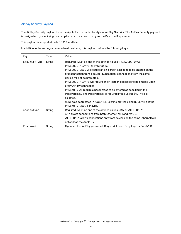#### <span id="page-9-0"></span>AirPlay Security Payload

The AirPlay Security payload locks the Apple TV to a particular style of AirPlay Security. The AirPlay Security payload is designated by specifying com.apple.airplay.security as the PayloadType vaue.

This payload is supported on tvOS 11.0 and later.

| Key          | Type   | Value                                                                                                                                                                                                                                                                                                                                                                                                                                                                                                                                                                                                                                                     |
|--------------|--------|-----------------------------------------------------------------------------------------------------------------------------------------------------------------------------------------------------------------------------------------------------------------------------------------------------------------------------------------------------------------------------------------------------------------------------------------------------------------------------------------------------------------------------------------------------------------------------------------------------------------------------------------------------------|
| SecurityType | String | Required. Must be one of the defined values: PASSCODE_ONCE,<br>PASSCODE_ALWAYS, or PASSWORD.<br>PASSCODE ONCE will require an on-screen passcode to be entered on the<br>first connection from a device. Subsequent connections from the same<br>device will not be prompted.<br>PASSCODE ALWAYS will require an on-screen passcode to be entered upon<br>every AirPlay connection.<br>PASSWORD will require a passphrase to be entered as specified in the<br>Password key. The Password key is required if this Security Type is<br>selected.<br>NONE was deprecated in tvOS 11.3. Existing profiles using NONE will get the<br>PASSWORD_ONCE behavior. |
| AccessType   | String | Required. Must be one of the defined values: ANY or WIFI ONLY.<br>ANY allows connections from both Ethernet/WiFi and AWDL.<br>WIFI ONLY allows connections only from devices on the same Ethernet/WiFi<br>network as the Apple TV.                                                                                                                                                                                                                                                                                                                                                                                                                        |
| Password     | String | Optional. The AirPlay password. Required if SecurityType is PASSWORD.                                                                                                                                                                                                                                                                                                                                                                                                                                                                                                                                                                                     |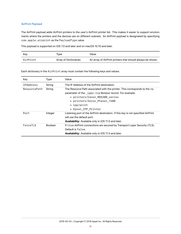#### <span id="page-10-0"></span>AirPrint Payload

The AirPrint payload adds AirPrint printers to the user's AirPrint printer list. This makes it easier to support environments where the printers and the devices are on different subnets. An AirPrint payload is designated by specifying com.apple.airprint as the PayloadType value.

This payload is supported on iOS 7.0 and later and on macOS 10.10 and later.

| Kev      | Tvpe.                 | Value                                                      |
|----------|-----------------------|------------------------------------------------------------|
| AirPrint | Array of Dictionaries | An array of AirPrint printers that should always be shown. |

Each dictionary in the AirPrint array must contain the following keys and values:

| Key              | Type           | Value                                                                                                                                                                                                                                        |
|------------------|----------------|----------------------------------------------------------------------------------------------------------------------------------------------------------------------------------------------------------------------------------------------|
| <b>IPAddress</b> | String         | The IP Address of the AirPrint destination.                                                                                                                                                                                                  |
| ResourcePath     | String         | The Resource Path associated with the printer. This corresponds to the rp<br>parameter of the _ipps.tcp Bonjour record. For example:<br>• printers/Canon MG5300 series<br>• printers/Xerox Phaser 7600<br>• ipp/print<br>• Epson_IPP_Printer |
| Port             | Integer        | Listening port of the AirPrint destination. If this key is not specified AirPrint<br>will use the default port.<br><b>Availability:</b> Available only in iOS 11.0 and later.                                                                |
| ForceTLS         | <b>Boolean</b> | If true AirPrint connections are secured by Transport Layer Security (TLS).<br>Default is false.<br>Availability: Available only in iOS 11.0 and later.                                                                                      |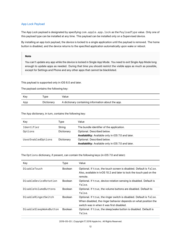#### <span id="page-11-0"></span>App Lock Payload

The App Lock payload is designated by specifying com.apple.app.lock as the PayloadType value. Only one of this payload type can be installed at any time. This payload can be installed only on a Supervised device.

By installing an app lock payload, the device is locked to a single application until the payload is removed. The home button is disabled, and the device returns to the specified application automatically upon wake or reboot.

#### **Note**

You can't update any app while the device is locked in Single App Mode. You need to exit Single App Mode long enough to update apps as needed. During that time you should restrict the visible apps as much as possible, except for Settings and Phone and any other apps that cannot be blacklisted.

This payload is supported only in iOS 6.0 and later.

The payload contains the following key:

| Kev | Tvpe       | Value                                              |
|-----|------------|----------------------------------------------------|
| App | Dictionary | A dictionary containing information about the app. |

The App dictionary, in turn, contains the following key:

| Kev                | Type       | Value                                                     |  |
|--------------------|------------|-----------------------------------------------------------|--|
| Identifier         | String     | The bundle identifier of the application.                 |  |
| Options            | Dictionary | Optional. Described below.                                |  |
|                    |            | <b>Availability:</b> Available only in iOS 7.0 and later. |  |
| UserEnabledOptions | Dictionary | Optional. Described below.                                |  |
|                    |            | Availability: Available only in iOS 7.0 and later.        |  |

The Options dictionary, if present, can contain the following keys (in iOS 7.0 and later):

| Key                    | <b>Type</b>    | Value                                                                                                                                                                               |
|------------------------|----------------|-------------------------------------------------------------------------------------------------------------------------------------------------------------------------------------|
| DisableTouch           | <b>Boolean</b> | Optional. If true, the touch screen is disabled. Default is false.<br>Also, available in tyOS 10.2 and later to lock the touch pad on the<br>remote.                                |
| DisableDeviceRotation  | <b>Boolean</b> | Optional. If true, device rotation sensing is disabled. Default is<br>false.                                                                                                        |
| DisableVolumeButtons   | <b>Boolean</b> | Optional. If true, the volume buttons are disabled. Default to<br>false.                                                                                                            |
| DisableRingerSwitch    | <b>Boolean</b> | Optional. If true, the ringer switch is disabled. Default is false.<br>When disabled, the ringer behavior depends on what position the<br>switch was in when it was first disabled. |
| DisableSleepWakeButton | <b>Boolean</b> | Optional. If true, the sleep/wake button is disabled. Default is<br>false.                                                                                                          |

2019-05-03 | Copyright © 2019 Apple Inc. All Rights Reserved.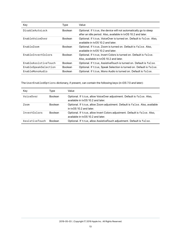| Key                       | Type           | Value                                                                                                                             |  |
|---------------------------|----------------|-----------------------------------------------------------------------------------------------------------------------------------|--|
| DisableAutoLock           | <b>Boolean</b> | Optional. If true, the device will not automatically go to sleep<br>after an idle period. Also, available in tvOS 10.2 and later. |  |
| EnableVoiceOver           | <b>Boolean</b> | Optional. If true, VoiceOver is turned on. Default is false. Also,<br>available in tyOS 10.2 and later.                           |  |
| FnableZoom                | <b>Boolean</b> | Optional. If true, Zoom is turned on. Default is false. Also,<br>available in tyOS 10.2 and later.                                |  |
| <b>FnableInvertColors</b> | <b>Boolean</b> | Optional. If true, Invert Colors is turned on. Default is false.<br>Also, available in tyOS 10.2 and later.                       |  |
| EnableAssistiveTouch      | <b>Boolean</b> | Optional. If true, AssistiveTouch is turned on. Default is false.                                                                 |  |
| EnableSpeakSelection      | <b>Boolean</b> | Optional. If true, Speak Selection is turned on. Default is false.                                                                |  |
| EnableMonoAudio           | <b>Boolean</b> | Optional. If true, Mono Audio is turned on. Default is false.                                                                     |  |

The UserEnabledOptions dictionary, if present, can contain the following keys (in iOS 7.0 and later):

| Kev                 | Type           | Value                                                                                                           |
|---------------------|----------------|-----------------------------------------------------------------------------------------------------------------|
| VoiceOver           | <b>Boolean</b> | Optional. If true, allow VoiceOver adjustment. Default is false. Also,<br>available in tyOS 10.2 and later.     |
| Zoom                | <b>Boolean</b> | Optional. If true, allow Zoom adjustment. Default is false. Also, available<br>in ty $OS$ 10.2 and later.       |
| <i>InvertColors</i> | <b>Boolean</b> | Optional. If true, allow Invert Colors adjustment. Default is false. Also,<br>available in tyOS 10.2 and later. |
| AssistiveTouch      | <b>Boolean</b> | Optional. If true, allow AssistiveTouch adjustment. Default is false.                                           |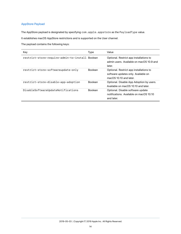#### <span id="page-13-0"></span>AppStore Payload

The AppStore payload is designated by specifying com.apple.appstore as the PayloadType value.

It establishes macOS AppStore restrictions and is supported on the User channel.

The payload contains the following keys:

| Key                                             | Type           | Value                                                                                                       |
|-------------------------------------------------|----------------|-------------------------------------------------------------------------------------------------------------|
| restrict-store-require-admin-to-install Boolean |                | Optional. Restrict app installations to<br>admin users. Available on macOS 10.9 and<br>later.               |
| restrict-store-softwareupdate-only              | <b>Boolean</b> | Optional. Restrict app installations to<br>software updates only. Available on<br>mac $OS$ 10.10 and later. |
| restrict-store-disable-app-adoption             | <b>Boolean</b> | Optional. Disable App Adoption by users.<br>Available on macOS 10.10 and later.                             |
| DisableSoftwareUpdateNotifications              | <b>Boolean</b> | Optional. Disable software update<br>notifications. Available on macOS 10.10<br>and later.                  |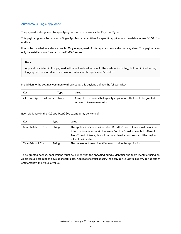#### <span id="page-14-0"></span>Autonomous Single App Mode

The payload is designated by specifying com.apple.asam as the PayloadType.

This payload grants Autonomous Single App Mode capabilities for specific applications. Available in macOS 10.13.4 and later.

It must be installed as a device profile. Only one payload of this type can be installed on a system. This payload can only be installed via a "user approved" MDM server.

#### **Note**

Applications listed in this payload will have low-level access to the system, including, but not limited to, key logging and user interface manipulation outside of the application's context.

In addition to the settings common to all payloads, this payload defines the following key:

| Kev                 | Tvpe  | Value                                                                                                |
|---------------------|-------|------------------------------------------------------------------------------------------------------|
| AllowedApplications | Arrav | Array of dictionaries that specify applications that are to be granted<br>access to Assessment APIs. |

Each dictionary in the AllowedApplications array consists of:

| Key              | Type   | Value                                                                                                                                                                                                                                           |
|------------------|--------|-------------------------------------------------------------------------------------------------------------------------------------------------------------------------------------------------------------------------------------------------|
| BundleIdentifier | Strina | The application's bundle identifier. BundleIdentifier must be unique.<br>If two dictionaries contain the same BundleIdentifier but different<br>TeamIdentifiers, this will be considered a hard error and the payload<br>will not be installed. |
| TeamIdentifier   | String | The developer's team identifier used to sign the application.                                                                                                                                                                                   |

To be granted access, applications must be signed with the specified bundle identifier and team identifier using an Apple-issued production developer certificate. Applications must specify the com.apple.developer.assessment entitlement with a value of true.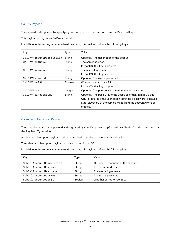#### <span id="page-15-0"></span>CalDAV Payload

The payload is designated by specifying com.apple.caldav.account as the PayloadType.

This payload configures a CalDAV account.

In addition to the settings common to all payloads, this payload defines the following keys:

| Key                      | Type           | Value                                                            |
|--------------------------|----------------|------------------------------------------------------------------|
| CalDAVAccountDescription | String         | Optional. The description of the account.                        |
| CalDAVHostName           | String         | The server address.                                              |
|                          |                | In macOS, this key is required.                                  |
| CalDAVUsername           | String         | The user's login name.                                           |
|                          |                | In macOS, this key is required.                                  |
| CalDAVPassword           | String         | Optional. The user's password.                                   |
| CalDAVUseSSL             | <b>Boolean</b> | Whether or not to use SSL.                                       |
|                          |                | In macOS, this key is optional.                                  |
| CalDAVPort               | Integer        | Optional. The port on which to connect to the server.            |
| CalDAVPrincipalURL       | String         | Optional. The base URL to the user's calendar. In macOS this     |
|                          |                | URL is required if the user doesn't provide a password, because  |
|                          |                | auto-discovery of the service will fail and the account won't be |
|                          |                | created.                                                         |

#### <span id="page-15-1"></span>Calendar Subscription Payload

The calendar subscription payload is designated by specifying com.apple.subscribedcalendar.account as the PayloadType value.

A calendar subscription payload adds a subscribed calendar to the user's calendars list.

The calendar subscription payload is not supported in macOS.

| Key                      | Type           | Value                                 |
|--------------------------|----------------|---------------------------------------|
| SubCalAccountDescription | String         | Optional. Description of the account. |
| SubCalAccountHostName    | String         | The server address.                   |
| SubCalAccountUsername    | String         | The user's login name.                |
| SubCalAccountPassword    | String         | The user's password.                  |
| SubCalAccountUseSSL      | <b>Boolean</b> | Whether or not to use SSL.            |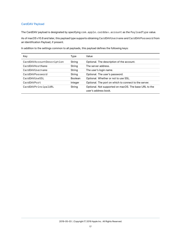#### <span id="page-16-0"></span>CardDAV Payload

The CardDAV payload is designated by specifying com.apple.carddav.account as the PayloadType value.

As of macOS v10.8 and later, this payload type supports obtaining CardDAVUsername and CardDAVPassword from an Identification Payload, if present.

|  |  | In addition to the settings common to all payloads, this payload defines the following keys: |
|--|--|----------------------------------------------------------------------------------------------|
|  |  |                                                                                              |

| Key                       | Type           | Value                                                                         |
|---------------------------|----------------|-------------------------------------------------------------------------------|
| CardDAVAccountDescription | String         | Optional. The description of the account.                                     |
| CardDAVHostName           | String         | The server address.                                                           |
| CardDAVUsername           | String         | The user's login name.                                                        |
| CardDAVPassword           | String         | Optional. The user's password.                                                |
| CardDAVUseSSL             | <b>Boolean</b> | Optional. Whether or not to use SSL.                                          |
| CardDAVPort               | Integer        | Optional. The port on which to connect to the server.                         |
| CardDAVPrincipalURL       | String         | Optional. Not supported on macOS. The base URL to the<br>user's address book. |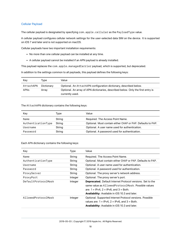#### <span id="page-17-0"></span>Cellular Payload

The cellular payload is designated by specifying com.apple.cellular as the PayloadType value.

A cellular payload configures cellular network settings for the user-selected data SIM on the device. It is supported on iOS 7 and later and is not supported on macOS.

Cellular payloads have two important installation requirements:

- No more than one cellular payload can be installed at any time.
- A cellular payload cannot be installed if an APN payload is already installed.

This payload replaces the com.apple.managedCarrier payload, which is supported, but deprecated.

In addition to the settings common to all payloads, this payload defines the following keys:

| Key       | Tvpe       | Value                                                                                               |
|-----------|------------|-----------------------------------------------------------------------------------------------------|
| AttachAPN | Dictionary | Optional. An AttachAPN configuration dictionary, described below.                                   |
| APNs      | Arrav      | Optional. An array of APN dictionaries, described below. Only the first entry is<br>currently used. |

The AttachAPN dictionary contains the following keys:

| Key                | Type   | Value                                                       |
|--------------------|--------|-------------------------------------------------------------|
| Name               | String | Required. The Access Point Name.                            |
| AuthenticationType | String | Optional. Must contain either CHAP or PAP. Defaults to PAP. |
| Username           | String | Optional. A user name used for authentication.              |
| Password           | String | Optional. A password used for authentication.               |

Each APN dictionary contains the following keys:

| Key                 | Type    | Value                                                                                                                                                                                                                               |
|---------------------|---------|-------------------------------------------------------------------------------------------------------------------------------------------------------------------------------------------------------------------------------------|
| Name                | String  | Required. The Access Point Name.                                                                                                                                                                                                    |
| AuthenticationType  | String  | Optional. Must contain either CHAP or PAP. Defaults to PAP.                                                                                                                                                                         |
| Username            | String  | Optional. A user name used for authentication.                                                                                                                                                                                      |
| Password            | String  | Optional. A password used for authentication.                                                                                                                                                                                       |
| ProxyServer         | String  | Optional. The proxy server's network address.                                                                                                                                                                                       |
| ProxyPort           | Integer | Optional. The proxy server's port.                                                                                                                                                                                                  |
| DefaultProtocolMask | Integer | <b>Deprecated.</b> Default Internet Protocol versions. Set to the<br>same value as AllowedProtocolMask. Possible values<br>are: $1 = IPv4$ , $2 = IPv6$ , and $3 = Both$ .<br><b>Availability:</b> Available in iOS 10.3 and later. |
| AllowedProtocolMask | Integer | Optional. Supported Internet Protocol versions. Possible<br>values are: $1 = IPv4$ , $2 = IPv6$ , and $3 = Both$ .<br><b>Availability:</b> Available in iOS 10.3 and later.                                                         |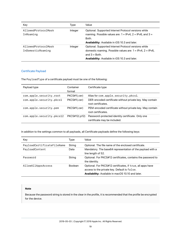| Key                                      | Type    | Value                                                                                                                                                                                                |
|------------------------------------------|---------|------------------------------------------------------------------------------------------------------------------------------------------------------------------------------------------------------|
| AllowedProtocolMask<br>InRoaming         | Integer | Optional. Supported Internet Protocol versions while<br>roaming. Possible values are: $1 = IPv4$ , $2 = IPv6$ , and $3 =$<br>Both.<br><b>Availability:</b> Available in iOS 10.3 and later.          |
| AllowedProtocolMask<br>InDomesticRoaming | Integer | Optional. Supported Internet Protocol versions while<br>domestic roaming. Possible values are: $1 = IPv4$ , $2 = IPv6$ ,<br>and $3 =$ Both.<br><b>Availability:</b> Available in iOS 10.3 and later. |

#### <span id="page-18-0"></span>Certificate Payload

The PayloadType of a certificate payload must be one of the following:

| Payload type              | Container<br>format | Certificate type                                                                  |
|---------------------------|---------------------|-----------------------------------------------------------------------------------|
| com.apple.security.root   | PKCS#1(.cer)        | Alias for com.apple.security.pkcs1.                                               |
| com.apple.security.pkcs1  | PKCS#1(.cer)        | DER-encoded certificate without private key. May contain<br>root certificates.    |
| com.apple.security.pem    | PKCS#1(.cer)        | PEM-encoded certificate without private key. May contain<br>root certificates.    |
| com.apple.security.pkcs12 | PKCS#12(.p12)       | Password-protected identity certificate. Only one<br>certificate may be included. |

In addition to the settings common to all payloads, all Certificate payloads define the following keys:

| Key                        | Type           | Value                                                                                                                                                                  |
|----------------------------|----------------|------------------------------------------------------------------------------------------------------------------------------------------------------------------------|
| PayloadCertificateFileName | String         | Optional. The file name of the enclosed certificate.                                                                                                                   |
| PayloadContent             | Data           | Mandatory. The base64 representation of the payload with a<br>line length of 52.                                                                                       |
| Password                   | String         | Optional. For PKCS#12 certificates, contains the password to<br>the identity.                                                                                          |
| AllowAllAppsAccess         | <b>Boolean</b> | Optional. For PKCS#12 certificates, if true, all apps have<br>access to the private key. Default is false.<br><b>Availability:</b> Available in macOS 10.10 and later. |

#### **Note**

Because the password string is stored in the clear in the profile, it is recommended that the profile be encrypted for the device.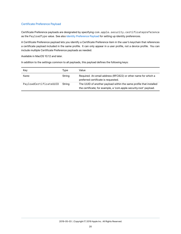#### <span id="page-19-0"></span>Certificate Preference Payload

Certificate Preference payloads are designated by specifying com.apple.security.certificatepreference as the PayloadType value. See also [Identity Preference Payload](#page-48-2) for setting up identity preferences.

A Certificate Preference payload lets you identify a Certificate Preference item in the user's keychain that references a certificate payload included in the same profile. It can only appear in a user profile, not a device profile. You can include multiple Certificate Preference payloads as needed.

Available in MacOS 10.12 and later.

| Key                    | Type   | Value                                                                                                                                    |
|------------------------|--------|------------------------------------------------------------------------------------------------------------------------------------------|
| Name                   | String | Required. An email address (RFC822) or other name for which a<br>preferred certificate is requested.                                     |
| PayloadCertificateUUID | Strina | The UUID of another payload within the same profile that installed<br>the certificate; for example, a 'com.apple.security.root' payload. |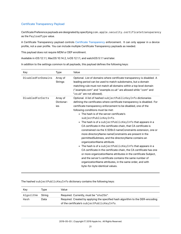#### <span id="page-20-0"></span>Certificate Transparency Payload

Certificate Preference payloads are designated by specifying com.apple.security.certificatetransparency as the PayloadType value.

A Certificate Transparency payload controls Certificate Transparency enforcement. It can only appear in a device profile, not a user profile. You can include multiple Certificate Transparency payloads as needed.

This payload does not require MDM or DEP enrollment.

Available in iOS 12.1.1, MacOS 10.14.2, tvOS 12.1.1, and watchOS 5.1.1 and later.

In addition to the settings common to all payloads, this payload defines the following keys:

| Key                     | <b>Type</b>                   | Value                                                                                                                                                                                                                                                                                                                                                                                                                                                                                                                                                                                                                                                                                                                                                                                                                                                                                                                                                                                                                                                               |
|-------------------------|-------------------------------|---------------------------------------------------------------------------------------------------------------------------------------------------------------------------------------------------------------------------------------------------------------------------------------------------------------------------------------------------------------------------------------------------------------------------------------------------------------------------------------------------------------------------------------------------------------------------------------------------------------------------------------------------------------------------------------------------------------------------------------------------------------------------------------------------------------------------------------------------------------------------------------------------------------------------------------------------------------------------------------------------------------------------------------------------------------------|
| DisabledForDomains      | Array of<br><b>Strings</b>    | Optional. List of domains where certificate transparency is disabled. A<br>leading period can be used to match subdomains, but a domain<br>matching rule must not match all domains within a top level domain<br>("example.com" and "example.co.uk" are allowed while ".com" and<br>".co.uk" are not allowed).                                                                                                                                                                                                                                                                                                                                                                                                                                                                                                                                                                                                                                                                                                                                                      |
| <b>DisabledForCerts</b> | Array of<br>Dictionar-<br>ies | Optional. A list of hashed subjectPublicKeyInfo dictionaries<br>defining the certificates where certificate transparency is disabled. For<br>certificate transparency enforcement to be disabled, one of the<br>following conditions must be met:<br>• The hash is of the server certificate's<br>subjectPublicKeyInfo.<br>$\bullet$ The hash is of a subject PublicKey Info that appears in a<br>CA certificate in the certificate chain, that CA certificate is<br>constrained via the X.509v3 nameConstraints extension, one or<br>more directory Name name Constraints are present in the<br>permitted Subtrees, and the directory Name contains an<br>organizationName attribute.<br>$\bullet$ The hash is of a subject PublicKey Info that appears in a<br>CA certificate in the certificate chain, the CA certificate has one<br>or more organization Name attributes in the certificate Subject,<br>and the server's certificate contains the same number of<br>organizationName attributes, in the same order, and with<br>byte-for-byte identical values. |

The hashed subjectPublicKeyInfo dictionary contains the following keys:

| Kev       | Tvpe   | Value                                                                                                                        |
|-----------|--------|------------------------------------------------------------------------------------------------------------------------------|
| Algorithm | Strina | Required. Currently, must be "sha256".                                                                                       |
| Hash      | Data   | Required. Created by applying the specified hash algorithm to the DER-encoding<br>of the certificate's subjectPublicKeyInfo. |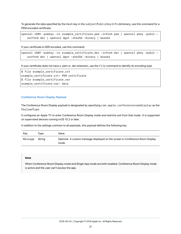To generate the data specified by the Hash key in the subjectPublicKeyInfo dictionary, use this command for a PEM encoded certificate:

openssl x509 -pubkey -in example\_certificate.pem -inform pem | openssl pkey -pubin outform der | openssl dgst -sha256 -binary | base64

If your certificate is DER encoded, use this command:

```
openssl x509 -pubkey -in example_certificate.der -inform der | openssl pkey -pubin -
   outform der | openssl dgst -sha256 -binary | base64
```
If your certificate does not have a .pem or .der extension, use the file command to identify its encoding type.

```
$ file example_certificate.crt
example_certificate.crt: PEM certificate
$ file example_certificate.cer
example_certificate.cer: data
```
#### <span id="page-21-0"></span>Conference Room Display Payload

The Conference Room Display payload is designated by specifying com.apple.conferenceroomdisplay as the PayloadType.

It configures an Apple TV to enter Conference Room Display mode and restricts exit from that mode. It is supported on supervised devices running tvOS 10.2 or later.

In addition to the settings common to all payloads, this payload defines the following key:

| Kev            | Tvpe | Value                                                                                  |
|----------------|------|----------------------------------------------------------------------------------------|
| Message String |      | Optional. A custom message displayed on the screen in Conference Room Display<br>mode. |

#### **Note**

When Conference Room Display mode and Single App mode are both enabled, Conference Room Display mode is active and the user can't access the app.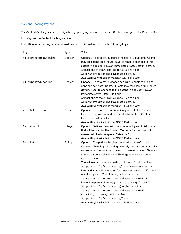#### <span id="page-22-0"></span>Content Caching Payload

The Content Caching payload is designated by specifying com.apple.AssetCache.managed as the PayloadType. It configures the Content Caching service.

| Key                  | Type           | Value                                                                                                                                                                                                                                                                                                                                                                                                                                                                                                                                                                                                                                                                                                                                                                                                                                                  |
|----------------------|----------------|--------------------------------------------------------------------------------------------------------------------------------------------------------------------------------------------------------------------------------------------------------------------------------------------------------------------------------------------------------------------------------------------------------------------------------------------------------------------------------------------------------------------------------------------------------------------------------------------------------------------------------------------------------------------------------------------------------------------------------------------------------------------------------------------------------------------------------------------------------|
| AllowPersonalCaching | Boolean        | Optional. If set to true, caches the user's iCloud data. Clients<br>may take some time (hours, days) to react to changes to this<br>setting; it does not have an immediate effect. Default is true.<br>At least one of the AllowPersonalCaching or<br>AllowSharedCaching keys must be true.<br>Availability: Available in macOS 10.13.4 and later.                                                                                                                                                                                                                                                                                                                                                                                                                                                                                                     |
| AllowSharedCaching   | <b>Boolean</b> | Optional. If set to true, caches non-iCloud content, such as<br>apps and software updates. Clients may take some time (hours,<br>days) to react to changes to this setting; it does not have an<br>immediate effect. Default is true.<br>At least one of the AllowPersonalCaching or<br>AllowSharedCaching keys must be true.<br>Availability: Available in macOS 10.13.4 and later.                                                                                                                                                                                                                                                                                                                                                                                                                                                                   |
| AutoActivation       | <b>Boolean</b> | Optional. If set to true, automatically activate the Content<br>Cache when possible and prevent disabling of the Content<br>Cache. Default is false.<br>Availability: Available in macOS 10.13.4 and later.                                                                                                                                                                                                                                                                                                                                                                                                                                                                                                                                                                                                                                            |
| CacheLimit           | Integer        | Optional. Defines the maximum number of bytes of disk space<br>that will be used for the Content Cache. A CacheLimit of 0<br>means unlimited disk space. Default is 0.<br>Availability: Available in macOS 10.13.4 and later.                                                                                                                                                                                                                                                                                                                                                                                                                                                                                                                                                                                                                          |
| DataPath             | String         | Optional. The path to the directory used to store Cached<br>Content. Changing this setting manually does not automatically<br>move cached content from the old to the new location. To move<br>content automatically, use the Sharing preference's Content<br>Caching pane.<br>The value must be, or end with, /Library/Application<br>Support/Apple/AssetCache/Data. A directory (and its<br>intermediates) will be created for the given DataPath if it does<br>not already exist. The directory will be owned by<br>_assetcache: _assetcache and have mode 0750. Its<br>immediate parent directory (/Library/Application<br>Support/Apple/AssetCache) will be owned by<br>_assetcache: _assetcache and have mode 0755.<br>Default is / Library/Application<br>Support/Apple/AssetCache/Data.<br>Availability: Available in macOS 10.13.4 and later. |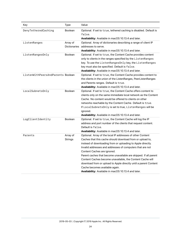| Key                               | Type                       | Value                                                                                                                                                                                                                                                                                                                                                                                                                                                                                                                                                                            |
|-----------------------------------|----------------------------|----------------------------------------------------------------------------------------------------------------------------------------------------------------------------------------------------------------------------------------------------------------------------------------------------------------------------------------------------------------------------------------------------------------------------------------------------------------------------------------------------------------------------------------------------------------------------------|
| DenyTetheredCaching               | Boolean                    | Optional. If set to true, tethered caching is disabled. Default is<br>false.<br>Availability: Available in macOS 10.13.4 and later.                                                                                                                                                                                                                                                                                                                                                                                                                                              |
| ListenRanges                      | Array of<br>Dictionaries   | Optional. Array of dictionaries describing a range of client IP<br>addresses to serve.<br>Availability: Available in macOS 10.13.4 and later.                                                                                                                                                                                                                                                                                                                                                                                                                                    |
| ListenRangesOnly                  | <b>Boolean</b>             | Optional. If set to true, the Content Cache provides content<br>only to clients in the ranges specified by the ListenRanges<br>key. To use the ListenRangesOnly key, the ListenRanges<br>key must also be specified. Default is false.<br>Availability: Available in macOS 10.13.4 and later.                                                                                                                                                                                                                                                                                    |
| ListenWithPeersAndParents Boolean |                            | Optional. If set to true, the Content Cache provides content to<br>the clients in the union of the ListenRanges, PeerListenRanges<br>and Parents ranges. Default is true.<br>Availability: Available in macOS 10.13.4 and later.                                                                                                                                                                                                                                                                                                                                                 |
| LocalSubnetsOnly                  | Boolean                    | Optional. If set to true, the Content Cache offers content to<br>clients only on the same immediate local network as the Content<br>Cache. No content would be offered to clients on other<br>networks reachable by the Content Cache. Default is true.<br>If LocalSubnetsOnly is set to true, ListenRanges will be<br>ignored.<br>Availability: Available in macOS 10.13.4 and later.                                                                                                                                                                                           |
| LogClientIdentity                 | Boolean                    | Optional. If set to true, the Content Cache will log the IP<br>address and port number of the clients that request content.<br>Default is false.<br>Availability: Available in macOS 10.13.4 and later.                                                                                                                                                                                                                                                                                                                                                                          |
| Parents                           | Array of<br><b>Strings</b> | Optional. Array of the local IP addresses of other Content<br>Caches that this cache should download from or upload to,<br>instead of downloading from or uploading to Apple directly.<br>Invalid addresses and addresses of computers that are not<br>Content Caches are ignored.<br>Parent caches that become unavailable are skipped. If all parent<br>Content Caches become unavailable, the Content Cache will<br>download from or upload to Apple directly until a parent Content<br>Cache becomes available again.<br>Availability: Available in macOS 10.13.4 and later. |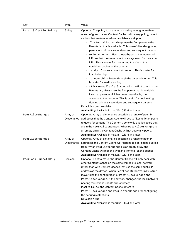| Key                   | Type                            | Value                                                                                                                                                                                                                                                                                                                                                                                                                                                                                                                                                                                                                                                                                                                                                                                                                                                                                                                                                                                                                                                                                                                                                  |
|-----------------------|---------------------------------|--------------------------------------------------------------------------------------------------------------------------------------------------------------------------------------------------------------------------------------------------------------------------------------------------------------------------------------------------------------------------------------------------------------------------------------------------------------------------------------------------------------------------------------------------------------------------------------------------------------------------------------------------------------------------------------------------------------------------------------------------------------------------------------------------------------------------------------------------------------------------------------------------------------------------------------------------------------------------------------------------------------------------------------------------------------------------------------------------------------------------------------------------------|
| ParentSelectionPolicy | String                          | Optional. The policy to use when choosing among more than<br>one configured parent Content Cache. With every policy, parent<br>caches that are temporarily unavailable are skipped.<br>• first-available: Always use the first parent in the<br>Parents list that is available. This is useful for designating<br>permanent primary, secondary, and subsequent parents.<br>• url-path-hash: Hash the path part of the requested<br>URL so that the same parent is always used for the same<br>URL. This is useful for maximizing the size of the<br>combined caches of the parents.<br>• random: Choose a parent at random. This is useful for<br>load balancing.<br>• round-robin: Rotate through the parents in order. This<br>is useful for load balancing.<br>• sticky-available: Starting with the first parent in the<br>Parents list, always use the first parent that is available.<br>Use that parent until it becomes unavailable, then<br>advance to the next one. This is useful for designating<br>floating primary, secondary, and subsequent parents.<br>Default is round-robin.<br>Availability: Available in macOS 10.13.4 and later. |
| PeerFilterRanges      | Array of<br><b>Dictionaries</b> | Optional. Array of dictionaries describing a range of peer IP<br>addresses that the Content Cache will use to filter its list of peers<br>to query for content. The Content Cache only queries peers that<br>are in the PeerFilterRanges. When PeerFilterRanges is<br>an empty array the Content Cache will not query any peers.<br>Availability: Available in macOS 10.13.4 and later.                                                                                                                                                                                                                                                                                                                                                                                                                                                                                                                                                                                                                                                                                                                                                                |
| PeerListenRanges      | Array of<br><b>Dictionaries</b> | Optional. Array of dictionaries describing a range of peer IP<br>addresses the Content Cache will respond to peer cache queries<br>from. When PeerListenRanges is an empty array, the<br>Content Cache will respond with an error to all cache queries.<br>Availability: Available in macOS 10.13.4 and later.                                                                                                                                                                                                                                                                                                                                                                                                                                                                                                                                                                                                                                                                                                                                                                                                                                         |
| PeerLocalSubnetsOnly  | <b>Boolean</b>                  | Optional. If set to true, the Content Cache will only peer with<br>other Content Caches on the same immediate local network,<br>rather than with Content Caches that use the same public IP<br>address as the device. When PeerLocalSubnetsOnly is true,<br>it overrides the configuration of PeerFilterRanges and<br>PeerListenRanges. If the network changes, the local network<br>peering restrictions update appropriately.<br>If set to false, the Content Cache defers to<br>PeerFilterRanges and PeerListenRanges for configuring<br>the peering restrictions.<br>Default is true.<br>Availability: Available in macOS 10.13.4 and later.                                                                                                                                                                                                                                                                                                                                                                                                                                                                                                       |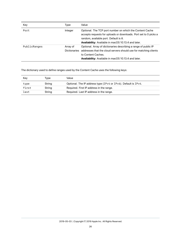| Key          | Type     | Value                                                                                                                                                                                                                         |
|--------------|----------|-------------------------------------------------------------------------------------------------------------------------------------------------------------------------------------------------------------------------------|
| Port         | Integer  | Optional. The TCP port number on which the Content Cache<br>accepts requests for uploads or downloads. Port set to 0 picks a<br>random, available port. Default is 0.<br>Availability: Available in macOS 10.13.4 and later.  |
| PublicRanges | Array of | Optional. Array of dictionaries describing a range of public IP<br>Dictionaries addresses that the cloud servers should use for matching clients<br>to Content Caches.<br>Availability: Available in macOS 10.13.4 and later. |

The dictionary used to define ranges used by the Content Cache uses the following keys:

| Kev   | Tvpe   | Value                                                          |
|-------|--------|----------------------------------------------------------------|
| type  | String | Optional. The IP address type (IPv4 or IPv6). Default is IPv4. |
| first | String | Required. First IP address in the range.                       |
| last  | String | Required. Last IP address in the range.                        |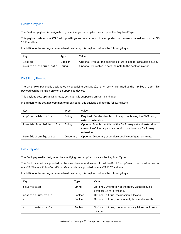#### <span id="page-26-0"></span>Desktop Payload

The Desktop payload is designated by specifying com.apple.desktop as the PayloadType.

This payload sets up macOS Desktop settings and restrictions. It is supported on the user channel and on macOS 10.10 and later.

In addition to the settings common to all payloads, this payload defines the following keys:

| Key                   | Tvpe           | Value                                                               |
|-----------------------|----------------|---------------------------------------------------------------------|
| locked                | <b>Boolean</b> | Optional. If true, the desktop picture is locked. Default is false. |
| override-picture-path | Strina         | Optional. If supplied, it sets the path to the desktop picture.     |

#### <span id="page-26-1"></span>DNS Proxy Payload

The DNS Proxy payload is designated by specifying com.apple.dnsProxy.managed as the PayloadType. This payload can be installed only on a Supervised device.

This payload sets up iOS DNS Proxy settings. It is supported on iOS 11 and later.

In addition to the settings common to all payloads, this payload defines the following keys:

| Key                      | Type       | Value                                                                                                                                        |
|--------------------------|------------|----------------------------------------------------------------------------------------------------------------------------------------------|
| AppBundleIdentifier      | String     | Required. Bundle identifer of the app containing the DNS proxy<br>network extension.                                                         |
| ProviderBundleIdentifier | String     | Optional. Bundle identifier of the DNS proxy network extension<br>to use. Useful for apps that contain more than one DNS proxy<br>extension. |
| ProviderConfiguration    | Dictionary | Optional. Dictionary of vendor-specific configuration items.                                                                                 |

#### <span id="page-26-2"></span>Dock Payload

The Dock payload is designated by specifying com.apple.dock as the PayloadType.

The Dock payload is supported on the user channel and, except for AllowDockFixupOverride, on all version of macOS. The key AllowDockFixupOverride is supported on macOS 10.12 and later.

| Key                | Type           | Value                                                                       |
|--------------------|----------------|-----------------------------------------------------------------------------|
| orientation        | String         | Optional. Orientation of the dock. Values may be<br>bottom, left, or right. |
| position-immutable | <b>Boolean</b> | Optional. If true, the position is locked.                                  |
| autobide           | <b>Boolean</b> | Optional. If true, automatically hide and show the<br>dock.                 |
| autohide-immutable | <b>Boolean</b> | Optional. If true, the Automatically Hide checkbox is<br>disabled.          |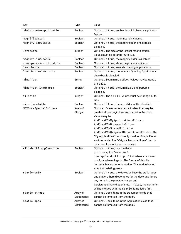| Key                     | <b>Type</b>                     | Value                                                                                                                                                                                                                                                                                                                                                                                                                    |
|-------------------------|---------------------------------|--------------------------------------------------------------------------------------------------------------------------------------------------------------------------------------------------------------------------------------------------------------------------------------------------------------------------------------------------------------------------------------------------------------------------|
| minimize-to-application | <b>Boolean</b>                  | Optional. If true, enable the minimize-to-application<br>feature.                                                                                                                                                                                                                                                                                                                                                        |
| magnification           | Boolean                         | Optional. If true, magnification is active.                                                                                                                                                                                                                                                                                                                                                                              |
| magnify-immutable       | Boolean                         | Optional. If true, the magnification checkbox is<br>disabled.                                                                                                                                                                                                                                                                                                                                                            |
| largesize               | Integer                         | Optional. The size of the largest magnification.<br>Values must be in range 16 to 128.                                                                                                                                                                                                                                                                                                                                   |
| magsize-immutable       | Boolean                         | Optional. If true, the magnify slider is disabled.                                                                                                                                                                                                                                                                                                                                                                       |
| show-process-indicators | <b>Boolean</b>                  | Optional. If true, show the process indicator.                                                                                                                                                                                                                                                                                                                                                                           |
| launchanim              | Boolean                         | Optional. If true, animate opening applications.                                                                                                                                                                                                                                                                                                                                                                         |
| launchanim-immutable    | Boolean                         | Optional. If true, the Animate Opening Applications<br>checkbox is disabled.                                                                                                                                                                                                                                                                                                                                             |
| mineffect               | String                          | Optional. Set minimize effect. Values may be genie<br>or scale.                                                                                                                                                                                                                                                                                                                                                          |
| mineffect-immutable     | Boolean                         | Optional. If true, the Minimize Using popup is<br>disabled.                                                                                                                                                                                                                                                                                                                                                              |
| tilesize                | Integer                         | Optional. The tile size. Values must be in range 16 to<br>128.                                                                                                                                                                                                                                                                                                                                                           |
| size-immutable          | Boolean                         | Optional. If true, the size slider will be disabled.                                                                                                                                                                                                                                                                                                                                                                     |
| MCXDockSpecialFolders   | Array of<br><b>Strings</b>      | Optional. One or more special folders that may be<br>created at user login time and placed in the dock.<br>Values may be<br>AddDockMCXMyApplicationsFolder,<br>AddDockMCXDocumentsFolder,<br>AddDockMCXSharedFolder, or<br>AddDockMCXOriginalNetworkHomeFolder. The<br>"My Applications" item is only used for Simple Finder<br>environments. The "Original Network Home" item is<br>only used for mobile account users. |
| AllowDockFixupOverride  | Boolean                         | Optional. If true, use the file in<br>/Library/Preferences/<br>com.apple.dockfixup.plist when a new user<br>or migrated user logs in. The format of this file<br>currently has no documentation. This option has no<br>effect for existing users.                                                                                                                                                                        |
| static-only             | <b>Boolean</b>                  | Optional. If true, the device will use the static-apps<br>and static-others dictionaries for the dock and ignore<br>any items in the persistent-apps and<br>persistent-others dictionaries. If false, the contents<br>will be merged with the static items listed first.                                                                                                                                                 |
| static-others           | Array of<br><b>Dictionaries</b> | Optional. Dock items in the Documents side that<br>cannot be removed from the dock.                                                                                                                                                                                                                                                                                                                                      |
| static-apps             | Array of<br>Dictionaries        | Optional. Dock items in the Applications side that<br>cannot be removed from the dock.                                                                                                                                                                                                                                                                                                                                   |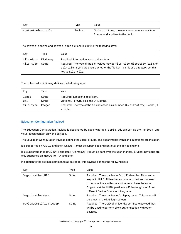| Kev                | Tvpe           | Value                                                                                   |
|--------------------|----------------|-----------------------------------------------------------------------------------------|
| contents-immutable | <b>Boolean</b> | Optional. If true, the user cannot remove any item<br>from or add any item to the dock. |

The static-others and static-apps dictionaries define the following keys:

| Key              | Tvpe       | Value                                                                                                                                                                                     |
|------------------|------------|-------------------------------------------------------------------------------------------------------------------------------------------------------------------------------------------|
| tile-data        | Dictionary | Required. Information about a dock item.                                                                                                                                                  |
| tile-type String |            | Required. The type of the tile. Values may be file-tile, directory-tile, or<br>url-tile. If yofu are unsure whether the file item is a file or a directory, set this<br>key to file-tile. |

#### The tile-data dictionary defines the following keys:

| Key       | Tvpe    | Value                                                                                            |
|-----------|---------|--------------------------------------------------------------------------------------------------|
| label     | String  | Required. Label of a dock item.                                                                  |
| url       | String  | Optional. For URL tiles, the URL string.                                                         |
| file-type | Integer | Required. The type of the tile expressed as a number. $3 =$ directory, $0 =$ URL, 1<br>$=$ file. |

#### <span id="page-28-0"></span>Education Configuration Payload

The Education Configuration Payload is designated by specifying com.apple.education as the PayloadType value. It can contain only one payload.

The Education Configuration Payload defines the users, groups, and departments within an educational organization.

It is supported on iOS 9.3 and later. On iOS, it must be supervised and sent over the device channel.

It is supported on macOS 10.14 and later. On macOS, it must be sent over the user channel. Student payloads are only supported on macOS 10.14.4 and later.

| Key                    | Type   | Value                                                                                                                                                                                                                                                                           |
|------------------------|--------|---------------------------------------------------------------------------------------------------------------------------------------------------------------------------------------------------------------------------------------------------------------------------------|
| OrganizationUUID       | String | Required. The organization's UUID identifier. This can be<br>any valid UUID. All teacher and student devices that need<br>to communicate with one another must have the same<br>OrganizationUUID, particularly if they originated from<br>different Device Enrollment Programs. |
| OrganizationName       | String | Required. The organization's display name. This name will<br>be shown in the iOS login screen.                                                                                                                                                                                  |
| PayloadCertificateUUID | String | Required. The UUID of an identity certificate payload that<br>will be used to perform client authentication with other<br>devices.                                                                                                                                              |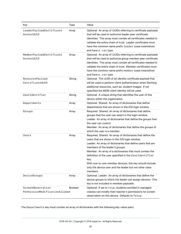| Key                                                | <b>Type</b> | Value                                                                                                                                                                                                                                                                                                                                                                                                                                                                         |
|----------------------------------------------------|-------------|-------------------------------------------------------------------------------------------------------------------------------------------------------------------------------------------------------------------------------------------------------------------------------------------------------------------------------------------------------------------------------------------------------------------------------------------------------------------------------|
| LeaderPayloadCertificate<br>AnchorUUID             | Array       | Optional. An array of UUIDs referring to certificate payloads<br>that will be used to authorize leader peer certificate<br>identities. This array must contain all certificates needed to<br>validate the entire chain of trust. Leader certificates must<br>have the common name prefix leader (case insensitive)<br>and have a . cer type.                                                                                                                                  |
| MemberPayloadCertificate<br>AnchorUUID             | Array       | Optional. An array of UUIDs referring to certificate payloads<br>that will be used to authorize group member peer certificate<br>identities. This array must contain all certificates needed to<br>validate the entire chain of trust. Member certificates must<br>have the common name prefix member (case insensitive)<br>and have a . cer type.                                                                                                                            |
| ResourcePayload<br>CertificateUUID                 | String      | Optional. The UUID of an identity certificate payload that<br>will be used to perform client authentication when fetching<br>additional resources, such as, student images. If not<br>specified the MDM client identity will be used.                                                                                                                                                                                                                                         |
| UserIdentifier                                     | String      | Optional. A unique string that identifies the user of this<br>device within the organization.                                                                                                                                                                                                                                                                                                                                                                                 |
| Departments                                        | Array       | Optional. Shared: An array of dictionaries that define<br>departments that are shown in the iOS login window.                                                                                                                                                                                                                                                                                                                                                                 |
| Groups                                             | Array       | Required. Shared: An array of dictionaries that define<br>groups that the user can select in the login window.<br>Leader: An array of dictionaries that define the groups that<br>the user can control.<br>Member: An array of dictionaries that define the groups of<br>which the user is a member.                                                                                                                                                                          |
| Users                                              | Array       | Required. Shared: An array of dictionaries that define the<br>users that are shown in the iOS login window.<br>Leader: An array of dictionaries that define users that are<br>members of the leader's groups.<br>Member: An array of a dictionaries that must contain the<br>definition of the user specified in the UserIdentifier<br>key.<br>With one-to-one member devices, this key should include<br>only the device user and the leader but not other class<br>members. |
| DeviceGroups                                       | Array       | Optional. Leader: An array of dictionaries that define the<br>device groups to which the leader can assign devices. This<br>key is not included in member payloads.                                                                                                                                                                                                                                                                                                           |
| ScreenObservation<br>PermissionModificationAllowed | Boolean     | Optional. If set to true, students enrolled in managed<br>classes can modify their teacher's permissions for screen<br>observation on this device. Defaults to false.                                                                                                                                                                                                                                                                                                         |

The Departments key must contain an array of dictionaries with the following key-value pairs: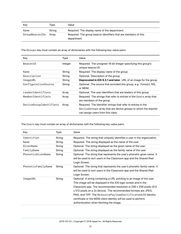| Key            | Type   | Value                                                                          |
|----------------|--------|--------------------------------------------------------------------------------|
| Name           | Strina | Required. The display name of the department.                                  |
| GroupBeaconIDs | Arrav  | Required. The group beacon identifiers that are members of this<br>department. |

The Groups key must contain an array of dictionaries with the following key-value pairs:

| Key                    | Type    | Value                                                                                                                                                                 |
|------------------------|---------|-----------------------------------------------------------------------------------------------------------------------------------------------------------------------|
| BeaconID               | Integer | Required. The unsigned 16 bit integer specifying this group's<br>unique beacon ID.                                                                                    |
| Name                   | String  | Required. The display name of the group.                                                                                                                              |
| Description            | String  | Optional. Description of the group.                                                                                                                                   |
| ImageURL               | String  | <b>Deprecated in iOS 9.3.1 and later.</b> URL of an image for the group.                                                                                              |
| ConfigurationSource    | String  | Optional. The source that provided this group; e.g. iTunesU, SIS,<br>or MDM.                                                                                          |
| leaderIdentifiers      | Array   | Optional. The user identifiers that are leaders of this group.                                                                                                        |
| MemberIdentifiers      | Array   | Required. The strings that refer to entries in the Users array that<br>are members of the group.                                                                      |
| DeviceGroupIdentifiers | Array   | Required. The identifier strings that refer to entries in the<br>Device Groups array that are device groups to which the teacher<br>can assign users from this class. |

The Users key must contain an array of dictionaries with the following key-value pairs:

| Key                | Type   | Value                                                                                                                                                                                                                                                                                                                                                                                                                                                                |
|--------------------|--------|----------------------------------------------------------------------------------------------------------------------------------------------------------------------------------------------------------------------------------------------------------------------------------------------------------------------------------------------------------------------------------------------------------------------------------------------------------------------|
| Identifier         | String | Required. The string that uniquely identifies a user in the organization.                                                                                                                                                                                                                                                                                                                                                                                            |
| Name               | String | Required. The string displayed as the name of the user.                                                                                                                                                                                                                                                                                                                                                                                                              |
| GivenName          | String | Optional. The string displayed as the given name of the user.                                                                                                                                                                                                                                                                                                                                                                                                        |
| FamilyName         | String | Optional. The string displayed as the family name of the user.                                                                                                                                                                                                                                                                                                                                                                                                       |
| PhoneticGivenName  | String | Optional. The string that represents the user's phonetic given name. It<br>will be used to sort users in the Classroom app and the Shared iPad<br>Login Screen.                                                                                                                                                                                                                                                                                                      |
| PhoneticFamilyName | String | Optional. The string that represents the user's phonetic family name. It<br>will be used to sort users in the Classroom app and the Shared iPad<br>Login Screen.                                                                                                                                                                                                                                                                                                     |
| ImageURL           | String | Optional. A string containing a URL pointing to an image of the user.<br>This image will be displayed in the iOS login screen and in the<br>Classroom app. The recommended resolution is $256 \times 256$ pixels (512)<br>x 512 pixels on a 2x device). The recommended formats are JPEG,<br>PNG, and TIFF. The ResourcePayloadCertificateUUID identity<br>certificate or the MDM client identity will be used to perform<br>authentication when fetching the image. |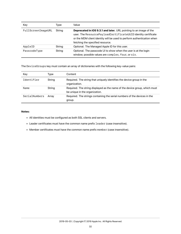| Key                | Type   | Value                                                                                                                                                                                                                                             |  |
|--------------------|--------|---------------------------------------------------------------------------------------------------------------------------------------------------------------------------------------------------------------------------------------------------|--|
| FullScreenImageURL | String | Deprecated in iOS 9.3.1 and later. URL pointing to an image of the<br>user. The ResourcePayloadCertificateUUID identity certificate<br>or the MDM client identity will be used to perform authentication when<br>fetching the specified resource. |  |
| AppleID            | String | Optional. The Managed Apple ID for this user.                                                                                                                                                                                                     |  |
| PasscodeType       | String | Optional. The passcode UI to show when the user is at the login<br>window; possible values are complex, four, or six.                                                                                                                             |  |

The DeviceGroups key must contain an array of dictionaries with the following key-value pairs:

| Key           | Type   | Content                                                                                                      |
|---------------|--------|--------------------------------------------------------------------------------------------------------------|
| Identifier    | String | Required. The string that uniquely identifies the device group in the<br>organization.                       |
| Name          | String | Required. The string displayed as the name of the device group, which must<br>be unique in the organization. |
| SerialNumbers | Arrav  | Required. The strings containing the serial numbers of the devices in the<br>group.                          |

#### **Notes:**

- All identities must be configured as both SSL clients and servers.
- Leader certificates must have the common name prefix leader (case insensitive).
- Member certificates must have the common name prefix member (case insensitive).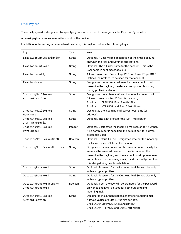#### <span id="page-32-0"></span>Email Payload

The email payload is designated by specifying com.apple.mail.managed as the PayloadType value.

An email payload creates an email account on the device.

| Key                                        | <b>Type</b> | Value                                                                                                                                                                                                                                                                                               |
|--------------------------------------------|-------------|-----------------------------------------------------------------------------------------------------------------------------------------------------------------------------------------------------------------------------------------------------------------------------------------------------|
| EmailAccountDescription                    | String      | Optional. A user-visible description of the email account,<br>shown in the Mail and Settings applications.                                                                                                                                                                                          |
| EmailAccountName                           | String      | Optional. The full user name for the account. This is the<br>user name in sent messages, etc.                                                                                                                                                                                                       |
| EmailAccountType                           | String      | Allowed values are EmailTypePOP and EmailTypeIMAP.<br>Defines the protocol to be used for that account.                                                                                                                                                                                             |
| EmailAddress                               | String      | Designates the full email address for the account. If not<br>present in the payload, the device prompts for this string<br>during profile installation.                                                                                                                                             |
| IncomingMailServer<br>Authentication       | String      | Designates the authentication scheme for incoming mail.<br>Allowed values are EmailAuthPassword,<br>EmailAuthCRAMMD5, EmailAuthNTLM,<br>EmailAuthHTTPMD5, and EmailAuthNone.                                                                                                                        |
| IncomingMailServer<br>HostName             | String      | Designates the incoming mail server host name (or IP<br>address).                                                                                                                                                                                                                                   |
| IncomingMailServer<br>IMAPPathPrefix       | String      | Optional. The path prefix for the IMAP mail server.                                                                                                                                                                                                                                                 |
| IncomingMailServer<br>PortNumber           | Integer     | Optional. Designates the incoming mail server port number.<br>If no port number is specified, the default port for a given<br>protocol is used.                                                                                                                                                     |
| IncomingMailServerUseSSL                   | Boolean     | Optional. Default false. Designates whether the incoming<br>mail server uses SSL for authentication.                                                                                                                                                                                                |
| IncomingMailServerUsername                 | String      | Designates the user name for the email account, usually the<br>same as the email address up to the @ character. If not<br>present in the payload, and the account is set up to require<br>authentication for incoming email, the device will prompt for<br>this string during profile installation. |
| IncomingPassword                           | String      | Optional. Password for the Incoming Mail Server. Use only<br>with encrypted profiles.                                                                                                                                                                                                               |
| OutgoingPassword                           | String      | Optional. Password for the Outgoing Mail Server. Use only<br>with encrypted profiles.                                                                                                                                                                                                               |
| OutgoingPasswordSameAs<br>IncomingPassword | Boolean     | Optional. If set, the user will be prompted for the password<br>only once and it will be used for both outgoing and<br>incoming mail.                                                                                                                                                               |
| OutgoingMailServer<br>Authentication       | String      | Designates the authentication scheme for outgoing mail.<br>Allowed values are EmailAuthPassword,<br>EmailAuthCRAMMD5, EmailAuthNTLM,<br>EmailAuthHTTPMD5, and EmailAuthNone.                                                                                                                        |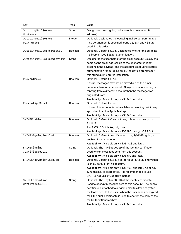| Key                                | <b>Type</b>    | Value                                                                                                                                                                                                                                                                                                                                                                                                    |
|------------------------------------|----------------|----------------------------------------------------------------------------------------------------------------------------------------------------------------------------------------------------------------------------------------------------------------------------------------------------------------------------------------------------------------------------------------------------------|
| OutgoingMailServer<br>HostName     | String         | Designates the outgoing mail server host name (or IP<br>address).                                                                                                                                                                                                                                                                                                                                        |
| OutgoingMailServer<br>PortNumber   | Integer        | Optional. Designates the outgoing mail server port number.<br>If no port number is specified, ports 25, 587 and 465 are<br>used, in this order.                                                                                                                                                                                                                                                          |
| OutgoingMailServerUseSSL           | Boolean        | Optional. Default false. Designates whether the outgoing<br>mail server uses SSL for authentication.                                                                                                                                                                                                                                                                                                     |
| OutgoingMailServerUsername         | String         | Designates the user name for the email account, usually the<br>same as the email address up to the @ character. If not<br>present in the payload, and the account is set up to require<br>authentication for outgoing email, the device prompts for<br>this string during profile installation.                                                                                                          |
| PreventMove                        | Boolean        | Optional. Default false.<br>If true, messages may not be moved out of this email<br>account into another account. Also prevents forwarding or<br>replying from a different account than the message was<br>originated from.<br>Availability: Available only in iOS 5.0 and later.                                                                                                                        |
| PreventAppSheet                    | Boolean        | Optional. Default false.<br>If true, this account is not available for sending mail in any<br>app other than the Apple Mail app.<br>Availability: Available only in iOS 5.0 and later.                                                                                                                                                                                                                   |
| SMIMEEnabled                       | Boolean        | Optional. Default false. If true, this account supports<br>S/MIME.<br>As of iOS 10.0, this key is ignored.<br>Availability: Available only in iOS 5.0 through iOS 9.3.3.                                                                                                                                                                                                                                 |
| SMIMESigningEnabled                | Boolean        | Optional. Default true. If set to true, S/MIME signing is<br>enabled for this account.<br>Availability: Available only in iOS 10.3 and later.                                                                                                                                                                                                                                                            |
| SMIMESigning<br>CertificateUUID    | String         | Optional. The PayloadUUID of the identity certificate<br>used to sign messages sent from this account.<br>Availability: Available only in iOS 5.0 and later.                                                                                                                                                                                                                                             |
| SMIMEEncryptionEnabled             | <b>Boolean</b> | Optional. Default false. If set to true, S/MIME encryption<br>is on by default for this account.<br>Availability: Available only in iOS 10.3 and later. As of iOS<br>12.0, this key is deprecated. It is recommended to use<br>SMIMEEncryptByDefault instead.                                                                                                                                            |
| SMIMEEncryption<br>CertificateUUID | String         | Optional. The PayloadUUID of the identity certificate<br>used to decrypt messages sent to this account. The public<br>certificate is attached to outgoing mail to allow encrypted<br>mail to be sent to this user. When the user sends encrypted<br>mail, the public certificate is used to encrypt the copy of the<br>mail in their Sent mailbox.<br>Availability: Available only in iOS 5.0 and later. |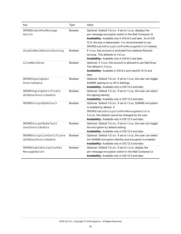| Key                                                | Type           | Value                                                                                                                                                                                                                                                                                      |
|----------------------------------------------------|----------------|--------------------------------------------------------------------------------------------------------------------------------------------------------------------------------------------------------------------------------------------------------------------------------------------|
| SMIMEEnablePerMessage<br>Switch                    | Boolean        | Optional. Default false. If set to true, displays the<br>per-message encryption switch in the Mail Compose UI.<br>Availability: Available only in iOS 8.0 and later. As of iOS<br>12.0, this key is deprecated. It is recommended to use<br>SMIMEEnableEncryptionPerMessageSwitch instead. |
| disableMailRecentsSyncing                          | Boolean        | If true, this account is excluded from address Recents<br>syncing. This defaults to false.<br>Availability: Available only in iOS 6.0 and later.                                                                                                                                           |
| allowMailDrop                                      | <b>Boolean</b> | Optional. If true, this account is allowed to use Mail Drop.<br>The default is false.<br>Availability: Available in iOS 9.2 and macOS 10.12 and<br>later.                                                                                                                                  |
| SMIMESigningUser<br>Overrideable                   | Boolean        | Optional. Default false. If set to true, the user can toggle<br>S/MIME signing on or off in Settings.<br>Availability: Available only in iOS 12.0 and later.                                                                                                                               |
| SMIMESigningCertificate<br>UUIDUserOverrideable    | Boolean        | Optional. Default false. If set to true, the user can select<br>the signing identity.<br>Availability: Available only in iOS 12.0 and later.                                                                                                                                               |
| SMIMEEncryptByDefault                              | <b>Boolean</b> | Optional. Default false. If set to true, S/MIME encryption<br>is enabled by default. If<br>SMIMEEnableEncryptionPerMessageSwitch is<br>false, this default cannot be changed by the user.<br>Availability: Available only in iOS 12.0 and later.                                           |
| SMIMEEncryptByDefault<br>UserOverrideable          | Boolean        | Optional. Default false. If set to true, the user can toggle<br>the encryption by default setting.<br>Availability: Available only in iOS 12.0 and later.                                                                                                                                  |
| SMIMEEncryptionCertificate<br>UUIDUserOverrideable | Boolean        | Optional. Default false. If set to true, the user can select<br>the S/MIME encryption identity and encryption is enabled.<br>Availability: Available only in iOS 12.0 and later.                                                                                                           |
| SMIMEEnableEncryptionPer<br>MessageSwitch          | Boolean        | Optional. Default false. If set to true, display the<br>per-message encryption switch in the Mail Compose UI.<br>Availability: Available only in iOS 12.0 and later.                                                                                                                       |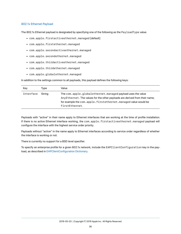#### <span id="page-35-0"></span>802.1x Ethernet Payload

The 802.1x Ethernet payload is designated by specifying one of the following as the PayloadType value:

- com.apple.firstactiveethernet.managed [default]
- com.apple.firstethernet.managed
- com.apple.secondactiveethernet.managed
- com.apple.secondethernet.managed
- com.apple.thirdactiveethernet.managed
- com.apple.thirdethernet.managed
- com.apple.globalethernet.managed

In addition to the settings common to all payloads, this payload defines the following keys:

| Key       | Type   | Value                                                                                                                                                                                                                          |
|-----------|--------|--------------------------------------------------------------------------------------------------------------------------------------------------------------------------------------------------------------------------------|
| Interface | Strina | The com.apple.globalethernet.managed payload uses the value<br>AnyEthernet. The values for the other payloads are derived from their name;<br>for example the com.apple.firstethernet.managed value would be<br>FirstEthernet. |

Payloads with "active" in their name apply to Ethernet interfaces that are working at the time of profile installation. If there is no active Ethernet interface working, the com.apple.firstactiveethernet.managed payload will configure the interface with the highest service order priority.

Payloads without "active" in the name apply to Ethernet interfaces according to service order regardless of whether the interface is working or not.

There is currently no support for a BSD level specifier.

To specify an enterprise profile for a given 802.1x network, include the EAPClientConfiguration key in the payload, as described in [EAPClientConfiguration Dictionary](#page-109-0).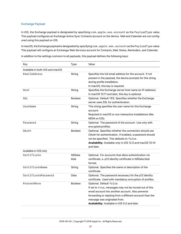# Exchange Payload

In iOS, the Exchange payload is designated by specifying com.apple.eas.account as the PayloadType value. This payload configures an Exchange Active Sync Contacts account on the device. Mail and Calendar are not configured using this payload on iOS.

In macOS, the Exchange payload is designated by specifying com.apple.ews.account as the PayloadType value. This payload will configure an Exchange Web Services account for Contacts, Mail, Notes, Reminders, and Calendar.

| Kev                             | Type                  | Value                                                                                                                                                                                                                                                                               |
|---------------------------------|-----------------------|-------------------------------------------------------------------------------------------------------------------------------------------------------------------------------------------------------------------------------------------------------------------------------------|
| Available in both iOS and macOS |                       |                                                                                                                                                                                                                                                                                     |
| EmailAddress                    | String                | Specifies the full email address for the account. If not<br>present in the payload, the device prompts for this string<br>during profile installation.<br>In macOS, this key is required.                                                                                           |
| Host                            | String                | Specifies the Exchange server host name (or IP address).<br>In macOS 10.11 and later, this key is optional.                                                                                                                                                                         |
| SSL                             | <b>Boolean</b>        | Optional. Default YES. Specifies whether the Exchange<br>server uses SSL for authentication.                                                                                                                                                                                        |
| UserName                        | String                | This string specifies the user name for this Exchange<br>account.<br>Required in macOS or non-interactive installations (like<br>MDM on iOS).                                                                                                                                       |
| Password                        | String                | Optional. The password of the account. Use only with<br>encrypted profiles.                                                                                                                                                                                                         |
| OAuth                           | Boolean               | Optional. Specifies whether the connection should use<br>OAuth for authentication. If enabled, a password should<br>not be specified. This defaults to false.<br>Availability: Available only in iOS 12.0 and macOS 10.14<br>and later.                                             |
| Available in iOS only           |                       |                                                                                                                                                                                                                                                                                     |
| Certificate                     | <b>NSData</b><br>blob | Optional. For accounts that allow authentication via<br>certificate, a .p12 identity certificate in NSData blob<br>format.                                                                                                                                                          |
| CertificateName                 | String                | Optional. Specifies the name or description of the<br>certificate.                                                                                                                                                                                                                  |
| CertificatePassword             | Data                  | Optional. The password necessary for the p12 identity<br>certificate. Used with mandatory encryption of profiles.                                                                                                                                                                   |
| PreventMove                     | <b>Boolean</b>        | Optional. Default false.<br>If set to true, messages may not be moved out of this<br>email account into another account. Also prevents<br>forwarding or replying from a different account than the<br>message was originated from.<br>Availability: Available in iOS 5.0 and later. |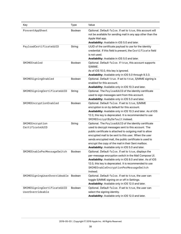| Key                                             | <b>Type</b>    | Value                                                                                                                                                                                                                                                                                                                                                                                                    |
|-------------------------------------------------|----------------|----------------------------------------------------------------------------------------------------------------------------------------------------------------------------------------------------------------------------------------------------------------------------------------------------------------------------------------------------------------------------------------------------------|
| PreventAppSheet                                 | Boolean        | Optional. Default false. If set to true, this account will<br>not be available for sending mail in any app other than the<br>Apple Mail app.<br>Availability: Available in iOS 5.0 and later.                                                                                                                                                                                                            |
| PayloadCertificateUUID                          | String         | UUID of the certificate payload to use for the identity<br>credential. If this field is present, the Certificate field<br>is not used.<br>Availability: Available in iOS 5.0 and later.                                                                                                                                                                                                                  |
| SMIMEEnabled                                    | <b>Boolean</b> | Optional. Default false. If true, this account supports<br>S/MIME.<br>As of iOS 10.0, this key is ignored.<br>Availability: Available only in iOS 5.0 through 9.3.3.                                                                                                                                                                                                                                     |
| SMIMESigningEnabled                             | <b>Boolean</b> | Optional. Default true. If set to true, S/MIME signing is<br>enabled for this account.<br>Availability: Available only in iOS 10.3 and later.                                                                                                                                                                                                                                                            |
| SMIMESigningCertificateUUID                     | String         | Optional. The PayloadUUID of the identity certificate<br>used to sign messages sent from this account.<br>Availability: Available only in iOS 5.0 and later.                                                                                                                                                                                                                                             |
| SMIMEEncryptionEnabled                          | <b>Boolean</b> | Optional. Default false. If set to true, S/MIME<br>encryption is on by default for this account.<br>Availability: Available only in iOS 10.3 and later. As of iOS<br>12.0, this key is deprecated. It is recommended to use<br>SMIMEEncryptByDefault instead.                                                                                                                                            |
| SMIMEEncryption<br>CertificateUUID              | String         | Optional. The PayloadUUID of the identity certificate<br>used to decrypt messages sent to this account. The<br>public certificate is attached to outgoing mail to allow<br>encrypted mail to be sent to this user. When the user<br>sends encrypted mail, the public certificate is used to<br>encrypt the copy of the mail in their Sent mailbox.<br>Availability: Available only in iOS 5.0 and later. |
| SMIMEEnablePerMessageSwitch                     | Boolean        | Optional. Default false. If set to true, displays the<br>per-message encryption switch in the Mail Compose UI.<br>Availability: Available only in iOS 8.0 and later. As of iOS<br>12.0, this key is deprecated. It is recommended to use<br>SMIMEEnableEncryptionPerMessageSwitch<br>instead.                                                                                                            |
| SMIMESigningUserOverrideable                    | Boolean        | Optional. Default false. If set to true, the user can<br>toggle S/MIME signing on or off in Settings.<br>Availability: Available only in iOS 12.0 and later.                                                                                                                                                                                                                                             |
| SMIMESigningCertificateUUID<br>UserOverrideable | Boolean        | Optional. Default false. If set to true, the user can<br>select the signing identity.<br>Availability: Available only in iOS 12.0 and later.                                                                                                                                                                                                                                                             |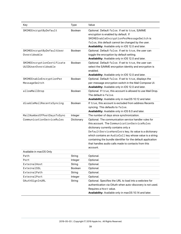| Key                                       | <b>Type</b>    | Value                                                                                                        |
|-------------------------------------------|----------------|--------------------------------------------------------------------------------------------------------------|
| SMIMEEncryptByDefault                     | <b>Boolean</b> | Optional. Default false. If set to true, S/MIME                                                              |
|                                           |                | encryption is enabled by default. If                                                                         |
|                                           |                | SMIMEEnableEncryptionPerMessageSwitch is                                                                     |
|                                           |                | false, this default cannot be changed by the user.                                                           |
|                                           |                | Availability: Available only in iOS 12.0 and later.                                                          |
| SMIMEEncryptByDefaultUser<br>Overrideable | <b>Boolean</b> | Optional. Default false. If set to true, the user can                                                        |
|                                           |                | toggle the encryption by default setting.                                                                    |
| SMIMEEncryptionCertificate                | <b>Boolean</b> | Availability: Available only in iOS 12.0 and later.<br>Optional. Default false. If set to true, the user can |
| UUIDUserOverrideable                      |                |                                                                                                              |
|                                           |                | select the S/MIME encryption identity and encryption is<br>enabled.                                          |
|                                           |                | Availability: Available only in iOS 12.0 and later.                                                          |
| SMIMEEnableEncryptionPer                  | <b>Boolean</b> | Optional. Default false. If set to true, displays the                                                        |
| MessageSwitch                             |                | per-message encryption switch in the Mail Compose UI.                                                        |
|                                           |                | Availability: Available only in iOS 12.0 and later.                                                          |
| allowMailDrop                             | <b>Boolean</b> | Optional. If true, this account is allowed to use Mail Drop.                                                 |
|                                           |                | The default is false.                                                                                        |
|                                           |                | Availability: Available only in macOS 10.12 and later.                                                       |
| disableMailRecentsSyncing                 | <b>Boolean</b> | If true, this account is excluded from address Recents                                                       |
|                                           |                | syncing. This defaults to false.                                                                             |
|                                           |                | Availability: Available only in iOS 6.0 and later.                                                           |
| MailNumberOfPastDaysToSync                | Integer        | The number of days since synchronization.                                                                    |
| CommunicationServiceRules                 | Dictionary     | Optional. The communication service handler rules for                                                        |
|                                           |                | this account. The CommunicationServiceRules                                                                  |
|                                           |                | dictionary currently contains only a                                                                         |
|                                           |                | DefaultServiceHandlers key; its value is a dictionary                                                        |
|                                           |                | which contains an AudioCall key whose value is a string                                                      |
|                                           |                | containing the bundle identifier for the default application                                                 |
|                                           |                | that handles audio calls made to contacts from this                                                          |
|                                           |                | account.                                                                                                     |
| Available in macOS Only                   |                |                                                                                                              |
| Path                                      | String         | Optional.                                                                                                    |
| Port                                      | Integer        | Optional.                                                                                                    |
| ExternalHost                              | String         | Optional.                                                                                                    |
| ExternalSSL                               | <b>Boolean</b> | Optional.                                                                                                    |
| ExternalPath                              | String         | Optional.                                                                                                    |
| ExternalPort                              | Integer        | Optional.                                                                                                    |
| OAuthSignInURL                            | String         | Optional. Specifies the URL to load into a webview for                                                       |
|                                           |                | authentication via OAuth when auto-discovery is not used.                                                    |
|                                           |                | Requires a Host value.                                                                                       |
|                                           |                | Availability: Available only in macOS 10.14 and later.                                                       |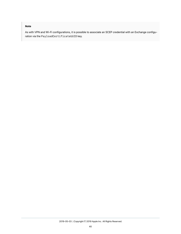# **Note**

As with VPN and Wi-Fi configurations, it is possible to associate an SCEP credential with an Exchange configuration via the PayloadCertificateUUID key.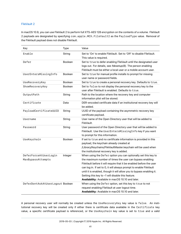# FileVault 2

In macOS 10.9, you can use FileVault 2 to perform full XTS-AES 128 encryption on the contents of a volume. FileVault 2 payloads are designated by specifying com.apple.MCX.FileVault2 as the PayloadType value. Removal of the FileVault payload does not disable FileVault.

| Key                                        | Type           | Value                                                                                                                                                                                                                                                                                                                                                                                                                                                     |
|--------------------------------------------|----------------|-----------------------------------------------------------------------------------------------------------------------------------------------------------------------------------------------------------------------------------------------------------------------------------------------------------------------------------------------------------------------------------------------------------------------------------------------------------|
| Enable                                     | String         | Set to 'On' to enable FileVault. Set to 'Off' to disable FileVault.<br>This value is required.                                                                                                                                                                                                                                                                                                                                                            |
| Defer                                      | <b>Boolean</b> | Set to true to defer enabling FileVault until the designated user<br>logs out. For details, see fdesetup(8). The person enabling<br>FileVault must be either a local user or a mobile account user.                                                                                                                                                                                                                                                       |
| UserEntersMissingInfo                      | <b>Boolean</b> | Set to true for manual profile installs to prompt for missing<br>user name or password fields.                                                                                                                                                                                                                                                                                                                                                            |
| UseRecoveryKey                             | <b>Boolean</b> | Set to true to create a personal recovery key. Defaults to true.                                                                                                                                                                                                                                                                                                                                                                                          |
| ShowRecoveryKey                            | <b>Boolean</b> | Set to false to not display the personal recovery key to the<br>user after FileVault is enabled. Defaults to true.                                                                                                                                                                                                                                                                                                                                        |
| OutputPath                                 | String         | Path to the location where the recovery key and computer<br>information plist will be stored.                                                                                                                                                                                                                                                                                                                                                             |
| Certificate                                | Data           | DER-encoded certificate data if an institutional recovery key will<br>be added.                                                                                                                                                                                                                                                                                                                                                                           |
| PayloadCertificateUUID                     | String         | UUID of the payload containing the asymmetric recovery key<br>certificate payload.                                                                                                                                                                                                                                                                                                                                                                        |
| Username                                   | String         | User name of the Open Directory user that will be added to<br>FileVault.                                                                                                                                                                                                                                                                                                                                                                                  |
| Password                                   | String         | User password of the Open Directory user that will be added to<br>FileVault. Use the UserEntersMissingInfo key if you want<br>to prompt for this information.                                                                                                                                                                                                                                                                                             |
| UseKeychain                                | Boolean        | If set to true and no certificate information is provided in this<br>payload, the keychain already created at<br>/Library/Keychains/FileVaultMaster.keychain will be used when<br>the institutional recovery key is added.                                                                                                                                                                                                                                |
| DeferForceAtUserLogin<br>MaxBypassAttempts | Integer        | When using the Defer option you can optionally set this key to<br>the maximum number of times the user can bypass enabling<br>FileVault before it will require that it be enabled before the user<br>can log in. If set to 0, it will always prompt to enable FileVault<br>until it is enabled, though it will allow you to bypass enabling it.<br>Setting this key to -1 will disable this feature.<br>Availability: Available in macOS 10.10 and later. |
| DeferDontAskAtUserLogout Boolean           |                | When using the Defer option, set this key to true to not<br>request enabling FileVault at user logout time.<br>Availability: Available in macOS 10.10 and later.                                                                                                                                                                                                                                                                                          |

A personal recovery user will normally be created unless the UseRecoveryKey key value is false. An institutional recovery key will be created only if either there is certificate data available in the Certificate key value, a specific certificate payload is referenced, or the UseKeychain key value is set to true and a valid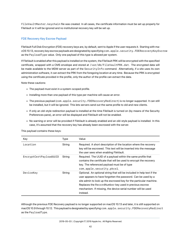FileVaultMaster.keychain file was created. In all cases, the certificate information must be set up properly for FileVault or it will be ignored and no institutional recovery key will be set up.

# FDE Recovery Key Escrow Payload

FileVault Full Disk Encryption (FDE) recovery keys are, by default, sent to Apple if the user requests it. Starting with macOS 10.13, recovery key escrow payloads are designated by specifying com.apple.security.FDERecoveryKeyEscrow as the PayloadType value. Only one payload of this type is allowed per system.

If FileVault is enabled after this payload is installed on the system, the FileVault PRK will be encrypted with the specified certificate, wrapped with a CMS envelope and stored at /var/db/FileVaultPRK.dat. The encrypted data will be made available to the MDM server as part of the SecurityInfo command. Alternatively, if a site uses its own administration software, it can extract the PRK from the foregoing location at any time. Because the PRK is encrypted using the certificate provided in the profile, only the author of the profile can extract the data.

Note these cautions:

- The payload must exist in a system-scoped profile.
- Installing more than one payload of this type per machine will cause an error.
- The previous payload (com.apple.security.FDERecoveryRedirect) is no longer supported. It can still be installed, but it will be ignored. This lets servers send out the same profile to old and new clients.
- If only an old-style redirection payload is installed at the time FileVault is turned on (by means of the Security Preferences pane), an error will be displayed and FileVault will not be enabled.
- No warning or error will be provided if FileVault is already enabled and an old-style payload is installed. In this case, it's assumed that the recovery key has already been escrowed with the server.

| Key                    | Type   | Value                                                                                                                                                                                                                                                                                                                                              |
|------------------------|--------|----------------------------------------------------------------------------------------------------------------------------------------------------------------------------------------------------------------------------------------------------------------------------------------------------------------------------------------------------|
| Location               | String | Required. A short description of the location where the recovery<br>key will be escrowed. This text will be inserted into the message<br>the user sees when enabling FileVault.                                                                                                                                                                    |
| EncryptCertPayloadUUID | String | Required. The UUID of a payload within the same profile that<br>contains the certificate that will be used to encrypt the recovery<br>key. The referenced payload must be of type<br>com.apple.security.pkcs1.                                                                                                                                     |
| DeviceKey              | String | Optional. An optional string that will be included in help text if the<br>user appears to have forgotten the password. Can be used by a<br>site admin to look up the escrowed key for the particular machine.<br>Replaces the RecordNumber key used in previous escrow<br>mechanism. If missing, the device serial number will be used<br>instead. |

This payload contains these keys:

Although the previous FDE Recovery payload is no longer supported on macOS 10.13 and later, it is still supported on macOS 10.9 through 10.12. This payload is designated by specifying com.apple.security.FDERecoveryRedirect as the PayloadType.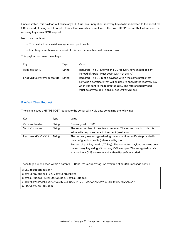Once installed, this payload will cause any FDE (Full Disk Encryption) recovery keys to be redirected to the specified URL instead of being sent to Apple. This will require sites to implement their own HTTPS server that will receive the recovery keys via a POST request.

Note these cautions:

- The payload must exist in a system-scoped profile.
- Installing more than one payload of this type per machine will cause an error.

This payload contains these keys:

| Key                    | Type   | Value                                                                                                                                                                                                                                              |
|------------------------|--------|----------------------------------------------------------------------------------------------------------------------------------------------------------------------------------------------------------------------------------------------------|
| RedirectURL            | String | Required. The URL to which FDE recovery keys should be sent<br>instead of Apple. Must begin with https://.                                                                                                                                         |
| EncryptCertPayloadUUID | String | Required. The UUID of a payload within the same profile that<br>contains a certificate that will be used to encrypt the recovery key<br>when it is sent to the redirected URL. The referenced payload<br>must be of type com.apple.security.pkcs1. |

### FileVault Client Request

The client issues a HTTPS POST request to the server with XML data containing the following:

| Key              | Type   | Value                                                                                                                                                                                                                                                                                                                           |
|------------------|--------|---------------------------------------------------------------------------------------------------------------------------------------------------------------------------------------------------------------------------------------------------------------------------------------------------------------------------------|
| VersionNumber    | String | Currently set to '1.0'.                                                                                                                                                                                                                                                                                                         |
| SerialNumber     | String | The serial number of the client computer. The server must include this<br>value in its response back to the client (see below).                                                                                                                                                                                                 |
| RecoveryKeyCMS64 | String | The recovery key encrypted using the encryption certificate provided in<br>the configuration profile (referenced by the<br>EncryptCertPayloadUUID key). The encrypted payload contains only<br>the recovery key string without any XML wrapper. The encrypted data is<br>wrapped in a CMS envelope and is then Base-64 encoded. |

These tags are enclosed within a parent FDECaptureRequest tag. An example of an XML message body is:

<FDECaptureRequest> <VersionNumber>1.0</VersionNumber> <SerialNumber>A02FE08UCC8X</SerialNumber> <RecoveryKeyCMS64>MIAGCSqGSIb3DQEHA ... AAAAAAAAA==</RecoveryKeyCMS64> </FDECaptureRequest>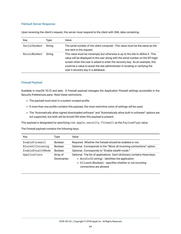### FileVault Server Response

Upon receiving the client's request, the server must respond to the client with XML data containing:

| Key          | Type   | Value                                                                                                                                                                                                                                                                                                                                                                       |
|--------------|--------|-----------------------------------------------------------------------------------------------------------------------------------------------------------------------------------------------------------------------------------------------------------------------------------------------------------------------------------------------------------------------------|
| SerialNumber | String | The serial number of the client computer. This value must be the same as the<br>one sent in the request.                                                                                                                                                                                                                                                                    |
| RecordNumber | String | This value must be nonempty but otherwise is up to the site to define it. This<br>value will be displayed to the user along with the serial number on the EFI login<br>screen when the user is asked to enter the recovery key. As an example, this<br>could be a value to assist the site administrator in locating or verifying the<br>user's recovery key in a database. |

### Firewall Payload

Available in macOS 10.12 and later. A Firewall payload manages the Application Firewall settings accessible in the Security Preferences pane. Note these restrictions:

- The payload must exist in a system-scoped profile.
- If more than one profile contains this payload, the most restrictive union of settings will be used.
- The "Automatically allow signed downloaded software" and "Automatically allow built-in software" options are not supported, but both will be forced ON when this payload is present.

This payload is designated by specifying com.apple.security.firewall as the PayloadType value.

The Firewall payload contains the following keys:

| Key               | Type                            | Value                                                                                                                                                                                                             |
|-------------------|---------------------------------|-------------------------------------------------------------------------------------------------------------------------------------------------------------------------------------------------------------------|
| EnableFirewall    | <b>Boolean</b>                  | Required. Whether the firewall should be enabled or not.                                                                                                                                                          |
| BlockAllIncoming  | <b>Boolean</b>                  | Optional. Corresponds to the "Block all incoming connections" option.                                                                                                                                             |
| EnableStealthMode | <b>Boolean</b>                  | Optional. Corresponds to "Enable stealth mode."                                                                                                                                                                   |
| Applications      | Array of<br><b>Dictionaries</b> | Optional. The list of applications. Each dictionary contains these keys:<br>• BundleID (string) : identifies the application<br>• Allowed (Boolean): specifies whether or not incoming<br>connections are allowed |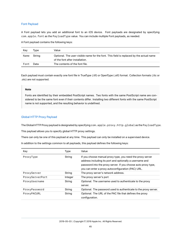# Font Payload

A Font payload lets you add an additional font to an iOS device. Font payloads are designated by specifying com.apple.font as the PayloadType value. You can include multiple Font payloads, as needed.

A Font payload contains the following keys:

| Key  | Tvpe   | Value                                                                                                                      |
|------|--------|----------------------------------------------------------------------------------------------------------------------------|
| Name | Strina | Optional. The user-visible name for the font. This field is replaced by the actual name<br>of the font after installation. |
| Font | Data   | The contents of the font file.                                                                                             |

Each payload must contain exactly one font file in TrueType (.ttf) or OpenType (.otf) format. Collection formats (.ttc or .otc) are not supported.

### **Note**

Fonts are identified by their embedded PostScript names. Two fonts with the same PostScript name are considered to be the same font even if their contents differ. Installing two different fonts with the same PostScript name is not supported, and the resulting behavior is undefined.

# Global HTTP Proxy Payload

The Global HTTP Proxy payload is designated by specifying com.apple.proxy.http.global as the PayloadType.

This payload allows you to specify global HTTP proxy settings.

There can only be one of this payload at any time. This payload can only be installed on a supervised device.

| Key             | Type    | Value                                                                                                                                                                                                                                          |
|-----------------|---------|------------------------------------------------------------------------------------------------------------------------------------------------------------------------------------------------------------------------------------------------|
| ProxyType       | String  | If you choose manual proxy type, you need the proxy server<br>address including its port and optionally a username and<br>password into the proxy server. If you choose auto proxy type,<br>you can enter a proxy autoconfiguration (PAC) URL. |
| ProxyServer     | String  | The proxy server's network address.                                                                                                                                                                                                            |
| ProxyServerPort | Integer | The proxy server's port                                                                                                                                                                                                                        |
| ProxyUsername   | String  | Optional. The username used to authenticate to the proxy<br>server.                                                                                                                                                                            |
| ProxyPassword   | String  | Optional. The password used to authenticate to the proxy server.                                                                                                                                                                               |
| ProxyPACURL     | String  | Optional. The URL of the PAC file that defines the proxy<br>configuration.                                                                                                                                                                     |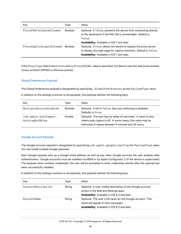| Key                      | Type           | Value                                                                                                                                                                               |
|--------------------------|----------------|-------------------------------------------------------------------------------------------------------------------------------------------------------------------------------------|
| ProxyPACFallbackAllowed  | <b>Boolean</b> | Optional. If false, prevents the device from connecting directly<br>to the destination if the PAC file is unreachable. Default is<br>false.                                         |
|                          |                | <b>Availability:</b> Available in iOS 7 and later.                                                                                                                                  |
| ProxyCaptiveLoginAllowed | <b>Boolean</b> | Optional. If true, allows the device to bypass the proxy server<br>to display the login page for captive networks. Default is false.<br>Availability: Available in iOS 7 and later. |

If the ProxyType field is set to Auto and no ProxyPACURL value is specified, the device uses the web proxy autodiscovery protocol (WPAD) to discover proxies.

# Global Preferences Payload

The Global Preferences payload is designated by specifying .GlobalPreferences as the PayloadType value.

In addition to the settings common to all payloads, this payload defines the following keys:

| Key                                      | Tvpe           | Value                                                                                                                                                                                 |
|------------------------------------------|----------------|---------------------------------------------------------------------------------------------------------------------------------------------------------------------------------------|
| MultipleSessionEnabled                   | <b>Boolean</b> | Optional. If set to false, fast user switching is disabled.<br>Defaults to true.                                                                                                      |
| com.apple.autologout.<br>AutoLogOutDelay | Double         | Optional. The auto log out delay (in seconds). A value of zero,<br>means auto-logout is off. In some cases, this value may be<br>restricted to values between 5 minutes and 24 hours. |

# Google Account Payload

The Google account payload is designated by specifying com.apple.google-oauth as the PayloadType value. You can install multiple Google payloads.

Each Google payload sets up a Google email address as well as any other Google services the user enables after authentication. Google accounts must be installed via MDM or by Apple Configurator 2 (if the device is supervised). The payload never contains credentials; the user will be prompted to enter credentials shortly after the payload has been successfully installed.

| Key                | Type   | Value                                                                                                                                                       |
|--------------------|--------|-------------------------------------------------------------------------------------------------------------------------------------------------------------|
| AccountDescription | String | Optional. A user-visible description of the Google account,<br>shown in the Mail and Settings apps.<br><b>Availability:</b> Available in iOS 9.3 and later. |
| AccountName        | String | Optional. The user's full name for the Google account. This<br>name will appear in sent messages.<br>Availability: Available in iOS 9.3 and later.          |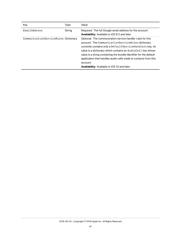| Key                                  | Type   | Value                                                                                                                                                                                                                                                                                                                                                                                                                                              |
|--------------------------------------|--------|----------------------------------------------------------------------------------------------------------------------------------------------------------------------------------------------------------------------------------------------------------------------------------------------------------------------------------------------------------------------------------------------------------------------------------------------------|
| <b>FmailAddress</b>                  | String | Required. The full Google email address for the account.<br><b>Availability:</b> Available in iOS 9.3 and later.                                                                                                                                                                                                                                                                                                                                   |
| CommunicationServiceRules Dictionary |        | Optional. The communication service handler rules for this<br>account. The CommunicationServiceRules dictionary<br>currently contains only a Default Service Handlers key; its<br>value is a dictionary which contains an AudioCall key whose<br>value is a string containing the bundle identifier for the default<br>application that handles audio calls made to contacts from this<br>account.<br>Availability: Available in iOS 10 and later. |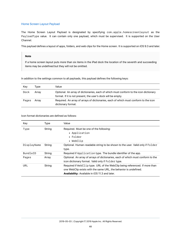# Home Screen Layout Payload

The Home Screen Layout Payload is designated by specifying com.apple.homescreenlayout as the PayloadType value. It can contain only one payload, which must be supervised. It is supported on the User Channel.

This payload defines a layout of apps, folders, and web clips for the Home screen. It is supported on iOS 9.3 and later.

#### **Note**

If a home screen layout puts more than six items in the iPad dock the location of the seventh and succeeding items may be undefined but they will not be omitted.

In addition to the settings common to all payloads, this payload defines the following keys:

| Key   | Type  | Value                                                                                                                                                 |
|-------|-------|-------------------------------------------------------------------------------------------------------------------------------------------------------|
| Dock  | Array | Optional. An array of dictionaries, each of which must conform to the icon dictionary<br>format. If it is not present, the user's dock will be empty. |
| Pages | Array | Required. An array of arrays of dictionaries, each of which must conform to the icon<br>dictionary format.                                            |

Icon format dictionaries are defined as follows:

| Key         | Type   | Value                                                                                                                                                                                                    |
|-------------|--------|----------------------------------------------------------------------------------------------------------------------------------------------------------------------------------------------------------|
| Type        | String | Required. Must be one of the following:<br>• Application                                                                                                                                                 |
|             |        | $\bullet$ Folder<br>$\bullet$ WebClip                                                                                                                                                                    |
| DisplayName | String | Optional. Human-readable string to be shown to the user. Valid only if Folder<br>type.                                                                                                                   |
| BundleID    | String | Required if Application type. The bundle identifier of the app.                                                                                                                                          |
| Pages       | Array  | Optional. An array of arrays of dictionaries, each of which must conform to the<br>icon dictionary format. Valid only if Folder type.                                                                    |
| URL         | String | Required if WebClip type. URL of the WebClip being referenced. If more than<br>one WebClip exists with the same URL, the behavior is undefined.<br><b>Availability:</b> Available in iOS 11.3 and later. |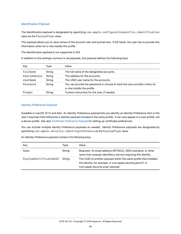# Identification Payload

The Identification payload is designated by specifying com.apple.configurationprofile.identification value as the PayloadType value.

This payload allows you to save names of the account user and prompt text. If left blank, the user has to provide this information when he or she installs the profile.

The Identification payload is not supported in iOS.

In addition to the settings common to all payloads, this payload defines the following keys:

| Key          | Tvpe   | Value                                                                                                      |
|--------------|--------|------------------------------------------------------------------------------------------------------------|
| FullName     | String | The full name of the designated accounts.                                                                  |
| EmailAddress | String | The address for the accounts.                                                                              |
| UserName     | String | The UNIX user name for the accounts.                                                                       |
| Password     | String | You can provide the password or choose to have the user provide it when he<br>or she installs the profile. |
| Prompt       | String | Custom instruction for the user, if needed.                                                                |

# Identity Preference Payload

Available in macOS 10.12 and later. An Identity Preference payload lets you identify an Identity Preference item in the user's keychain that references a identity payload included in the same profile. It can only appear in a user profile, not a device profile. See also [Certificate Preference Payload](#page-19-0) for setting up certificate preferences.

You can include multiple Identity Preference payloads as needed. Identity Preference payloads are designated by specifying com.apple.security.identitypreference as the PayloadType value.

An Identity Preference payload contains the following keys:

| Key                    | Type   | Value                                                                                                                                                                   |
|------------------------|--------|-------------------------------------------------------------------------------------------------------------------------------------------------------------------------|
| Name                   | String | Required. An email address (RFC822), DNS hostname, or other<br>name that uniquely identifies a service requiring this identity.                                         |
| PayloadCertificateUUID | String | The UUID of another payload within the same profile that installed<br>the identity; for example, a 'com.apple.security.pkcs12' or<br>'com.apple.security.scep' payload. |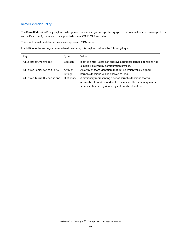# Kernel Extension Policy

The Kernel Extension Policy payload is designated by specifying com.apple.syspolicy.kernel-extension-policy as the PayloadType value. It is supported on macOS 10.13.2 and later.

This profile must be delivered via a user approved MDM server.

| Key                     | Type                       | Value                                                                                                                                                                                       |
|-------------------------|----------------------------|---------------------------------------------------------------------------------------------------------------------------------------------------------------------------------------------|
| AllowUserOverrides      | <b>Boolean</b>             | If set to true, users can approve additional kernel extensions not<br>explicitly allowed by configuration profiles.                                                                         |
| AllowedTeamIdentifiers  | Array of<br><b>Strings</b> | An array of team identifiers that define which validly signed<br>kernel extensions will be allowed to load.                                                                                 |
| AllowedKernelExtensions | Dictionary                 | A dictionary representing a set of kernel extensions that will<br>always be allowed to load on the machine. The dictionary maps<br>team identifiers (keys) to arrays of bundle identifiers. |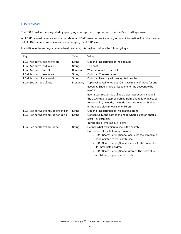# LDAP Payload

The LDAP payload is designated by specifying com.apple.ldap.account as the PayloadType value.

An LDAP payload provides information about an LDAP server to use, including account information if required, and a set of LDAP search policies to use when querying that LDAP server.

| Key                          | <b>Type</b> | Value                                                                                                                                                                                                                                                                                                                                                               |
|------------------------------|-------------|---------------------------------------------------------------------------------------------------------------------------------------------------------------------------------------------------------------------------------------------------------------------------------------------------------------------------------------------------------------------|
| LDAPAccountDescription       | String      | Optional. Description of the account.                                                                                                                                                                                                                                                                                                                               |
| LDAPAccountHostName          | String      | The host.                                                                                                                                                                                                                                                                                                                                                           |
| LDAPAccountUseSSL            | Boolean     | Whether or not to use SSL.                                                                                                                                                                                                                                                                                                                                          |
| LDAPAccountUserName          | String      | Optional. The username.                                                                                                                                                                                                                                                                                                                                             |
| LDAPAccountPassword          | String      | Optional. Use only with encrypted profiles.                                                                                                                                                                                                                                                                                                                         |
| LDAPSearchSettings           | Dictionary  | Top level container object. Can have many of these for one<br>account. Should have at least one for the account to be<br>useful.<br>Each LDAPSearchSettings object represents a node in<br>the LDAP tree to start searching from, and tells what scope<br>to search in (the node, the node plus one level of children,<br>or the node plus all levels of children). |
| LDAPSearchSettingDescription | String      | Optional. Description of this search setting.                                                                                                                                                                                                                                                                                                                       |
| LDAPSearchSettingSearchBase  | String      | Conceptually, the path to the node where a search should<br>start. For example:<br>ou=people, o=example corp                                                                                                                                                                                                                                                        |
| LDAPSearchSettingScope       | String      | Defines what recursion to use in the search.<br>Can be one of the following 3 values:<br>• LDAPSearchSettingScopeBase: Just the immediate<br>node pointed to by SearchBase<br>• LDAPSearchSettingScopeOneLevel: The node plus<br>its immediate children.<br>• LDAPSearchSettingScopeSubtree: The node plus<br>all children, regardless of depth.                    |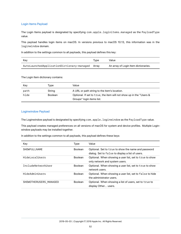# Login Items Payload

The Login Items payload is designated by specifying com.apple.loginitems.managed as the PayloadType value.

This payload handles login items on macOS. In versions previous to macOS 10.13, this information was in the loginwindow domain.

In addition to the settings common to all payloads, this payload defines this key:

| Kev                                       | Tvpe  | Value                                |
|-------------------------------------------|-------|--------------------------------------|
| AutoLaunchedApplicationDictionary-managed | Arrav | An array of Login Item dictionaries. |

The Login Item dictionary contains:

| Kev  | Type           | Value                                                                                            |
|------|----------------|--------------------------------------------------------------------------------------------------|
| path | String         | A URL or path string to the item's location.                                                     |
| hide | <b>Boolean</b> | Optional. If set to true, the item will not show up in the "Users &<br>Groups" login items list. |

# Loginwindow Payload

The Loginwindow payload is designated by specifying com.apple.loginwindow as the PayloadType value.

This payload creates managed preferences on all versions of macOS for system and device profiles. Multiple Loginwindow payloads may be installed together.

| Key                       | Type           | Value                                                                                                   |
|---------------------------|----------------|---------------------------------------------------------------------------------------------------------|
| <b>SHOWFULLNAME</b>       | <b>Boolean</b> | Optional. Set to true to show the name and password<br>dialog. Set to false to display a list of users. |
| HidelocalUsers            | <b>Boolean</b> | Optional. When showing a user list, set to true to show<br>only network and system users.               |
| <b>IncludeNetworkUser</b> | <b>Boolean</b> | Optional. When showing a user list, set to true to show<br>network users.                               |
| HideAdminUsers            | <b>Boolean</b> | Optional. When showing a user list, set to false to hide<br>the administrator users.                    |
| SHOWOTHERUSERS MANAGED    | <b>Boolean</b> | Optional. When showing a list of users, set to true to<br>display Other users.                          |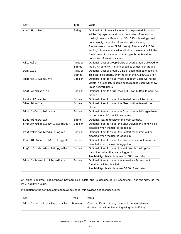| Key                           | Type                       | Value                                                                                                                                                                                                                                                                                                                                                                                                                                              |
|-------------------------------|----------------------------|----------------------------------------------------------------------------------------------------------------------------------------------------------------------------------------------------------------------------------------------------------------------------------------------------------------------------------------------------------------------------------------------------------------------------------------------------|
| AdminHostInfo                 | String                     | Optional. If this key is included in the payload, its value<br>will be displayed as additional computer information on<br>the login window. Before macOS 10.10, this string could<br>contain only particular information (HostName,<br>SystemVersion, or IPAddress). After macOS 10.10,<br>setting this key to any value will allow the user to click the<br>"time" area of the menu bar to toggle through various<br>computer information values. |
| AllowList                     | Array of<br><b>Strings</b> | Optional. User or group GUIDs of users that are allowed to<br>log in. An asterisk '*' string specifies all users or groups.                                                                                                                                                                                                                                                                                                                        |
| DenyList                      | Array of<br>Strings        | Optional. User or group GUIDs of users that cannot log in.<br>This list takes priority over the list in the AllowList key.                                                                                                                                                                                                                                                                                                                         |
| HideMobileAccounts            | <b>Boolean</b>             | Optional. If set to true, mobile account users will not be<br>visible in a user list. In some cases mobile users will show<br>up as network users.                                                                                                                                                                                                                                                                                                 |
| ShutDownDisabled              | Boolean                    | Optional. If set to true, the Shut Down button item will be<br>hidden.                                                                                                                                                                                                                                                                                                                                                                             |
| RestartDisabled               | Boolean                    | Optional. If set to true, the Restart item will be hidden.                                                                                                                                                                                                                                                                                                                                                                                         |
| SleepDisabled                 | <b>Boolean</b>             | Optional. If set to true, the Sleep button item will be<br>hidden.                                                                                                                                                                                                                                                                                                                                                                                 |
| <b>DisableConsoleAccess</b>   | <b>Boolean</b>             | Optional. If set to true, the Other user will disregard use<br>of the '>console' special user name.                                                                                                                                                                                                                                                                                                                                                |
| LoginwindowText               | String                     | Optional. Text to display in the login window.                                                                                                                                                                                                                                                                                                                                                                                                     |
| ShutDownDisabledWhileLoggedIn | Boolean                    | Optional. If set to true, the Shut Down menu item will be<br>disabled when the user is logged in.                                                                                                                                                                                                                                                                                                                                                  |
| RestartDisabledWhileLoggedIn  | <b>Boolean</b>             | Optional. If set to true, the Restart menu item will be<br>disabled when the user is logged in.                                                                                                                                                                                                                                                                                                                                                    |
| PowerOffDisabledWhileLoggedIn | <b>Boolean</b>             | Optional. If set to true, the Power Off menu item will be<br>disabled when the user is logged in.                                                                                                                                                                                                                                                                                                                                                  |
| LogOutDisabledWhileLoggedIn   | <b>Boolean</b>             | Optional. If set to true, this will disable the Log Out<br>menu item when the user is logged in.<br>Availability: Available in macOS 10.13 and later.                                                                                                                                                                                                                                                                                              |
| DisableScreenLockImmediate    | <b>Boolean</b>             | Optional. If set to true, the immediate Screen Lock<br>functions will be disabled.<br>Availability: Available in macOS 10.13 and later.                                                                                                                                                                                                                                                                                                            |

An older, separate, Loginwindow payload also exists and is designated by specifying loginwindow as the PayloadType value.

| Key                          | Tvpe           | Value                                                                                                       |
|------------------------------|----------------|-------------------------------------------------------------------------------------------------------------|
| DisableLoginItemsSuppression | <b>Boolean</b> | Optional. If set to true, the user is prevented from<br>disabling login item launching using the Shift key. |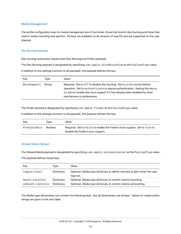### <span id="page-53-0"></span>Media Management

The profile configuration keys for media management are of two kinds: those that restrict disc burning and those that restrict media mounting and ejection. All keys are available on all versions of macOS and are supported on the user channel.

#### Disc Burning Payloads

Disc burning restrictions require both Disc Burning and Finder payloads.

The Disc Burning payload is designated by specifying com.apple.DiscRecording as the PayloadType value.

In addition to the settings common to all payloads, this payload defines this key:

| Key         | Tvpe   | Value                                                                                                                                                                                                                                                                      |
|-------------|--------|----------------------------------------------------------------------------------------------------------------------------------------------------------------------------------------------------------------------------------------------------------------------------|
| BurnSupport | String | Required. Set to off to disable disc burning. Set to on for normal default<br>operation. Set to authenticate to require authentication. Setting this key to<br>on will not enable disc burn support if it has already been disabled by other<br>mechanisms or preferences. |

The Finder payload is designated by specifying com.apple.finder as the PayloadType value.

In addition to the settings common to all payloads, this payload defines this key:

| Key          | Tvpe           | Value                                                                                                            |
|--------------|----------------|------------------------------------------------------------------------------------------------------------------|
| ProhibitBurn | <b>Boolean</b> | Required. Set to false to enable the Finder's burn support. Set to true to<br>disable the Finder's burn support. |

#### Allowed Media Payload

The Allowed Media payload is designated by specifying com.apple.systemuiserver as the PayloadType value.

This payload defines these keys:

| Key              | Type       | Value                                                                                 |
|------------------|------------|---------------------------------------------------------------------------------------|
| logout-eject     | Dictionary | Optional. Media type dictionary to define volumes to eject when the user<br>logs out. |
| mount-controls   | Dictionary | Optional. Media type dictionary to control volume mounting.                           |
| unmount-controls | Dictionary | Optional. Media type dictionary to control volume unmounting.                         |

The Media type dictionaries can contain the following keys. Not all dictionaries use all keys. Values for media action strings are given in the next table.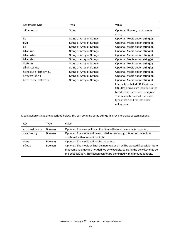| Key (media type)  | Type                       | Value                                     |
|-------------------|----------------------------|-------------------------------------------|
| all-media         | String                     | Optional. Unused; set to empty<br>string. |
| cd                | String or Array of Strings | Optional. Media action string(s).         |
| dvd               | String or Array of Strings | Optional. Media action string(s).         |
| bd                | String or Array of Strings | Optional. Media action string(s).         |
| blankcd           | String or Array of Strings | Optional. Media action string(s).         |
| blankdvd          | String or Array of Strings | Optional. Media action string(s).         |
| blankbd           | String or Array of Strings | Optional. Media action string(s).         |
| dvdram            | String or Array of Strings | Optional. Media action string(s).         |
| disk-image        | String or Array of Strings | Optional. Media action string(s).         |
| harddisk-internal | String or Array of Strings | Optional. Media action string(s).         |
| networkdisk       | String or Array of Strings | Optional. Media action string(s).         |
| harddisk-external | String or Array of Strings | Optional. Media action string(s).         |
|                   |                            | Internally installed SD-Cards and         |
|                   |                            | USB flash drives are included in the      |
|                   |                            | harddisk-external category.               |
|                   |                            | This key is the default for media         |
|                   |                            | types that don't fall into other          |
|                   |                            | categories.                               |

Media action strings are described below. You can combine some strings in arrays to create custom actions.

| Key          | Type           | Value                                                                                                                                                                                                                                        |
|--------------|----------------|----------------------------------------------------------------------------------------------------------------------------------------------------------------------------------------------------------------------------------------------|
| authenticate | <b>Boolean</b> | Optional. The user will be authenticated before the media is mounted.                                                                                                                                                                        |
| read-only    | <b>Boolean</b> | Optional. The media will be mounted as read-only; this action cannot be<br>combined with unmount controls.                                                                                                                                   |
| deny         | <b>Boolean</b> | Optional. The media will not be mounted.                                                                                                                                                                                                     |
| eject        | <b>Boolean</b> | Optional. The media will not be mounted and it will be ejected if possible. Note<br>that some volumes are not defined as ejectable, so using the deny key may be<br>the best solution. This action cannot be combined with unmount controls. |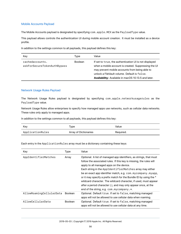# Mobile Accounts Payload

The Mobile Accounts payload is designated by specifying com.apple.MCX as the PayloadType value.

This payload allows controls the authentication UI during mobile account creation. It must be installed as a device profile.

In addition to the settings common to all payloads, this payload defines this key:

| Key                                            | Type           | Value                                                                                                                                                                                                                                                                   |
|------------------------------------------------|----------------|-------------------------------------------------------------------------------------------------------------------------------------------------------------------------------------------------------------------------------------------------------------------------|
| cachedaccounts.<br>askForSecureTokenAuthBypass | <b>Boolean</b> | If set to true, the authentication UI is not displayed<br>when a mobile account is created. Suppressing the UI<br>may prevent mobile accounts from being able to<br>unlock a FileVault volume. Default is false.<br>Availability: Available in macOS 10.13.5 and later. |

### Network Usage Rules Payload

The Network Usage Rules payload is designated by specifying com.apple.networkusagerules as the PayloadType value.

Network Usage Rules allow enterprises to specify how managed apps use networks, such as cellular data networks. These rules only apply to managed apps.

In addition to the settings common to all payloads, this payload defines this key:

| Kev              | Type                  | Value     |
|------------------|-----------------------|-----------|
| ApplicationRules | Array of Dictionaries | Required. |

Each entry in the ApplicationRules array must be a dictionary containing these keys:

| Key                      | Type           | Value                                                                                                                                                                                                                                                                                                                                                                                                                                                                                                                                                                             |
|--------------------------|----------------|-----------------------------------------------------------------------------------------------------------------------------------------------------------------------------------------------------------------------------------------------------------------------------------------------------------------------------------------------------------------------------------------------------------------------------------------------------------------------------------------------------------------------------------------------------------------------------------|
| AppIdentifierMatches     | Array          | Optional. A list of managed app identifiers, as strings, that must<br>follow the associated rules. If this key is missing, the rules will<br>apply to all managed apps on the device.<br>Each string in the AppIdentifierMatches array may either<br>be an exact app identifier match, e.g. com. mycompany. myapp,<br>or it may specify a prefix match for the Bundle ID by using the *<br>wildcard character. The wildcard character, if used, must appear<br>after a period character (.), and may only appear once, at the<br>end of the string, e.g. com. mycompany. $\ast$ . |
| AllowRoamingCellularData | <b>Boolean</b> | Optional. Default true. If set to false, matching managed<br>apps will not be allowed to use cellular data when roaming.                                                                                                                                                                                                                                                                                                                                                                                                                                                          |
| AllowCellularData        | <b>Boolean</b> | Optional. Default true. If set to false, matching managed<br>apps will not be allowed to use cellular data at any time.                                                                                                                                                                                                                                                                                                                                                                                                                                                           |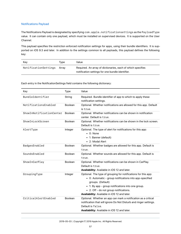# Notifications Payload

The Notifications Payload is designated by specifying com.apple.notificationsettings as the PayloadType value. It can contain only one payload, which must be installed on supervised devices. It is supported on the User Channel.

This payload specifies the restriction enforced notification settings for apps, using their bundle identifiers. It is supported on iOS 9.3 and later. In addition to the settings common to all payloads, this payload defines the following key:

| Key                  | Tvpe  | Value                                                                                                           |
|----------------------|-------|-----------------------------------------------------------------------------------------------------------------|
| NotificationSettings | Arrav | Required. An array of dictionaries, each of which specifies<br>notification settings for one bundle identifier. |

Each entry in the NotificationSettings field contains the following dictionary:

| Key                      | <b>Type</b> | Value                                                                                                                                                                                                                                                                                         |
|--------------------------|-------------|-----------------------------------------------------------------------------------------------------------------------------------------------------------------------------------------------------------------------------------------------------------------------------------------------|
| BundleIdentifier         | String      | Required. Bundle identifier of app to which to apply these<br>notification settings.                                                                                                                                                                                                          |
| NotificationsEnabled     | Boolean     | Optional. Whether notifications are allowed for this app. Default<br>is true.                                                                                                                                                                                                                 |
| ShowInNotificationCenter | Boolean     | Optional. Whether notifications can be shown in notification<br>center. Default is true.                                                                                                                                                                                                      |
| ShowInLockScreen         | Boolean     | Optional. Whether notifications can be shown in the lock screen.<br>Default is true.                                                                                                                                                                                                          |
| AlertType                | Integer     | Optional. The type of alert for notifications for this app:<br>$\bullet$ 0: None<br>• 1: Banner (default)<br>• 2: Modal Alert                                                                                                                                                                 |
| BadgesEnabled            | Boolean     | Optional. Whether badges are allowed for this app. Default is<br>true.                                                                                                                                                                                                                        |
| SoundsEnabled            | Boolean     | Optional. Whether sounds are allowed for this app. Default is<br>true.                                                                                                                                                                                                                        |
| ShowInCarPlay            | Boolean     | Optional. Whether notifications can be shown in CarPlay.<br>Default is true.<br>Availability: Available in iOS 12 and later.                                                                                                                                                                  |
| GroupingType             | Integer     | Optional. The type of grouping for notifications for this app:<br>• 0: Automatic - group notifications into app-specified<br>groups. (Default)<br>• 1: By app - group notifications into one group.<br>• 2: Off - do not group notifications.<br>Availability: Available in iOS 12 and later. |
| CriticalAlertEnabled     | Boolean     | Optional. Whether an app can mark a notification as a critical<br>notification that will ignore Do Not Disturb and ringer settings.<br>Default is false.<br>Availability: Available in iOS 12 and later.                                                                                      |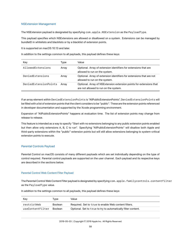# NSExtension Management

The NSExtension payload is designated by specifying com.apple.NSExtension as the PayloadType.

This payload specifies which NSExtensions are allowed or disallowed on a system. Extensions can be managed by bundleID in whitelists and blacklists or by a blacklist of extension points.

It is supported on macOS 10.13 and later.

In addition to the settings common to all payloads, this payload defines these keys:

| Key                   | Type  | Value                                                                                                        |
|-----------------------|-------|--------------------------------------------------------------------------------------------------------------|
| AllowedExtensions     | Array | Optional. Array of extension identifiers for extensions that are<br>allowed to run on the system.            |
| DeniedExtensions      | Array | Optional. Array of extension identifiers for extensions that are not<br>allowed to run on the system.        |
| DeniedExtensionPoints | Arrav | Optional. Array of NSExtension extension points for extensions that<br>are not allowed to run on the system. |

If an array element within DeniedExtensionPoints is "AllPublicExtensionPoints", DeniedExtensionPoints will be filled with a list of extension points that the client considers to be "public". These are the extension points referenced in developer documentation and supported by the Xcode programming environment.

Expansion of "AllPublicExtensionPoints" happens at evaluation time. The list of extension points may change from release to release.

This feature is intended as a way to specify "Start with no extensions belonging to any public extension points enabled but then allow only extensions A, B, C to run". Specifying "AllPublicExtensionPoints" will disallow both Apple and third-party extensions within the "public" extension points but will still allow extensions belonging to system-critical extension points to execute.

# Parental Controls Payload

Parental Control on macOS consists of many different payloads which are set individually depending on the type of control required. Parental control payloads are supported on the user channel. Each payload and its respective keys are described in the sections below.

#### Parental Control Web Content Filter Payload

The Parental Control Web Content Filter payload is designated by specifying com.apple.familycontrols.contentfilter as the PayloadType value.

| Kev              | Tvpe           | Value                                                         |
|------------------|----------------|---------------------------------------------------------------|
| restrictWeb      | <b>Boolean</b> | Required. Set to true to enable Web content filters.          |
| useContentFilter | <b>Boolean</b> | Optional. Set to true to try to automatically filter content. |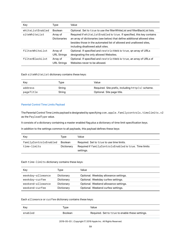| Key              | Type                            | Value                                                                                                                                                                                                                                                          |
|------------------|---------------------------------|----------------------------------------------------------------------------------------------------------------------------------------------------------------------------------------------------------------------------------------------------------------|
| whiteListEnabled | <b>Boolean</b>                  | Optional. Set to true to use the filter White List and filter Black List lists.                                                                                                                                                                                |
| siteWhiteList    | Array of<br><b>Dictionaries</b> | Required if whiteListEnabled is true. If specified, this key contains<br>an array of dictionaries (see below) that define additional allowed sites<br>besides those in the automated list of allowed and unallowed sites,<br>including disallowed adult sites. |
| filterWhiteList  | Array of<br><b>URL Strings</b>  | Optional. If specified and restrictWeb is true, qn array of URLs<br>designating the only allowed Websites.                                                                                                                                                     |
| filterBlackList  | Array of<br><b>URL Strings</b>  | Optional. If specified and restrictWeb is true, an array of URLs of<br>Websites never to be allowed.                                                                                                                                                           |

Each siteWhiteList dictionary contains these keys:

| Key       | Type   | Value                      |
|-----------|--------|----------------------------|
| address   | String |                            |
| pageTitle | String | Optional. Site page title. |

### Parental Control Time Limits Payload

The Parental Control Time Limits payload is designated by specifying com.apple.familycontrols.timelimits.v2 as the PayloadType value.

It consists of a dictionary containing a master enabled flag plus a dictionary of time limit specification keys.

In addition to the settings common to all payloads, this payload defines these keys:

| Kev                   | Tvpe       | Value                                                                   |
|-----------------------|------------|-------------------------------------------------------------------------|
| familyControlsEnabled | Boolean    | Required. Set to true to use time limits.                               |
| time-limits           | Dictionary | Required if $familyControl$ s Enabled is true. Time limits<br>settings. |

### Each time-limits dictionary contains these keys:

| Key               | Type       | Value                                 |
|-------------------|------------|---------------------------------------|
| weekday-allowance | Dictionary | Optional. Weekday allowance settings. |
| weekday-curfew    | Dictionary | Optional. Weekday curfew settings.    |
| weekend-allowance | Dictionary | Optional. Weekend allowance settings. |
| weekend-curfew    | Dictionary | Optional. Weekend curfew settings.    |

### Each allowance or curfew dictionary contains these keys:

| Kev     | Type           | Value                                           |
|---------|----------------|-------------------------------------------------|
| enabled | <b>Boolean</b> | Required. Set to true to enable these settings. |
|         |                |                                                 |

2019-05-03 | Copyright © 2019 Apple Inc. All Rights Reserved.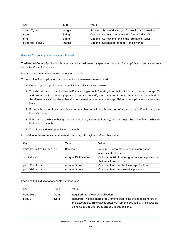| Kev           | Type    | Value                                                      |
|---------------|---------|------------------------------------------------------------|
| rangeType     | Integer | Required. Type of day range: $0 =$ weekday, $1 =$ weekend. |
| start         | String  | Optional. Curfew start time in the format %d:%d:%d.        |
| end           | String  | Optional. Curfew end time in the format %d:%d:%d.          |
| secondsPerDay | Integer | Optional. Seconds for that day for allowance.              |

#### Parental Control Application Access Payload

The Parental Control Application Access payload is designated by specifying com.apple.applicationaccess.new as the PayloadType value.

It enables application access restrictions on macOS.

To determine if an application can be launched, these rules are evaluated:

- 1. Certain system applications and utilities are always allowed to run.
- 2. The whiteList is searched to see if a matching entry is found by bundleID. If a match is found, the appID and detachedSignature (if present) are used to verify the signature of the application being launched. If the signature is valid and matches the designated requirement (in the appID key), the application is allowed to launch.
- 3. If the path to the binary being launched matches (or is in a subdirectory) of a path in pathBlackList, the binary is denied.
- 4. If the path to the binary being launched matches (or is a subdirectory) of a path in pathWhiteList, the binary is allowed to launch.
- 5. The binary is denied permission to launch.

In addition to the settings common to all payloads, this payload defines these keys:

| Key                   | Type                         | Value                                                |
|-----------------------|------------------------------|------------------------------------------------------|
| familyControlsEnabled | <b>Boolean</b>               | Required. Set to true to enable application          |
|                       |                              | access restrictions.                                 |
| whitelist             | <b>Array of Dictionaries</b> | Optional. A list of code signatures for applications |
|                       |                              | that are allowed to run.                             |
| pathBlackList         | Array of Strings             | Optional. Paths to disallowed applications.          |
| pathWhiteList         | Array of Strings             | Optional. Paths to allowed applications.             |

Each whiteList dictionary contains these keys:

| Key      | Tvpe   | Value                                                                                                                                                                                    |
|----------|--------|------------------------------------------------------------------------------------------------------------------------------------------------------------------------------------------|
| bundleID | String | Required. Bundle ID of application.                                                                                                                                                      |
| appID    | Data   | Required. The designated requirement describing the code signature of<br>this executable. This value is obtained from the Security. framework<br>using SecCodeCopyDesignatedRequirement. |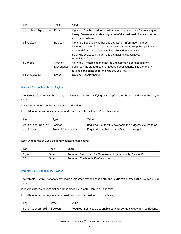| Key               | Type                            | Value                                                                                                                                                                                                                                                                                   |
|-------------------|---------------------------------|-----------------------------------------------------------------------------------------------------------------------------------------------------------------------------------------------------------------------------------------------------------------------------------------|
| detachedSignature | Data                            | Optional. Can be used to provide the required signature for an unsigned<br>binary. Generate an ad-hoc signature of the unsigned binary and store<br>the signature here.                                                                                                                 |
| disabled          | <b>Boolean</b>                  | Optional. Specifies whether this application information is to be<br>included in the whitelist or not. Set to true to keep the application<br>off the whitel ist. It could still be allowed to launch via<br>pathWhiteList, although this behavior is discouraged.<br>Default is false. |
| subApps           | Array of<br><b>Dictionaries</b> | Optional. For applications that include nested helper applications,<br>describes the signatures of embedded applications. The dictionary<br>format is the same as for the whitelist key.                                                                                                |
| displayName       | String                          | Optional. Display name.                                                                                                                                                                                                                                                                 |

### Parental Control Dashboard Payload

The Parental Control Dashboard payload is designated by specifying com.apple.dashboard as the PayloadType value.

It is used to define a white list of dashboard widgets.

In addition to the settings common to all payloads, this payload defines these keys:

| Key              | Type                  | Value                                                        |
|------------------|-----------------------|--------------------------------------------------------------|
| whiteListEnabled | <b>Boolean</b>        | Required. Set to true to enable the widget white list items. |
| whiteList        | Array of Dictionaries | Required. List that defines Dashboard widgets.               |

### Each widget whiteList dictionary contains these keys:

| Kev  | Tvpe   | Value                                                            |
|------|--------|------------------------------------------------------------------|
| Type | String | Required. Set to bundleID to use a widget's bundle ID as its ID. |
| ΙD   | String | Required. The bundle ID of a widget.                             |

#### Parental Control Dictionary Payload

The Parental Control Dictionary payload is designated by specifying com.apple.Dictionary as the PayloadType value.

It enables the restrictions defined in the device's Parental Controls Dictionary.

| Kev             | Tvpe    | Value                                                                      |
|-----------------|---------|----------------------------------------------------------------------------|
| parentalControl | Boolean | Required. Set to true to enable parental controls dictionary restrictions. |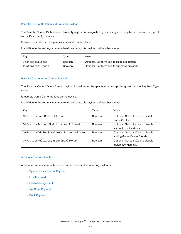#### Parental Control Dictation and Profanity Payload

The Parental Control Dictation and Profanity payload is designated by specifying com. apple.ironwood.support as the PayloadType value.

It disables dictation and suppresses profanity on the device.

In addition to the settings common to all payloads, this payload defines these keys:

| Kev              | Type           | Value                                         |
|------------------|----------------|-----------------------------------------------|
| IronwoodAllowed  | Boolean        | Optional. Set to false to disable dictation.  |
| ProfanityAllowed | <b>Boolean</b> | Optional. Set to false to suppress profanity. |

### Parental Control Game Center Payload

The Parental Control Game Center payload is designated by specifying com.apple.gamed as the PayloadType value.

It restricts Game Center options on the device.

In addition to the settings common to all payloads, this payload defines these keys:

| Key                                     | Type           | Value                                                            |
|-----------------------------------------|----------------|------------------------------------------------------------------|
| GKFeatureGameCenterAllowed              | <b>Boolean</b> | Optional. Set to false to disable<br>Game Center.                |
| GKFeatureAccountModificationAllowed     | <b>Boolean</b> | Optional. Set to false to disable<br>account modifications.      |
| GKFeatureAddingGameCenterFriendsAllowed | <b>Boolean</b> | Optional. Set to false to disable<br>adding Game Center friends. |
| GKFeatureMultiplayerGamingAllowed       | <b>Boolean</b> | Optional. Set to false to disable<br>multiplayer gaming.         |

### Additional Parental Controls

Additional parental control functions can be found in the following payloads:

- [System Policy Control Payload](#page-87-0)
- [Email Payload](#page-32-0)
- [Media Management](#page-53-0)
- [AppStore Payload](#page-13-0)
- [Dock Payload](#page-26-0)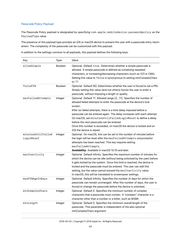# Passcode Policy Payload

The Passcode Policy payload is designated by specifying com.apple.mobiledevice.passwordpolicy as the PayloadType value.

The presence of this payload type prompts an iOS or macOS device to present the user with a passcode entry mechanism. The complexity of the passcode can be customized with this payload.

| In addition to the settings common to all payloads, this payload defines the following keys: |  |  |
|----------------------------------------------------------------------------------------------|--|--|
|----------------------------------------------------------------------------------------------|--|--|

| Key                              | <b>Type</b>    | Value                                                                                                                                                                                                                                                                                                                                                                                                                                                                                                           |
|----------------------------------|----------------|-----------------------------------------------------------------------------------------------------------------------------------------------------------------------------------------------------------------------------------------------------------------------------------------------------------------------------------------------------------------------------------------------------------------------------------------------------------------------------------------------------------------|
| allowSimple                      | <b>Boolean</b> | Optional. Default true. Determines whether a simple passcode is<br>allowed. A simple passcode is defined as containing repeated<br>characters, or increasing/decreasing characters (such as 123 or CBA).<br>Setting this value to false is synonymous to setting minComplexChars<br>to "1".                                                                                                                                                                                                                     |
| forcePIN                         | <b>Boolean</b> | Optional. Default NO. Determines whether the user is forced to set a PIN.<br>Simply setting this value (and not others) forces the user to enter a<br>passcode, without imposing a length or quality.                                                                                                                                                                                                                                                                                                           |
| maxFailedAttempts                | Integer        | Optional. Default 11. Allowed range [211]. Specifies the number of<br>allowed failed attempts to enter the passcode at the device's lock<br>screen.<br>After six failed attempts, there is a time delay imposed before a<br>passcode can be entered again. The delay increases with each attempt.<br>On macOS, set minutesUntilFailedLoginReset to define a delay<br>before the next passcode can be entered.<br>Once this number is exceeded, on macOS the device is locked and on<br>iOS the device is wiped. |
| minutesUntilFailed<br>LoginReset | Integer        | Optional. On macOS, this can be set to the number of minutes before<br>the login will be reset after the maxFailedAttempts unsuccessful<br>attempts has been reached. This key requires setting<br>maxFailedAttempts.<br>Availability: Available in macOS 10.10 and later.                                                                                                                                                                                                                                      |
| maxInactivity                    | Integer        | Optional. Default Infinity. Specifies the maximum number of minutes for<br>which the device can be idle (without being unlocked by the user) before<br>it gets locked by the system. Once this limit is reached, the device is<br>locked and the passcode must be entered. The user can edit this<br>setting, but the value cannot exceed the max Inactivity value.<br>In macOS, this will be translated to screensaver settings.                                                                               |
| maxPINAgeInDays                  | Integer        | Optional. Default Infinity. Specifies the number of days for which the<br>passcode can remain unchanged. After this number of days, the user is<br>forced to change the passcode before the device is unlocked.                                                                                                                                                                                                                                                                                                 |
| minComplexChars                  | Integer        | Optional. Default 0. Specifies the minimum number of complex<br>characters that a passcode must contain. A "complex" character is a<br>character other than a number or a letter, such as &%\$#.                                                                                                                                                                                                                                                                                                                |
| minLength                        | Integer        | Optional. Default 0. Specifies the minimum overall length of the<br>passcode. This parameter is independent of the also optional<br>minComplexChars argument.                                                                                                                                                                                                                                                                                                                                                   |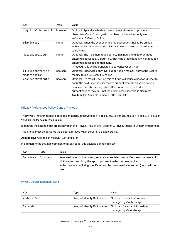| Key                              | Type           | Value                                                                                                                                                                                                                                                                                                                                                             |
|----------------------------------|----------------|-------------------------------------------------------------------------------------------------------------------------------------------------------------------------------------------------------------------------------------------------------------------------------------------------------------------------------------------------------------------|
| requireAlphanumeric Boolean      |                | Optional. Specifies whether the user must also enter alphabetic<br>characters ("abcd") along with numbers, or if numbers only are<br>sufficient. Default is false.                                                                                                                                                                                                |
| pinHistory                       | Integer        | Optional. When the user changes the passcode, it has to be unique<br>within the last N entries in the history. Minimum value is 1, maximum<br>value is 50.                                                                                                                                                                                                        |
| maxGracePeriod                   | Integer        | Optional. The maximum grace period, in minutes, to unlock without<br>entering a passcode. Default is 0, that is no grace period, which requires<br>entering a passcode immediately.<br>In macOS, this will be translated to screensaver settings.                                                                                                                 |
| allowFingerprint<br>Modification | <b>Boolean</b> | Optional. Supervised only. Not supported on macOS. Allows the user to<br>modify Touch ID. Default is false.                                                                                                                                                                                                                                                       |
| changeAtNextAuth                 | <b>Boolean</b> | Optional. On macOS, setting this to t rue will cause a password reset to<br>occur the next time the user tries to authenticate. If this key is set in a<br>device profile, the setting takes effect for all users, and admin<br>authentications may fail until the admin user password is also reset.<br><b>Availability:</b> Available in macOS 10.13 and later. |

# Privacy Preferences Policy Control Payload

The Privacy Preferences payload is designated by specifying com.apple.TCC.configuration-profile-policy value as the PayloadType value.

It controls the settings that are displayed in the "Privacy" tab of the "Security & Privacy" pane in System Preferences.

This profile must be delivered via a user approved MDM server in a device profile.

**Availability:** Available in macOS 10.14 and later.

In addition to the settings common to all payloads, this payload defines this key:

| Kev      | Tvpe       | Value                                                                                                                                                                                                                                                          |
|----------|------------|----------------------------------------------------------------------------------------------------------------------------------------------------------------------------------------------------------------------------------------------------------------|
| Services | Dictionary | Keys are limited to the privacy service names listed below. Each key is an array of<br>dictionaries describing the app or process to which access is given.<br>In the case of conflicting specifications, the most restrictive setting (deny) will be<br>used. |

# Privacy Service Dictionary Keys

| Key         | Type                           | Value                                                      |
|-------------|--------------------------------|------------------------------------------------------------|
| AddressBook | Array of Identity Dictionaries | Optional. Contact information<br>managed by Contacts.app.  |
| Calendar    | Array of Identity Dictionaries | Optional. Calendar information<br>managed by Calendar.app. |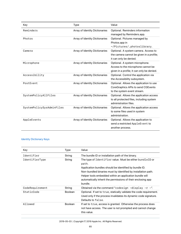| Key                       | <b>Type</b>                    | Value                                                                                                              |
|---------------------------|--------------------------------|--------------------------------------------------------------------------------------------------------------------|
| Reminders                 | Array of Identity Dictionaries | Optional. Reminders information<br>managed by Reminders.app.                                                       |
| Photos                    | Array of Identity Dictionaries | Optional. Pictures managed by<br>Photos.app in<br>~/Pictures/.photoslibrary.                                       |
| Camera                    | Array of Identity Dictionaries | Optional. A system camera. Access to<br>the camera cannot be given in a profile;<br>it can only be denied.         |
| Microphone                | Array of Identity Dictionaries | Optional. A system microphone.<br>Access to the microphone cannot be<br>given in a profile; it can only be denied. |
| Accessibility             | Array of Identity Dictionaries | Optional. Control the application via<br>the Accessibility subsystem.                                              |
| PostEvent                 | Array of Identity Dictionaries | Optional. Allows the application to use<br>CoreGraphics APIs to send CGEvents<br>to the system event stream.       |
| SystemPolicyAllFiles      | Array of Identity Dictionaries | Optional. Allows the application access<br>to all protected files, including system<br>administration files.       |
| SystemPolicySysAdminFiles | Array of Identity Dictionaries | Optional. Allows the application access<br>to some files used in system<br>administration.                         |
| AppleEvents               | Array of Identity Dictionaries | Optional. Allows the application to<br>send a restricted AppleEvent to<br>another process.                         |

# Identity Dictionary Keys

| Key             | Type           | Value                                                                                                                                                                                                                                                                                                                              |
|-----------------|----------------|------------------------------------------------------------------------------------------------------------------------------------------------------------------------------------------------------------------------------------------------------------------------------------------------------------------------------------|
| Identifier      | String         | The bundle ID or installation path of the binary.                                                                                                                                                                                                                                                                                  |
| IdentifierType  | String         | The type of Identifier value. Must be either bundleID or<br>path.<br>Application bundles should be identified by bundle ID.<br>Non-bundled binaries must by identified by installation path.<br>Helper tools embedded within an application bundle will<br>automatically inherit the permissions of their enclosing app<br>bundle. |
| CodeRequirement | String         | Obtained via the command "codesign $-display -r -".$                                                                                                                                                                                                                                                                               |
| StaticCode      | <b>Boolean</b> | Optional. If set to true, statically validate the code requirement.<br>Used only if the process invalidates its dynamic code signature.<br>Defaults to false.                                                                                                                                                                      |
| Allowed         | <b>Boolean</b> | If set to true, access is granted. Otherwise the process does<br>not have access. The user is not prompted and cannot change<br>this value.                                                                                                                                                                                        |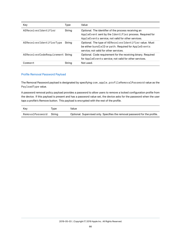| Key                              | Type   | Value                                                                                                                                                                 |
|----------------------------------|--------|-----------------------------------------------------------------------------------------------------------------------------------------------------------------------|
| AFReceiverIdentifier             | String | Optional. The identifier of the process receiving an<br>AppleEvent sent by the Identifier process. Required for<br>AppleEvents service; not valid for other services. |
| AEReceiverIdentifierType         | String | Optional. The type of AEReceiverIdentifier value. Must<br>be either bundleID or path. Required for AppleEvents<br>service; not valid for other services.              |
| AEReceiverCodeRequirement String |        | Optional. Code requirement for the receiving binary. Required<br>for AppleEvents service; not valid for other services.                                               |
| Comment                          | Strina | Not used.                                                                                                                                                             |

# Profile Removal Password Payload

The Removal Password payload is designated by specifying com.apple.profileRemovalPassword value as the PayloadType value.

A password removal policy payload provides a password to allow users to remove a locked configuration profile from the device. If this payload is present and has a password value set, the device asks for the password when the user taps a profile's Remove button. This payload is encrypted with the rest of the profile.

| Kev                    | Tvpe | Value                                                                      |
|------------------------|------|----------------------------------------------------------------------------|
| RemovalPassword String |      | Optional. Supervised only. Specifies the removal password for the profile. |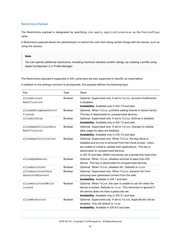# Restrictions Payload

The Restrictions payload is designated by specifying com.apple.applicationaccess as the PayloadType value.

A Restrictions payload allows the administrator to restrict the user from doing certain things with the device, such as using the camera.

### **Note**

You can specify additional restrictions, including maximum allowed content ratings, by creating a profile using Apple Configurator 2 or Profile Manager.

The Restrictions payload is supported in iOS; some keys are also supported in macOS, as noted below.

| Key                                    | <b>Type</b>    | Value                                                                                                                                                                                                                                                                                                 |
|----------------------------------------|----------------|-------------------------------------------------------------------------------------------------------------------------------------------------------------------------------------------------------------------------------------------------------------------------------------------------------|
| allowAccount<br>Modification           | Boolean        | Optional. Supervised only. If set to false, account modification<br>is disabled.<br>Availability: Available only in iOS 7.0 and later.                                                                                                                                                                |
| allowAddingGameCenter<br>Friends       | Boolean        | Optional. When false, prohibits adding friends to Game Center.<br>This key is deprecated on unsupervised devices.                                                                                                                                                                                     |
| allowAirDrop                           | Boolean        | Optional. Supervised only. If set to false, AirDrop is disabled.<br>Availability: Available only in iOS 7.0 and later.                                                                                                                                                                                |
| allowAppCellularData<br>Modification   | Boolean        | Optional. Supervised only. If set to false, changes to cellular<br>data usage for apps are disabled.<br>Availability: Available only in iOS 7.0 and later.                                                                                                                                            |
| allowAppInstallation                   | Boolean        | Optional. Supervised only. When false, the App Store is<br>disabled and its icon is removed from the Home screen. Users<br>are unable to install or update their applications. This key is<br>deprecated on unsupervised devices.<br>In iOS 10 and later, MDM commands can override this restriction. |
| allowAppRemoval                        | Boolean        | Optional. When false, disables removal of apps from iOS<br>device. This key is deprecated on unsupervised devices.                                                                                                                                                                                    |
| allowAssistant                         | Boolean        | Optional. When false, disables Siri. Defaults to true.                                                                                                                                                                                                                                                |
| allowAssistantUser<br>GeneratedContent | <b>Boolean</b> | Optional. Supervised only. When false, prevents Siri from<br>querying user-generated content from the web.<br>Availability: Available in iOS 7 and later.                                                                                                                                             |
| allowAssistantWhile<br>Locked          | Boolean        | Optional. When false, the user is unable to use Siri when the<br>device is locked. Defaults to true. This restriction is ignored if<br>the device does not have a passcode set.<br>Availability: Available only in iOS 5.1 and later.                                                                 |
| allowBookstore                         | Boolean        | Optional. Supervised only. If set to false, Apple Books will be<br>disabled. This will default to true.<br>Availability: Available in iOS 6.0 and later.                                                                                                                                              |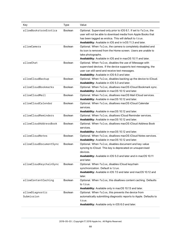| Key                           | <b>Type</b>    | Value                                                                                                                                                                                                                                                     |
|-------------------------------|----------------|-----------------------------------------------------------------------------------------------------------------------------------------------------------------------------------------------------------------------------------------------------------|
| allowBookstoreErotica         | <b>Boolean</b> | Optional. Supervised only prior to iOS 6.1. If set to false, the<br>user will not be able to download media from Apple Books that<br>has been tagged as erotica. This will default to true.<br>Availability: Available in iOS and in tvOS 11.3 and later. |
| allowCamera                   | <b>Boolean</b> | Optional. When false, the camera is completely disabled and<br>its icon is removed from the Home screen. Users are unable to<br>take photographs.<br>Availability: Available in iOS and in macOS 10.11 and later.                                         |
| allowChat                     | Boolean        | Optional. When false, disables the use of iMessage with<br>supervised devices. If the device supports text messaging, the<br>user can still send and receive text messages.<br>Availability: Available in iOS 6.0 and later.                              |
| allowCloudBackup              | <b>Boolean</b> | Optional. When false, disables backing up the device to iCloud.<br>Availability: Available in iOS 5.0 and later.                                                                                                                                          |
| allowCloudBookmarks           | <b>Boolean</b> | Optional. When false, disallows macOS iCloud Bookmark sync.<br>Availability: Available in macOS 10.12 and later.                                                                                                                                          |
| allowCloudMail                | <b>Boolean</b> | Optional. When false, disallows macOS Mail iCloud services.<br>Availability: Available in macOS 10.12 and later.                                                                                                                                          |
| allowCloudCalendar            | <b>Boolean</b> | Optional. When false, disallows macOS iCloud Calendar<br>services.<br>Availability: Available in macOS 10.12 and later.                                                                                                                                   |
| allowCloudReminders           | <b>Boolean</b> | Optional. When false, disallows iCloud Reminder services.<br>Availability: Available in macOS 10.12 and later.                                                                                                                                            |
| allowCloudAddressBook         | <b>Boolean</b> | Optional. When false, disallows macOS iCloud Address Book<br>services.<br>Availability: Available in macOS 10.12 and later.                                                                                                                               |
| allowCloudNotes               | <b>Boolean</b> | Optional. When false, disallows macOS iCloud Notes services.<br>Availability: Available in macOS 10.12 and later.                                                                                                                                         |
| allowCloudDocumentSync        | <b>Boolean</b> | Optional. When false, disables document and key-value<br>syncing to iCloud. This key is deprecated on unsupervised<br>devices.<br>Availability: Available in iOS 5.0 and later and in macOS 10.11<br>and later.                                           |
| allowCloudKeychainSync        | Boolean        | Optional. When false, disables iCloud keychain<br>synchronization. Default is true.<br>Availability: Available in iOS 7.0 and later and macOS 10.12 and<br>later.                                                                                         |
| allowContentCaching           | <b>Boolean</b> | Optional. When false, this disallows content caching. Defaults<br>to true.<br>Availability: Available only in macOS 10.13 and later.                                                                                                                      |
| allowDiagnostic<br>Submission | Boolean        | Optional. When false, this prevents the device from<br>automatically submitting diagnostic reports to Apple. Defaults to<br>true.<br>Availability: Available only in iOS 6.0 and later.                                                                   |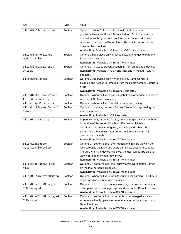| Key                                       | <b>Type</b>    | Value                                                                                                                                                                                                                                                                                                                                              |
|-------------------------------------------|----------------|----------------------------------------------------------------------------------------------------------------------------------------------------------------------------------------------------------------------------------------------------------------------------------------------------------------------------------------------------|
| allowExplicitContent                      | <b>Boolean</b> | Optional. When false, explicit music or video content<br>purchased from the iTunes Store is hidden. Explicit content is<br>marked as such by content providers, such as record labels,<br>when sold through the iTunes Store. This key is deprecated on<br>unsupervised devices.<br>Availability: Available in iOS and in tvOS 11.3 and later.     |
| allowFindMyFriends<br>Modification        | <b>Boolean</b> | Optional. Supervised only. If set to false, changes to Find My<br>Friends are disabled.<br>Availability: Available only in iOS 7.0 and later.                                                                                                                                                                                                      |
| allowFingerprintFor<br>Unlock             | <b>Boolean</b> | Optional. If false, prevents Touch ID from unlocking a device.<br>Availability: Available in iOS 7 and later and in macOS 10.12.4<br>and later.                                                                                                                                                                                                    |
| allowGameCenter                           | <b>Boolean</b> | Optional. Supervised only. When false, Game Center is<br>disabled and its icon is removed from the Home screen. Default is<br>true.<br>Availability: Available only in iOS 6.0 and later.                                                                                                                                                          |
| allowGlobalBackground<br>FetchWhenRoaming | <b>Boolean</b> | Optional. When false, disables global background fetch activity<br>when an iOS phone is roaming.                                                                                                                                                                                                                                                   |
| allowInAppPurchases                       | <b>Boolean</b> | Optional. When false, prohibits in-app purchasing.                                                                                                                                                                                                                                                                                                 |
| allowLockScreenControl<br>Center          | <b>Boolean</b> | Optional. If false, prevents Control Center from appearing on<br>the Lock screen.<br>Availability: Available in iOS 7 and later.                                                                                                                                                                                                                   |
| allowHostPairing                          | <b>Boolean</b> | Supervised only. If set to false, host pairing is disabled with the<br>exception of the supervision host. If no supervision host<br>certificate has been configured, all pairing is disabled. Host<br>pairing lets the administrator control which devices an iOS 7<br>device can pair with.<br>Availability: Available only in iOS 7.0 and later. |
| allowLockScreen<br>NotificationsView      | <b>Boolean</b> | Optional. If set to false, the Notifications history view on the<br>lock screen is disabled and users can't view past notifications.<br>Though, when the device is locked, the user will still be able to<br>view notifications when they arrive.<br>Availability: Available only in iOS 7.0 and later.                                            |
| allowLockScreenToday<br>View              | Boolean        | Optional. If set to false, the Today view in Notification Center<br>on the lock screen is disabled.<br>Availability: Available only in iOS 7.0 and later.                                                                                                                                                                                          |
| allowMultiplayerGaming                    | Boolean        | Optional. When false, prohibits multiplayer gaming. This key is<br>deprecated on unsupervised devices.                                                                                                                                                                                                                                             |
| allowOpenFromManaged<br>ToUnmanaged       | <b>Boolean</b> | Optional. If false, documents in managed apps and accounts<br>only open in other managed apps and accounts. Default is true.<br>Availability: Available only in iOS 7.0 and later.                                                                                                                                                                 |
| allowOpenFromUnmanaged<br>ToManaged       | Boolean        | Optional. If set to false, documents in unmanaged apps and<br>accounts will only open in other unmanaged apps and accounts.<br>Default is true.<br>Availability: Available only in iOS 7.0 and later.                                                                                                                                              |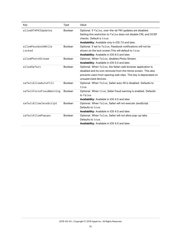| Key                          | <b>Type</b>    | Value                                                                                                                                                                                                                     |
|------------------------------|----------------|---------------------------------------------------------------------------------------------------------------------------------------------------------------------------------------------------------------------------|
| allowOTAPKIUpdates           | <b>Boolean</b> | Optional. If false, over-the-air PKI updates are disabled.<br>Setting this restriction to false does not disable CRL and OCSP<br>checks. Default is true.<br><b>Availability:</b> Available only in iOS 7.0 and later.    |
| allowPassbookWhile<br>Locked | <b>Boolean</b> | Optional. If set to false, Passbook notifications will not be<br>shown on the lock screen. This will default to true.<br><b>Availability:</b> Available in iOS 6.0 and later.                                             |
| allowPhotoStream             | <b>Boolean</b> | Optional. When false, disables Photo Stream.<br>Availability: Available in iOS 5.0 and later.                                                                                                                             |
| allowSafari                  | <b>Boolean</b> | Optional. When false, the Safari web browser application is<br>disabled and its icon removed from the Home screen. This also<br>prevents users from opening web clips. This key is deprecated on<br>unsupervised devices. |
| safariAllowAutoFill          | <b>Boolean</b> | Optional. When false, Safari auto-fill is disabled. Defaults to<br>true.                                                                                                                                                  |
| safariForceFraudWarning      | <b>Boolean</b> | Optional. When true, Safari fraud warning is enabled. Defaults<br>to false.<br>Availability: Available in iOS 4.0 and later.                                                                                              |
| safariAllowJavaScript        | <b>Boolean</b> | Optional. When false, Safari will not execute JavaScript.<br>Defaults to true.<br><b>Availability:</b> Available in iOS 4.0 and later.                                                                                    |
| safariAllowPopups            | <b>Boolean</b> | Optional. When false, Safari will not allow pop-up tabs.<br>Defaults to true.<br>Availability: Available in iOS 4.0 and later.                                                                                            |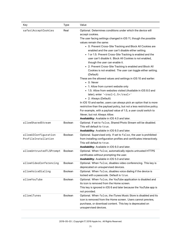| Key                     | Type           | Value                                                                                                                                                                                                                                                                                                                                                                                                                                                                                                                                                                                                                                                                                                                                                                                                                                                                                                                                                                                                                                                                                                                                                                         |
|-------------------------|----------------|-------------------------------------------------------------------------------------------------------------------------------------------------------------------------------------------------------------------------------------------------------------------------------------------------------------------------------------------------------------------------------------------------------------------------------------------------------------------------------------------------------------------------------------------------------------------------------------------------------------------------------------------------------------------------------------------------------------------------------------------------------------------------------------------------------------------------------------------------------------------------------------------------------------------------------------------------------------------------------------------------------------------------------------------------------------------------------------------------------------------------------------------------------------------------------|
| safariAcceptCookies     | Real           | Optional. Determines conditions under which the device will<br>accept cookies.<br>The user facing settings changed in iOS 11, though the possible<br>values remain the same:<br>• 0: Prevent Cross-Site Tracking and Block All Cookies are<br>enabled and the user can't disable either setting.<br>• 1 or 1.5: Prevent Cross-Site Tracking is enabled and the<br>user can't disable it. Block All Cookies is not enabled,<br>though the user can enable it.<br>• 2: Prevent Cross-Site Tracking is enabled and Block All<br>Cookies is not enabled. The user can toggle either setting.<br>(Default)<br>These are the allowed values and settings in iOS 10 and earlier:<br>$\bullet$ 0: Never<br>• 1: Allow from current website only<br>• 1.5: Allow from websites visited (Available in iOS 8.0 and<br>later); enter ' <real>1.5</real> '<br>• 2: Always (Default)<br>In iOS 10 and earlier, users can always pick an option that is more<br>restrictive than the payload policy, but not a less restrictive policy.<br>For example, with a payload value of 1.5, a user could switch to<br>Never, but not Always Allow.<br>Availability: Available in iOS 4.0 and later. |
| allowSharedStream       | <b>Boolean</b> | Optional. If set to false, Shared Photo Stream will be disabled.<br>This will default to true.<br>Availability: Available in iOS 6.0 and later.                                                                                                                                                                                                                                                                                                                                                                                                                                                                                                                                                                                                                                                                                                                                                                                                                                                                                                                                                                                                                               |
| allowUIConfiguration    | <b>Boolean</b> | Optional. Supervised only. If set to false, the user is prohibited                                                                                                                                                                                                                                                                                                                                                                                                                                                                                                                                                                                                                                                                                                                                                                                                                                                                                                                                                                                                                                                                                                            |
| ProfileInstallation     |                | from installing configuration profiles and certificates interactively.<br>This will default to true.<br>Availability: Available in iOS 6.0 and later.                                                                                                                                                                                                                                                                                                                                                                                                                                                                                                                                                                                                                                                                                                                                                                                                                                                                                                                                                                                                                         |
| allowUntrustedTLSPrompt | <b>Boolean</b> | Optional. When false, automatically rejects untrusted HTTPS<br>certificates without prompting the user.<br>Availability: Available in iOS 5.0 and later.                                                                                                                                                                                                                                                                                                                                                                                                                                                                                                                                                                                                                                                                                                                                                                                                                                                                                                                                                                                                                      |
| allowVideoConferencing  | Boolean        | Optional. When false, disables video conferencing. This key is<br>deprecated on unsupervised devices.                                                                                                                                                                                                                                                                                                                                                                                                                                                                                                                                                                                                                                                                                                                                                                                                                                                                                                                                                                                                                                                                         |
| allowVoiceDialing       | Boolean        | Optional. When false, disables voice dialing if the device is<br>locked with a passcode. Default is true.                                                                                                                                                                                                                                                                                                                                                                                                                                                                                                                                                                                                                                                                                                                                                                                                                                                                                                                                                                                                                                                                     |
| allowYouTube            | Boolean        | Optional. When false, the YouTube application is disabled and<br>its icon is removed from the Home screen.<br>This key is ignored in iOS 6 and later because the YouTube app is<br>not provided.                                                                                                                                                                                                                                                                                                                                                                                                                                                                                                                                                                                                                                                                                                                                                                                                                                                                                                                                                                              |
| allowiTunes             | Boolean        | Optional. When false, the iTunes Music Store is disabled and its<br>icon is removed from the Home screen. Users cannot preview,<br>purchase, or download content. This key is deprecated on<br>unsupervised devices.                                                                                                                                                                                                                                                                                                                                                                                                                                                                                                                                                                                                                                                                                                                                                                                                                                                                                                                                                          |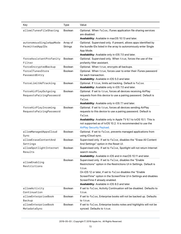| Key                                             | <b>Type</b>                | Value                                                                                                                                                                                                                                                                                                                                                     |
|-------------------------------------------------|----------------------------|-----------------------------------------------------------------------------------------------------------------------------------------------------------------------------------------------------------------------------------------------------------------------------------------------------------------------------------------------------------|
| allowiTunesFileSharing                          | <b>Boolean</b>             | Optional. When false, iTunes application file sharing services<br>are disabled.<br>Availability: Available in macOS 10.13 and later.                                                                                                                                                                                                                      |
| autonomousSingleAppMode<br>PermittedAppIDs      | Array of<br><b>Strings</b> | Optional. Supervised only. If present, allows apps identified by<br>the bundle IDs listed in the array to autonomously enter Single<br>App Mode.<br>Availability: Available only in iOS 7.0 and later.                                                                                                                                                    |
| forceAssistantProfanity<br>Filter               | Boolean                    | Optional. Supervised only. When true, forces the use of the<br>profanity filter assistant.                                                                                                                                                                                                                                                                |
| forceEncryptedBackup                            | <b>Boolean</b>             | Optional. When true, encrypts all backups.                                                                                                                                                                                                                                                                                                                |
| forceITunesStore<br>PasswordEntry               | <b>Boolean</b>             | Optional. When true, forces user to enter their iTunes password<br>for each transaction.<br>Availability: Available in iOS 5.0 and later.                                                                                                                                                                                                                 |
| forceLimitAdTracking                            | <b>Boolean</b>             | Optional. If true, limits ad tracking. Default is false.<br>Availability: Available only in iOS 7.0 and later.                                                                                                                                                                                                                                            |
| forceAirPlayOutgoing<br>RequestsPairingPassword | <b>Boolean</b>             | Optional. If set to true, forces all devices receiving AirPlay<br>requests from this device to use a pairing password. Default is<br>false.<br>Availability: Available only in iOS 7.1 and later.                                                                                                                                                         |
| forceAirPlayIncoming<br>RequestsPairingPassword | <b>Boolean</b>             | Optional. If set to true, forces all devices sending AirPlay<br>requests to this device to use a pairing password. Default is<br>false.<br>Availability: Available only in Apple TV 6.1 to tvOS 10.1. This is<br>not supported as of tvOS 10.2. It is recommended to use the<br><b>AirPlay Security Payload.</b>                                          |
| allowManagedAppsCloud<br>Sync                   | <b>Boolean</b>             | Optional. If set to false, prevents managed applications from<br>using iCloud sync.                                                                                                                                                                                                                                                                       |
| allowEraseContentAnd<br>Settings                | <b>Boolean</b>             | Supervised only. If set to false, disables the "Erase All Content<br>And Settings" option in the Reset UI.                                                                                                                                                                                                                                                |
| allowSpotlightInternet<br>Results               | <b>Boolean</b>             | Supervised only. If set to false, Spotlight will not return Internet<br>search results.<br>Availability: Available in iOS and in macOS 10.11 and later.                                                                                                                                                                                                   |
| allowEnabling<br>Restrictions                   | Boolean                    | Supervised only. If set to false, disables the "Enable<br>Restrictions" option in the Restrictions UI in Settings. Default is<br>true.<br>On iOS 12 or later, if set to false disables the "Enable<br>ScreenTime" option in the ScreenTime UI in Settings and disables<br>ScreenTime if already enabled.<br>Availability: Available in iOS 8.0 and later. |
| allowActivity<br>Continuation                   | Boolean                    | If set to false, Activity Continuation will be disabled. Defaults to<br>true.                                                                                                                                                                                                                                                                             |
| allowEnterpriseBook<br>Backup                   | <b>Boolean</b>             | If set to false, Enterprise books will not be backed up. Defaults<br>to true.                                                                                                                                                                                                                                                                             |
| allowEnterpriseBook<br>MetadataSync             | <b>Boolean</b>             | If set to false, Enterprise books notes and highlights will not be<br>synced. Defaults to true.                                                                                                                                                                                                                                                           |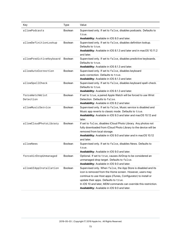| Key                     | <b>Type</b>    | Value                                                                             |
|-------------------------|----------------|-----------------------------------------------------------------------------------|
| allowPodcasts           | <b>Boolean</b> | Supervised only. If set to false, disables podcasts. Defaults to                  |
|                         |                | true.                                                                             |
|                         |                | Availability: Available in iOS 8.0 and later.                                     |
| allowDefinitionLookup   | <b>Boolean</b> | Supervised only. If set to false, disables definition lookup.                     |
|                         |                | Defaults to true.                                                                 |
|                         |                | Availability: Available in iOS 8.1.3 and later and in macOS 10.11.2<br>and later. |
| allowPredictiveKeyboard | <b>Boolean</b> | Supervised only. If set to false, disables predictive keyboards.                  |
|                         |                | Defaults to true.                                                                 |
|                         |                | Availability: Available in iOS 8.1.3 and later.                                   |
| allowAutoCorrection     | <b>Boolean</b> | Supervised only. If set to false, disables keyboard                               |
|                         |                | auto-correction. Defaults to true.                                                |
|                         |                | Availability: Available in iOS 8.1.3 and later.                                   |
| allowSpellCheck         | <b>Boolean</b> | Supervised only. If set to false, disables keyboard spell-check.                  |
|                         |                | Defaults to true.                                                                 |
|                         |                | Availability: Available in iOS 8.1.3 and later.                                   |
| forceWatchWrist         | <b>Boolean</b> | If set to true, a paired Apple Watch will be forced to use Wrist                  |
| Detection               |                | Detection. Defaults to false.                                                     |
|                         |                | Availability: Available in iOS 8.2 and later.                                     |
| allowMusicService       | <b>Boolean</b> | Supervised only. If set to false, Music service is disabled and                   |
|                         |                | Music app reverts to classic mode. Defaults to true.                              |
|                         |                | Availability: Available in iOS 9.3 and later and macOS 10.12 and<br>later.        |
| allowCloudPhotoLibrary  | <b>Boolean</b> | If set to false, disables iCloud Photo Library. Any photos not                    |
|                         |                | fully downloaded from iCloud Photo Library to the device will be                  |
|                         |                | removed from local storage.                                                       |
|                         |                | Availability: Available in iOS 9.0 and later and in macOS 10.12                   |
|                         |                | and later.                                                                        |
| allowNews               | <b>Boolean</b> | Supervised only. If set to false, disables News. Defaults to                      |
|                         |                | true.                                                                             |
|                         |                | Availability: Available in iOS 9.0 and later.                                     |
| forceAirDropUnmanaged   | Boolean        | Optional. If set to true, causes AirDrop to be considered an                      |
|                         |                | unmanaged drop target. Defaults to false.                                         |
|                         |                | Availability: Available in iOS 9.0 and later.                                     |
| allowUIAppInstallation  | <b>Boolean</b> | Supervised only. When false, the App Store is disabled and its                    |
|                         |                | icon is removed from the Home screen. However, users may                          |
|                         |                | continue to use Host apps (iTunes, Configurator) to install or                    |
|                         |                | update their apps. Defaults to true.                                              |
|                         |                | In iOS 10 and later, MDM commands can override this restriction.                  |
|                         |                | Availability: Available in iOS 9.0 and later.                                     |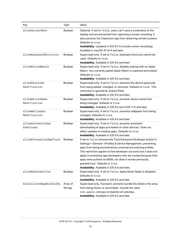| Key                             | <b>Type</b>         | Value                                                                                                                                                                                                                                                                                                                                                                                                                                                                                         |
|---------------------------------|---------------------|-----------------------------------------------------------------------------------------------------------------------------------------------------------------------------------------------------------------------------------------------------------------------------------------------------------------------------------------------------------------------------------------------------------------------------------------------------------------------------------------------|
| allowScreenShot                 | <b>Boolean</b>      | Optional. If set to false, users can't save a screenshot of the<br>display and are prevented from capturing a screen recording; it<br>also prevents the Classroom app from observing remote screens.<br>Defaults to true.<br>Availability: Updated in iOS 9.0 to include screen recordings.<br>Available in macOS 10.14.4 and later.                                                                                                                                                          |
| allowKeyboardShortcuts          | <b>Boolean</b>      | Supervised only. If set to false, keyboard shortcuts cannot be<br>used. Defaults to true.<br>Availability: Available in iOS 9.0 and later.                                                                                                                                                                                                                                                                                                                                                    |
| allowPairedWatch                | <b>Boolean</b>      | Supervised only. If set to false, disables pairing with an Apple<br>Watch. Any currently paired Apple Watch is unpaired and erased.<br>Defaults to true.<br>Availability: Available in iOS 9.0 and later.                                                                                                                                                                                                                                                                                     |
| allowPasscode<br>Modification   | <b>Boolean</b>      | Supervised only. If set to false, prevents the device passcode<br>from being added, changed, or removed. Defaults to true. This<br>restriction is ignored by shared iPads.<br>Availability: Available in iOS 9.0 and later.                                                                                                                                                                                                                                                                   |
| allowDeviceName<br>Modification | <b>Boolean</b>      | Supervised only. If set to false, prevents device name from<br>being changed. Defaults to true.<br>Availability: Available in iOS 9.0 and tvOS 11.0 and later.                                                                                                                                                                                                                                                                                                                                |
| allowWallpaper<br>Modification  | <b>Boolean</b>      | Supervised only. If set to false, prevents wallpaper from being<br>changed. Defaults to true.<br>Availability: Available in iOS 9.0 and later.                                                                                                                                                                                                                                                                                                                                                |
| allowAutomaticApp<br>Downloads  | <b>Boolean</b>      | Supervised only. If set to false, prevents automatic<br>downloading of apps purchased on other devices. Does not<br>affect updates to existing apps. Defaults to true.<br>Availability: Available in iOS 9.0 and later.                                                                                                                                                                                                                                                                       |
| allowEnterpriseAppTrust         | <b>Boolean</b>      | If set to false removes the Trust Enterprise Developer button in<br>Settings->General->Profiles & Device Management, preventing<br>apps from being provisioned by universal provisioning profiles.<br>This restriction applies to free developer accounts but it does not<br>apply to enterprise app developers who are trusted because their<br>apps were pushed via MDM, nor does it revoke previously<br>granted trust. Defaults to true.<br>Availability: Available in iOS 9.0 and later. |
| allowRadioService               | <b>Boolean</b>      | Supervised only. If set to false, Apple Music Radio is disabled.<br>Defaults to true.<br>Availability: Available in iOS 9.3 and later.                                                                                                                                                                                                                                                                                                                                                        |
| blacklistedAppBundleIDs         | Array of<br>Strings | Supervised only. If present, prevents bundle IDs listed in the array<br>from being shown or launchable. Include the value<br>com.apple.webapp to blacklist all webclips.<br>Availability: Available in iOS 9.3 and later.                                                                                                                                                                                                                                                                     |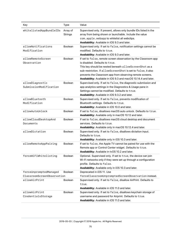| Key                                                  | <b>Type</b>    | Value                                                                                                            |
|------------------------------------------------------|----------------|------------------------------------------------------------------------------------------------------------------|
| whitelistedAppBundleIDs                              | Array of       | Supervised only. If present, allows only bundle IDs listed in the                                                |
|                                                      | <b>Strings</b> | array from being shown or launchable. Include the value                                                          |
|                                                      |                | com. apple. webapp to whitelist all webclips.                                                                    |
|                                                      |                | Availability: Available in iOS 9.3 and later.                                                                    |
| allowNotifications                                   | Boolean        | Supervised only. If set to false, notification settings cannot be                                                |
| Modification                                         |                | modified. Defaults to true.                                                                                      |
| allowRemoteScreen                                    | <b>Boolean</b> | Availability: Available in iOS 9.3 and later.<br>If set to false, remote screen observation by the Classroom app |
| Observation                                          |                | is disabled. Defaults to true.                                                                                   |
|                                                      |                | This key should be nested beneath allowScreenShot as a                                                           |
|                                                      |                | sub-restriction. If allowScreenShot is set to false, it also                                                     |
|                                                      |                | prevents the Classroom app from observing remote screens.                                                        |
|                                                      |                | Availability: Available in iOS 9.3 and macOS 10.14.4 and later.                                                  |
| allowDiagnostic                                      | <b>Boolean</b> | Supervised only. If set to false, the diagnostic submission and                                                  |
| SubmissionModification                               |                | app analytics settings in the Diagnostics & Usage pane in                                                        |
|                                                      |                |                                                                                                                  |
|                                                      |                | Settings cannot be modified. Defaults to true.                                                                   |
| allowBluetooth                                       | Boolean        | Availability: Available in iOS 9.3.2 and later.                                                                  |
|                                                      |                | Supervised only. If set to false, prevents modification of                                                       |
| Modification                                         |                | Bluetooth settings. Defaults to true.                                                                            |
|                                                      |                | Availability: Available in iOS 10.0 and later.                                                                   |
| allowAutoUnlock                                      | <b>Boolean</b> | If set to false, disallows macOS auto unlock. Defaults to true.                                                  |
|                                                      |                | Availability: Available only in macOS 10.12 and later.                                                           |
| allowCloudDesktopAnd                                 | <b>Boolean</b> | If set to false, disallows macOS cloud desktop and document                                                      |
| Documents                                            |                | services. Defaults to true.                                                                                      |
| allowDictation                                       |                | Availability: Available only in macOS 10.12.4 and later.                                                         |
|                                                      | Boolean        | Supervised only. If set to false, disallows dictation input.<br>Defaults to true.                                |
|                                                      |                |                                                                                                                  |
|                                                      |                | Availability: Available only in iOS 10.3 and later.                                                              |
| allowRemoteAppPairing                                | Boolean        | If set to false, the Apple TV cannot be paired for use with the                                                  |
|                                                      |                | Remote app or Control Center widget. Defaults to true.                                                           |
|                                                      |                | Availability: Available in tvOS 10.2 and later.                                                                  |
| forceWiFiWhitelisting                                | Boolean        | Optional. Supervised only. If set to true, the device can join                                                   |
|                                                      |                | Wi-Fi networks only if they were set up through a configuration                                                  |
|                                                      |                | profile. Defaults to false.                                                                                      |
|                                                      |                | Availability: Available only in iOS 10.3 and later.                                                              |
| forceUnpromptedManaged<br>ClassroomScreenObservation | <b>Boolean</b> | Deprecated in iOS 11. Use                                                                                        |
| allowAirPrint                                        |                | forceClassroomUnpromptedScreenObservation instead.                                                               |
|                                                      | <b>Boolean</b> | Supervised only. If set to false, disallow AirPrint. Defaults to                                                 |
|                                                      |                | true.                                                                                                            |
| allowAirPrint                                        | Boolean        | Availability: Available in iOS 11.0 and later.                                                                   |
|                                                      |                | Supervised only. If set to false, disallows keychain storage of                                                  |
| CredentialsStorage                                   |                | username and password for Airprint. Defaults to true.                                                            |
|                                                      |                | Availability: Available in iOS 11.0 and later.                                                                   |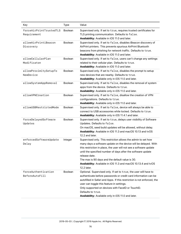| Key                                    | Type           | Value                                                                                                                                                                                                                                                                                                                                                                                                                       |
|----------------------------------------|----------------|-----------------------------------------------------------------------------------------------------------------------------------------------------------------------------------------------------------------------------------------------------------------------------------------------------------------------------------------------------------------------------------------------------------------------------|
| forceAirPrintTrustedTLS<br>Requirement | <b>Boolean</b> | Supervised only. If set to true, requires trusted certificates for<br>TLS printing communication. Defaults to false.<br>Availability: Available in iOS 11.0 and later.                                                                                                                                                                                                                                                      |
| allowAirPrintiBeacon<br>Discovery      | Boolean        | Supervised only. If set to false, disables iBeacon discovery of<br>AirPrint printers. This prevents spurious AirPrint Bluetooth<br>beacons from phishing for network traffic. Defaults to true.<br>Availability: Available in iOS 11.0 and later.                                                                                                                                                                           |
| allowCellularPlan<br>Modificaton       | Boolean        | Supervised only. If set to false, users can't change any settings<br>related to their cellular plan. Defaults to true.<br>Availability: Available in iOS 11.0 and later.                                                                                                                                                                                                                                                    |
| allowProximitySetupTo<br>NewDevice     | Boolean        | Supervised only. If set to false, disables the prompt to setup<br>new devices that are nearby. Defaults to true.<br>Availability: Available only in iOS 11.0 and later.                                                                                                                                                                                                                                                     |
| allowSystemAppRemoval                  | <b>Boolean</b> | Supervised only. If set to false, disables the removal of system<br>apps from the device. Defaults to true.<br>Availability: Available only in iOS 11.0 and later.                                                                                                                                                                                                                                                          |
| allowVPNCreation                       | <b>Boolean</b> | Supervised only. If set to false, disallow the creation of VPN<br>configurations. Defaults to true.<br>Availability: Available only in iOS 11.0 and later.                                                                                                                                                                                                                                                                  |
| allowUSBRestrictedMode                 | Boolean        | Supervised only. If set to false, device will always be able to<br>connect to USB accessories while locked. Defaults to true.<br>Availability: Available only in iOS 11.4.1 and later.                                                                                                                                                                                                                                      |
| forceDelayedSoftware<br>Updates        | Boolean        | Supervised only. If set to true, delays user visibility of Software<br>Updates. Defaults to false.<br>On macOS, seed build updates will be allowed, without delay.<br>Availability: Available in iOS 11.3 and macOS 10.13 and tvOS<br>12.2 and later.                                                                                                                                                                       |
| enforcedSoftwareUpdate<br>Delay        | Integer        | Supervised only. This restriction allows the admin to set how<br>many days a software update on the device will be delayed. With<br>this restriction in place, the user will not see a software update<br>until the specified number of days after the software update<br>release date.<br>The max is 90 days and the default value is 30.<br>Availability: Available in iOS 11.3 and macOS 10.13.4 and tvOS<br>12.2 later. |
| forceAuthentication<br>BeforeAutoFill  | <b>Boolean</b> | Optional. Supervised only. If set to true, the user will have to<br>authenticate before passwords or credit card information can be<br>autofilled in Safari and Apps. If this restriction is not enforced, the<br>user can toggle this feature in settings.<br>Only supported on devices with FacelD or TouchID.<br>Defaults to true.<br>Availability: Available only in iOS 11.0 and later.                                |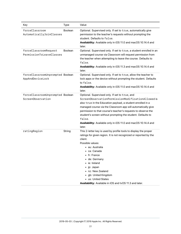| Key                                                   | <b>Type</b>    | Value                                                                                                                                                                                                                                                                                                                                                                                                                                                    |
|-------------------------------------------------------|----------------|----------------------------------------------------------------------------------------------------------------------------------------------------------------------------------------------------------------------------------------------------------------------------------------------------------------------------------------------------------------------------------------------------------------------------------------------------------|
| forceClassroom<br>AutomaticallyJoinClasses            | <b>Boolean</b> | Optional. Supervised only. If set to true, automatically give<br>permission to the teacher's requests without prompting the<br>student. Defaults to false.<br>Availability: Available only in iOS 11.0 and macOS 10.14.4 and<br>later.                                                                                                                                                                                                                   |
| forceClassroomRequest<br>PermissionToLeaveClasses     | <b>Boolean</b> | Optional. Supervised only. If set to true, a student enrolled in an<br>unmanaged course via Classroom will request permission from<br>the teacher when attempting to leave the course. Defaults to<br>false.<br>Availability: Available only in iOS 11.3 and macOS 10.14.4 and<br>later.                                                                                                                                                                 |
| forceClassroomUnprompted Boolean<br>AppAndDeviceLock  |                | Optional. Supervised only. If set to true, allow the teacher to<br>lock apps or the device without prompting the student. Defaults<br>to false.<br>Availability: Available only in iOS 11.0 and macOS 10.14.4 and<br>later.                                                                                                                                                                                                                              |
| forceClassroomUnprompted Boolean<br>ScreenObservation |                | Optional. Supervised only. If set to true, and<br>ScreenObservationPermissionModificationAllowed is<br>also true in the Education payload, a student enrolled in a<br>managed course via the Classroom app will automatically give<br>permission to that course's teacher's requests to observe the<br>student's screen without prompting the student. Defaults to<br>false.<br>Availability: Available only in iOS 11.0 and macOS 10.14.4 and<br>later. |
| ratingRegion                                          | String         | This 2-letter key is used by profile tools to display the proper<br>ratings for given region. It is not recognized or reported by the<br>client.<br>Possible values:<br>• au: Australia<br>• ca: Canada<br>• fr: France<br>de: Germany<br>ie: Ireland<br>$\bullet$ jp: Japan<br>nz: New Zealand<br>• gb: United Kingdom<br>• us: United States<br>Availability: Available in iOS and tvOS 11.3 and later.                                                |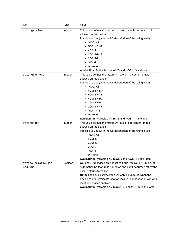| Key                           | <b>Type</b> | Value                                                                                                                                                                                                                                                                                                                                                                                                      |
|-------------------------------|-------------|------------------------------------------------------------------------------------------------------------------------------------------------------------------------------------------------------------------------------------------------------------------------------------------------------------------------------------------------------------------------------------------------------------|
| ratingMovies                  | Integer     | This value defines the maximum level of movie content that is<br>allowed on the device.<br>Possible values (with the US description of the rating level):<br>$\bullet$ 1000: All<br>500: NC-17<br>$-400:R$<br>300: PG-13<br>$\cdot$ 200: PG<br>100: G<br>$\bullet$ 0: None<br>Availability: Available only in iOS and tvOS 11.3 and later.                                                                 |
| ratingTVShows                 | Integer     | This value defines the maximum level of TV content that is<br>allowed on the device.<br>Possible values (with the US description of the rating level):<br>• 1000: All<br>600: TV-MA<br>500: TV-14<br>400: TV-PG<br>$-300: TV-G$<br>200: TV-Y7<br>100: TV-Y<br>$\bullet$ 0: None<br>Availability: Available only in iOS and tvOS 11.3 and later.                                                            |
| ratingApps                    | Integer     | This value defines the maximum level of app content that is<br>allowed on the device.<br>Possible values (with the US description of the rating level):<br>$\cdot$ 1000: All<br>$\cdot$ 600: 17+<br>$300:12+$<br>$\bullet$ 200: 9+<br>$\bullet$ 100: 4+<br>$\bullet$ 0: None<br>Availability: Available only in iOS 5 and tvOS 11.3 and later.                                                             |
| forceAutomaticDate<br>AndTime | Boolean     | Optional. Supervised only. If set to true, the Date & Time "Set<br>Automatically" feature is turned on and can't be turned off by the<br>user. Defaults to false.<br>Note: The device's time zone will only be updated when the<br>device can determine its location (cellular connection or wifi with<br>location services enabled).<br>Availability: Available only in iOS 12.0 and tvOS 12.2 and later. |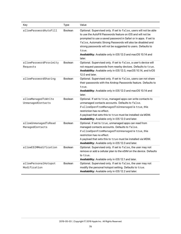| Key                                      | Type           | Value                                                                                                                                                                                                                                                                                                                                                                                                                    |
|------------------------------------------|----------------|--------------------------------------------------------------------------------------------------------------------------------------------------------------------------------------------------------------------------------------------------------------------------------------------------------------------------------------------------------------------------------------------------------------------------|
| allowPasswordAutoFill                    | <b>Boolean</b> | Optional. Supervised only. If set to false, users will not be able<br>to use the AutoFill Passwords feature on iOS and will not be<br>prompted to use a saved password in Safari or in apps. If set to<br>false, Automatic Strong Passwords will also be disabled and<br>strong passwords will not be suggested to users. Defaults to<br>true.<br>Availability: Available only in iOS 12.0 and macOS 10.14 and<br>later. |
| allowPasswordProximity<br>Requests       | <b>Boolean</b> | Optional. Supervised only. If set to false, a user's device will<br>not request passwords from nearby devices. Defaults to true.<br>Availability: Available only in iOS 12.0, macOS 10.14, and tvOS<br>12.0 and later.                                                                                                                                                                                                   |
| allowPasswordSharing                     | <b>Boolean</b> | Optional. Supervised only. If set to false, users can not share<br>their passwords with the Airdrop Passwords feature. Defaults to<br>true.<br>Availability: Available only in iOS 12.0 and macOS 10.14 and<br>later.                                                                                                                                                                                                    |
| allowManagedToWrite<br>UnmanagedContacts | <b>Boolean</b> | Optional. If set to true, managed apps can write contacts to<br>unmanaged contacts accounts. Defaults to false.<br>if allowOpenFromManagedToUnmanaged is true, this<br>restriction has no effect.<br>A payload that sets this to true must be installed via MDM.<br>Availability: Available only in iOS 12.0 and later.                                                                                                  |
| allowUnmanagedToRead<br>ManagedContacts  | <b>Boolean</b> | Optional. If set to true, unmanaged apps can read from<br>managed contacts accounts. Defaults to false.<br>if allowOpenFromManagedToUnmanaged is true, this<br>restriction has no effect.<br>A payload that sets this to true must be installed via MDM.<br>Availability: Available only in iOS 12.0 and later.                                                                                                          |
| allowESIMModification                    | <b>Boolean</b> | Optional. Supervised only. If set to false, the user may not<br>remove or add a cellular plan to the eSIM on the device. Defaults<br>to true.<br>Availability: Available only in iOS 12.1 and later.                                                                                                                                                                                                                     |
| allowPersonalHotspot<br>Modification     | <b>Boolean</b> | Optional. Supervised only. If set to false, the user may not<br>modify the personal hotspot setting. Defaults to true.<br>Availability: Available only in iOS 12.2 and later.                                                                                                                                                                                                                                            |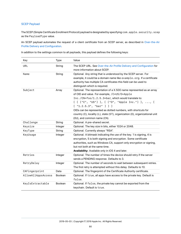## SCEP Payload

The SCEP (Simple Certificate Enrollment Protocol) payload is designated by specifying com.apple.security.scep as the PayloadType value.

An SCEP payload automates the request of a client certificate from an SCEP server, as described in [Over-the-Air](https://developer.apple.com/library/archive/documentation/NetworkingInternet/Conceptual/iPhoneOTAConfiguration/Introduction/Introduction.html#//apple_ref/doc/uid/TP40009505) [Profile Delivery and Configuration](https://developer.apple.com/library/archive/documentation/NetworkingInternet/Conceptual/iPhoneOTAConfiguration/Introduction/Introduction.html#//apple_ref/doc/uid/TP40009505).

| Key                | Type           | Value                                                                                                                                                                                                                                                                                                                                                                                                                                           |
|--------------------|----------------|-------------------------------------------------------------------------------------------------------------------------------------------------------------------------------------------------------------------------------------------------------------------------------------------------------------------------------------------------------------------------------------------------------------------------------------------------|
| <b>URL</b>         | String         | The SCEP URL. See Over-the-Air Profile Delivery and Configuration for<br>more information about SCEP.                                                                                                                                                                                                                                                                                                                                           |
| Name               | String         | Optional. Any string that is understood by the SCEP server. For<br>example, it could be a domain name like example.org. If a certificate<br>authority has multiple CA certificates this field can be used to<br>distinguish which is required.                                                                                                                                                                                                  |
| Subject            | Array          | Optional. The representation of a X.500 name represented as an array<br>of OID and value. For example, /C=US/0=Apple<br>Inc./CN=foo/1.2.5.3=bar, which would translate to:<br>$[ [ [ "C", "US"] ], [ [ "O", "Apple Inc." ] ],  ]$<br>$[$ "1.2.5.3", "bar" ] ] ]<br>OIDs can be represented as dotted numbers, with shortcuts for<br>country (C), locality (L), state (ST), organization (0), organizational unit<br>(OU), and common name (CN). |
| Challenge          | String         | Optional. A pre-shared secret.                                                                                                                                                                                                                                                                                                                                                                                                                  |
| Keysize            | Integer        | Optional. The key size in bits, either 1024 or 2048.                                                                                                                                                                                                                                                                                                                                                                                            |
| KeyType            | String         | Optional. Currently always "RSA".                                                                                                                                                                                                                                                                                                                                                                                                               |
| KeyUsage           | Integer        | Optional. A bitmask indicating the use of the key. 1 is signing, 4 is<br>encryption, 5 is both signing and encryption. Some certificate<br>authorities, such as Windows CA, support only encryption or signing,<br>but not both at the same time.<br>Availability: Available only in iOS 4 and later.                                                                                                                                           |
| Retries            | Integer        | Optional. The number of times the device should retry if the server<br>sends a PENDING response. Defaults to 3.                                                                                                                                                                                                                                                                                                                                 |
| RetryDelay         | Integer        | Optional. The number of seconds to wait between subsequent retries.<br>The first retry is attempted without this delay. Defaults to 10.                                                                                                                                                                                                                                                                                                         |
| CAFingerprint      | Data           | Optional. The fingerprint of the Certificate Authority certificate.                                                                                                                                                                                                                                                                                                                                                                             |
| AllowAllAppsAccess | Boolean        | Optional. If true, all apps have access to the private key. Default is<br>false.                                                                                                                                                                                                                                                                                                                                                                |
| KeyIsExtractable   | <b>Boolean</b> | Optional. If false, the private key cannot be exported from the<br>keychain. Default is true.                                                                                                                                                                                                                                                                                                                                                   |

In addition to the settings common to all payloads, this payload defines the following keys: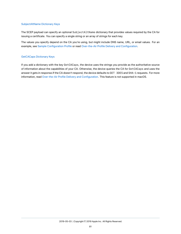#### SubjectAltName Dictionary Keys

The SCEP payload can specify an optional SubjectAltName dictionary that provides values required by the CA for issuing a certificate. You can specify a single string or an array of strings for each key.

The values you specify depend on the CA you're using, but might include DNS name, URL, or email values. For an example, see [Sample Configuration Profile](#page-118-0) or read [Over-the-Air Profile Delivery and Configuration.](https://developer.apple.com/library/archive/documentation/NetworkingInternet/Conceptual/iPhoneOTAConfiguration/Introduction/Introduction.html#//apple_ref/doc/uid/TP40009505)

#### GetCACaps Dictionary Keys

If you add a dictionary with the key GetCACaps, the device uses the strings you provide as the authoritative source of information about the capabilities of your CA. Otherwise, the device queries the CA for GetCACaps and uses the answer it gets in response.If the CA doesn't respond, the device defaults to GET 3DES and SHA-1 requests. For more information, read [Over-the-Air Profile Delivery and Configuration.](https://developer.apple.com/library/archive/documentation/NetworkingInternet/Conceptual/iPhoneOTAConfiguration/Introduction/Introduction.html#//apple_ref/doc/uid/TP40009505) This feature is not supported in macOS.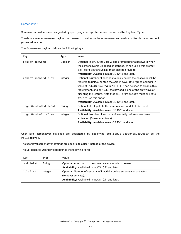#### **Screensaver**

Screensaver payloads are designated by specifying com. apple.screensaver as the PayloadType.

The device level screensaver payload can be used to customize the screensaver and enable or disable the screen lock password function.

The Screensaver payload defines the following keys:

| Key                   | Type           | Value                                                                                                                                                                                                                                                                                                                                                                                                                                     |
|-----------------------|----------------|-------------------------------------------------------------------------------------------------------------------------------------------------------------------------------------------------------------------------------------------------------------------------------------------------------------------------------------------------------------------------------------------------------------------------------------------|
| askForPassword        | <b>Boolean</b> | Optional. If true, the user will be prompted for a password when<br>the screensaver is unlocked or stopped. When using this prompt,<br>askForPasswordDelay must also be provided.<br><b>Availability:</b> Available in macOS 10.13 and later.                                                                                                                                                                                             |
| askForPasswordDelay   | Integer        | Optional. Number of seconds to delay before the password will be<br>required to unlock or stop the screen saver (the "grace period"). A<br>value of 2147483647 (eg 0x7FFFFFFF) can be used to disable this<br>requirement, and on 10.13, the payload is one of the only ways of<br>disabling the feature. Note that askForPassword must be set to<br>true to use this option.<br><b>Availability:</b> Available in macOS 10.13 and later. |
| loginWindowModulePath | String         | Optional. A full path to the screen saver module to be used.<br><b>Availability:</b> Available in macOS 10.11 and later.                                                                                                                                                                                                                                                                                                                  |
| loginWindowIdleTime   | Integer        | Optional. Number of seconds of inactivity before screensaver<br>activates. (0=never activate).<br><b>Availability:</b> Available in macOS 10.11 and later.                                                                                                                                                                                                                                                                                |

User level screensaver payloads are designated by specifying com.apple.screensaver.user as the PayloadType.

The user level screensaver settings are specific to a user, instead of the device.

The Screensaver User payload defines the following keys:

| Key        | Tvpe    | Value                                                                                                                                               |
|------------|---------|-----------------------------------------------------------------------------------------------------------------------------------------------------|
| modulePath | String  | Optional. A full path to the screen saver module to be used.<br><b>Availability:</b> Available in macOS 10.11 and later.                            |
| idleTime   | Integer | Optional. Number of seconds of inactivity before screensaver activates.<br>(0=never activate).<br>Availability: Available in macOS 10.11 and later. |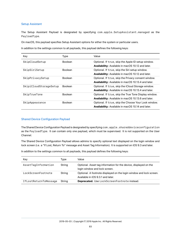#### Setup Assistant

The Setup Assistant Payload is designated by specifying com.apple.SetupAssistant.managed as the PayloadType.

On macOS, this payload specifies Setup Assistant options for either the system or particular users.

In addition to the settings common to all payloads, this payload defines the following keys:

| Key                    | Type           | Value                                                                                                             |
|------------------------|----------------|-------------------------------------------------------------------------------------------------------------------|
| SkipCloudSetup         | <b>Boolean</b> | Optional. If true, skip the Apple ID setup window.<br><b>Availability:</b> Available in macOS 10.12 and later.    |
| SkipSiriSetup          | <b>Boolean</b> | Optional. If true, skip the Siri setup window.<br>Availability: Available in macOS 10.12 and later.               |
| SkipPrivacySetup       | <b>Boolean</b> | Optional. If true, skip the Privacy consent window.<br><b>Availability:</b> Available in macOS 10.13.4 and later. |
| SkipiCloudStorageSetup | <b>Boolean</b> | Optional. If true, skip the iCloud Storage window.<br><b>Availability:</b> Available in macOS 10.13.4 and later.  |
| SkipTrueTone           | <b>Boolean</b> | Optional. If true, skip the True Tone Display window.<br>Availability: Available in macOS 10.13.6 and later.      |
| SkipAppearance         | <b>Boolean</b> | Optional. If true, skip the Choose Your Look window.<br><b>Availability:</b> Available in macOS 10.14 and later.  |

#### Shared Device Configuration Payload

The Shared Device Configuration Payload is designated by specifying com.apple.shareddeviceconfiguration as the PayloadType. It can contain only one payload, which must be supervised. It is not supported on the User Channel.

The Shared Device Configuration Payload allows admins to specify optional text displayed on the login window and lock screen (i.e. a "If Lost, Return To" message and Asset Tag Information). It is supported on iOS 9.3 and later.

In addition to the settings common to all payloads, this payload defines the following keys:

| Key                   | Type   | Value                                                                                                    |
|-----------------------|--------|----------------------------------------------------------------------------------------------------------|
| AssetTagInformation   | String | Optional. Asset tag information for the device, displayed on the<br>login window and lock screen.        |
| LockScreenFootnote    | String | Optional. A footnote displayed on the login window and lock screen.<br>Available in iOS 9.3.1 and later. |
| IfLostReturnToMessage | String | <b>Deprecated.</b> Use LockScreenFootnote instead.                                                       |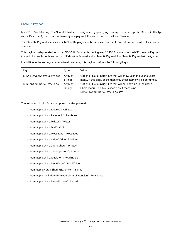#### ShareKit Payload

MacOS 10.9 or later only. The ShareKit Payload is designated by specifying com.apple.com.apple.ShareKitHelper as the PayloadType. It can contain only one payload. It is supported on the User Channel.

The ShareKit Payload specifies which ShareKit plugin can be accessed on client. Both allow and disallow lists can be specified.

This payload is deprecated as of macOS 10.12. For clients running macOS 10.13 or later, use the NSExtension Payload instead. If a profile contains both a NSExtension Payload and a ShareKit Payload, the ShareKit Payload will be ignored.

In addition to the settings common to all payloads, this payload defines the following keys:

| Key                     | Type                       | Value                                                                                                                                                |
|-------------------------|----------------------------|------------------------------------------------------------------------------------------------------------------------------------------------------|
| SHKAllowedShareServices | Array of<br><b>Strings</b> | Optional. List of plugin IDs that will show up in the user's Share<br>menu. If this array exists then only these items will be permitted.            |
| SHKDeniedShareServices  | Array of<br><b>Strings</b> | Optional. List of plugin IDs that will not show up in the user's<br>Share menu. This key is used only if there is no<br>SHKAllowedShareServices key. |

The following plugin IDs are supported by this payload:

- "com.apple.share.AirDrop": AirDrop
- "com.apple.share.Facebook": Facebook
- "com.apple.share.Twitter": Twitter
- "com.apple.share.Mail": Mail
- "com.apple.share.Messages": Messages
- "com.apple.share.Video": Video Services
- "com.apple.share.addtoiphoto": Photos
- "com.apple.share.addtoaperture": Aperture
- "com.apple.share.readlater": Reading List
- "com.apple.share.SinaWeibo": Sina Weibo
- "com.apple.Notes.SharingExtension": Notes
- "com.apple.reminders.RemindersShareExtension": Reminders
- "com.apple.share.LinkedIn.post": LinkedIn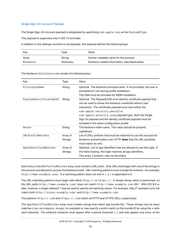## Single Sign-On Account Payload

The Single Sign-On Account payload is designated by specifying com.apple.sso as the PayloadType.

This payload is supported only in iOS 7.0 and later.

In addition to the settings common to all payloads, this payload defines the following keys:

| Kev      | Type       | Value                                          |
|----------|------------|------------------------------------------------|
| Name     | String     | Human-readable name for the account.           |
| Kerberos | Dictionary | Kerberos-related information, described below. |

The Kerberos dictionary can contain the following keys:

| Key                    | Type                       | Value                                                                                                                                                                                                                                                                                                                                                                                              |
|------------------------|----------------------------|----------------------------------------------------------------------------------------------------------------------------------------------------------------------------------------------------------------------------------------------------------------------------------------------------------------------------------------------------------------------------------------------------|
| PrincipalName          | String                     | Optional. The Kerberos principal name. If not provided, the user is<br>prompted for one during profile installation.<br>This field must be provided for MDM installation.                                                                                                                                                                                                                          |
| PayloadCertificateUUID | String                     | Optional. The PayloadUUID of an identity certificate payload that<br>can be used to renew the Kerberos credential without user<br>interaction. The certificate payload must have either the<br>com.apple.security.pkcs12 or<br>com.apple.security.scep payload type. Both the Single<br>Sign On payload and the identity certificate payload must be<br>included in the same configuration profile |
| Realm                  | String                     | The Kerberos realm name. This value should be properly<br>capitalized.                                                                                                                                                                                                                                                                                                                             |
| URLPrefixMatches       | Array of<br>Strings        | List of URLs prefixes that must be matched to use this account for<br>Kerberos authentication over HTTP. Note that the URL postfixes<br>must match as well.                                                                                                                                                                                                                                        |
| AppIdentifierMatches   | Array of<br><b>Strings</b> | Optional. List of app identifiers that are allowed to use this login. If<br>this field missing, this login matches all app identifiers.<br>This array, if present, may not be empty.                                                                                                                                                                                                               |

Each entry in the URLPrefixMatches array must contain a URL prefix. Only URLs that begin with one of the strings in this account are allowed to access the Kerberos ticket. URL matching patterns must include the scheme—for example, http://www.example.com/. If a matching pattern does not end in /, a / is appended to it.

The URL matching patterns must begin with either http:// or https://. A simple string match is performed, so the URL prefix http://www.example.com/ does not match http://www.example.com:80/. With iOS 9.0 or later, however, a single wildcard \* may be used to specify all matching values. For example, http://\*.example.com/ will match both http://store.example.com/ and http://www.example.com.

The patterns http://.com and https://.com match all HTTP and HTTPS URLs, respectively.

The AppIdentifierMatches array must contain strings that match app bundle IDs. These strings may be exact matches (com.mycompany.myapp, for example) or may specify a prefix match on the bundle ID by using the  $*$  wildcard character. The wildcard character must appear after a period character (.), and may appear only once, at the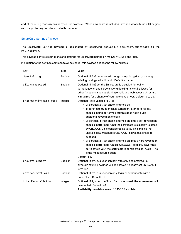end of the string (com.mycompany.\*, for example). When a wildcard is included, any app whose bundle ID begins with the prefix is granted access to the account.

#### SmartCard Settings Payload

The SmartCard Settings payload is designated by specifying com.apple.security.smartcard as the PayloadType.

This payload controls restrictions and settings for SmartCard pairing on macOS v10.12.4 and later.

In addition to the settings common to all payloads, this payload defines the following keys:

| Key                   | Type           | Value                                                                                                                                                                                                                                                                                                                                                                                                                                                                                                                                                                                                                                                                                                                                                                 |
|-----------------------|----------------|-----------------------------------------------------------------------------------------------------------------------------------------------------------------------------------------------------------------------------------------------------------------------------------------------------------------------------------------------------------------------------------------------------------------------------------------------------------------------------------------------------------------------------------------------------------------------------------------------------------------------------------------------------------------------------------------------------------------------------------------------------------------------|
| UserPairing           | Boolean        | Optional. If false, users will not get the pairing dialog, although<br>existing pairings will still work. Default is true.                                                                                                                                                                                                                                                                                                                                                                                                                                                                                                                                                                                                                                            |
| allowSmartCard        | <b>Boolean</b> | Optional. If false, the SmartCard is disabled for logins,<br>authorizations, and screensaver unlocking. It is still allowed for<br>other functions, such as signing emails and web access. A restart<br>is required for a change of setting to take effect. Default is true.                                                                                                                                                                                                                                                                                                                                                                                                                                                                                          |
| checkCertificateTrust | Integer        | Optional. Valid values are 0-3:<br>• 0: certificate trust check is turned off<br>• 1: certificate trust check is turned on. Standard validity<br>check is being performed but this does not include<br>additional revocation checks.<br>• 2: certificate trust check is turned on, plus a soft revocation<br>check is performed. Until the certificate is explicitly rejected<br>by CRL/OCSP, it is considered as valid. This implies that<br>unavailable/unreachable CRL/OCSP allows this check to<br>succeed.<br>• 3: certificate trust check is turned on, plus a hard revocation<br>check is performed. Unless CRL/OCSP explicitly says "this<br>certificate is OK", the certificate is considered as invalid. The<br>is the most secure option.<br>Default is 0. |
| oneCardPerUser        | <b>Boolean</b> | Optional. If true, a user can pair with only one SmartCard,<br>although existing pairings will be allowed if already set up. Default<br>is false.                                                                                                                                                                                                                                                                                                                                                                                                                                                                                                                                                                                                                     |
| enforceSmartCard      | Boolean        | Optional. If true, a user can only login or authenticate with a<br>SmartCard. Default is false.                                                                                                                                                                                                                                                                                                                                                                                                                                                                                                                                                                                                                                                                       |
| tokenRemovalAction    | Integer        | Optional. If 1, when the SmartCard is removed, the screensaver will<br>be enabled. Default is 0.<br>Availability: Available in macOS 10.13.4 and later.                                                                                                                                                                                                                                                                                                                                                                                                                                                                                                                                                                                                               |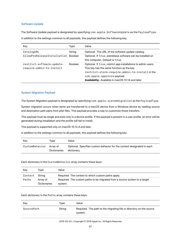#### Software Update

The Software Update payload is designated by specifying com.apple.SoftwareUpdate as the PayloadType. In addition to the settings common to all payloads, this payload defines the following key:

| Key                                                   | Type    | Value                                                                                                                                                                                                                                           |
|-------------------------------------------------------|---------|-------------------------------------------------------------------------------------------------------------------------------------------------------------------------------------------------------------------------------------------------|
| CatalogURL                                            | String  | Optional. The URL of the software update catalog.                                                                                                                                                                                               |
| AllowPreReleaseInstallation Boolean                   |         | Optional. If true, prerelease software can be installed on<br>this computer. Default is true.                                                                                                                                                   |
| restrict-software-update-<br>require-admin-to-install | Boolean | Optional. If true, restrict app installations to admin users.<br>This key has the same function as the key<br>restrict-store-require-admin-to-install in the<br>com.apple.appstorepayload.<br>Availability: Available in macOS 10.14 and later. |

#### System Migration Payload

The System Migration payload is designated by specifying com.apple.systemmigration as the PayloadType.

System migration occurs when items are transferred to a macOS device from a Windows device by reading source and destination path pairs from plist files. This payload provides a way to customize those transfers.

This payload must be single and exist only in a device profile. If the payload is present in a user profile, an error will be generated during installation and the profile will fail to install.

This payload is supported only on macOS 10.12.4 and later.

In addition to the settings common to all payloads, this payload defines the following key:

| Kev                     | Tvpe         | Value                                                                                 |
|-------------------------|--------------|---------------------------------------------------------------------------------------|
| CustomBehavior Array of | Dictionaries | Optional. Specifies custom behavior for the context designated in each<br>dictionary. |

Each dictionary in the CustomBehavior array contains these keys:

| Key     | Tvpe                            | Value                                                                                 |
|---------|---------------------------------|---------------------------------------------------------------------------------------|
| Context | Strina                          | Required. The context to which custom paths apply.                                    |
| Paths   | Array of<br><b>Dictionaries</b> | Required. The custom paths to be migrated from a source system to a target<br>system. |

#### Each dictionary in the Paths array contains these keys:

| Key        | Tvpe   | Value                                                                          |
|------------|--------|--------------------------------------------------------------------------------|
| SourcePath | String | Required. The path to the migrating file or directory on the source<br>system. |

#### 2019-05-03 | Copyright © 2019 Apple Inc. All Rights Reserved.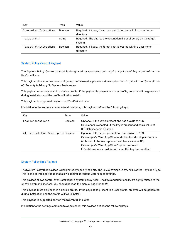| Key                  | Type           | Value                                                                            |
|----------------------|----------------|----------------------------------------------------------------------------------|
| SourcePathInUserHome | <b>Boolean</b> | Required. If true, the source path is located within a user home<br>directory.   |
| TargetPath           | String         | Required. The path to the destination file or directory on the target<br>system. |
| TargetPathInUserHome | Boolean        | Required. If true, the target path is located within a user home<br>directory.   |

#### System Policy Control Payload

The System Policy Control payload is designated by specifying com.apple.systempolicy.control as the PayloadType.

This payload allows control over configuring the "Allowed applications downloaded from:" option in the "General" tab of "Security & Privacy" in System Preferences.

This payload must only exist in a device profile. If the payload is present in a user profile, an error will be generated during installation and the profile will fail to install.

This payload is supported only on macOS v10.8 and later.

In addition to the settings common to all payloads, this payload defines the following keys:

| Key                               | Type           | Value                                                                                                                                                                                                                                                                                             |
|-----------------------------------|----------------|---------------------------------------------------------------------------------------------------------------------------------------------------------------------------------------------------------------------------------------------------------------------------------------------------|
| <b>FnableAssessment</b>           | <b>Boolean</b> | Optional. If the key is present and has a value of YES,<br>Gatekeeper is enabled. If the key is present and has a value of<br>NO, Gatekeeper is disabled.                                                                                                                                         |
| AllowIdentifiedDevelopers Boolean |                | Optional. If the key is present and has a value of YES,<br>Gatekeeper's "Mac App Store and identified developers" option<br>is chosen. If the key is present and has a value of NO,<br>Gatekeeper's "Mac App Store" option is chosen.<br>If EnableAssessment is not true, this key has no effect. |

#### System Policy Rule Payload

The System Policy Rule payload is designated by specifying com.apple.systempolicy.rule as the PayloadType. This is one of three payloads that allows control of various GateKeeper settings.

This payload allows control over Gatekeeper's system policy rules. The keys and functionality are tightly related to the spctl command line tool. You should be read the manual page for *spctl*.

This payload must only exist in a device profile. If the payload is present in a user profile, an error will be generated during installation and the profile will fail to install.

This payload is supported only on macOS v10.8 and later.

In addition to the settings common to all payloads, this payload defines the following keys: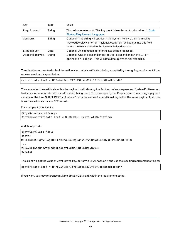| Key           | Type   | Value                                                                                                                                                                                                               |
|---------------|--------|---------------------------------------------------------------------------------------------------------------------------------------------------------------------------------------------------------------------|
| Requirement   | String | The policy requirement. This key must follow the syntax described in Code<br><b>Signing Requirement Language.</b>                                                                                                   |
| Comment       | String | Optional. This string will appear in the System Policy UI. If it is missing,<br>"PayloadDisplayName" or "PayloadDescription" will be put into this field<br>before the rule is added to the System Policy database. |
| Expiration    | Date   | Optional. An expiration date for rule(s) being processed.                                                                                                                                                           |
| OperationType | String | Optional. One of operation: execute, operation: install, or<br>operation: 1sopen. This will default to operation: execute.                                                                                          |

The client has no way to display information about what certificate is being accepted by the signing requirement if the requirement keys is specified as:

```
certificate leaf = H"7696f2cbf7f7d43fceb879f52f3cdc8fadfccbd4"
```
You can embed the certificate within the payload itself, allowing the Profiles preference pane and System Profile report to display information about the certificate(s) being used. To do so, specify the Requirement key using a payload variable of the form \$HASHCERT\_xx\$ where "xx" is the name of an additional key within the same payload that contains the certificate data in DER format.

For example, if you specify:

```
<key>Requirement</key>
<string>certificate leaf = $HASHCERT_Cert1Data$</string>
```
and then provide:

```
<key>Cert1Data</key>
<data>
MIIFTDCCBDSgAwIBAgIHBHXzxGzq8DANBgkqhkiG9w0BAQUFADCByjELMAkGA1UEBhMC
...
z1I6yBET5qaGhpWexEp3baLbXLcrtgufmDSUtUnImavGyw==
</data>
```
The client will get the value of Cert1Data key, perform a SHA1 hash on it and use the resulting requirement string of:

certificate leaf = H"7696f2cbf7f7d43fceb879f52f3cdc8fadfccbd4"

If you want, you may reference multiple \$HASHCERT\_xx\$ within the requirement string.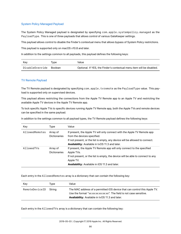#### System Policy Managed Payload

The System Policy Managed payload is designated by specifying com.apple.systempolicy.managed as the PayloadType. This is one of three payloads that allows control of various GateKeeper settings.

This payload allows control to disable the Finder's contextual menu that allows bypass of System Policy restrictions.

This payload is supported only on macOS v10.8 and later.

In addition to the settings common to all payloads, this payload defines the following keys:

| Kev             | Tvpe           | Value                                                                 |
|-----------------|----------------|-----------------------------------------------------------------------|
| DisableOverride | <b>Boolean</b> | Optional. If YES, the Finder's contextual menu item will be disabled. |

### TV Remote Payload

The TV Remote payload is designated by specifying com.apple.tvremote as the PayloadType value. This payload is supported only on supervised devices.

This payload allows restricting the connections from the Apple TV Remote app to an Apple TV and restricting the available Apple TV devices in the Apple TV Remote app.

To lock specific Apple TVs to specific devices running Apple TV Remote app, both the Apple TVs and remote devices can be specified in the same payload.

In addition to the settings common to all payload types, the TV Remote payload defines the following keys:

| Key            | Type                            | Value                                                                                                                                                                                                                                         |
|----------------|---------------------------------|-----------------------------------------------------------------------------------------------------------------------------------------------------------------------------------------------------------------------------------------------|
| AllowedRemotes | Array of<br><b>Dictionaries</b> | If present, the Apple TV will only connect with the Apple TV Remote app<br>from the devices specified.<br>If not present, or the list is empty, any device will be allowed to connect.<br>Availability: Available in tvOS 11.3 and later.     |
| AllowedTVs     | Array of<br><b>Dictionaries</b> | If present, the Apple TV Remote app will only connect to the specified<br>Apple TVs.<br>If not present, or the list is empty, the device will be able to connect to any<br>Apple TV.<br><b>Availability:</b> Available in iOS 11.3 and later. |

Each entry in the AllowedRemotes array is a dictionary that can contain the following key:

| Kev            | Tvpe   | Value                                                                                                                                                                                                       |
|----------------|--------|-------------------------------------------------------------------------------------------------------------------------------------------------------------------------------------------------------------|
| RemoteDeviceID | Strina | The MAC address of a permitted iOS device that can control this Apple TV.<br>Use the format "xx:xx:xx:xx:xx:xx". The field is not case sensitive.<br><b>Availability:</b> Available in tvOS 11.3 and later. |

Each entry in the AllowedTVs array is a dictionary that can contain the following key: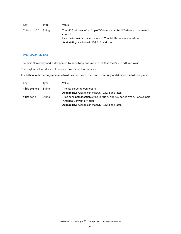| Key        | Tvpe   | Value                                                                                                                                                                                                                |
|------------|--------|----------------------------------------------------------------------------------------------------------------------------------------------------------------------------------------------------------------------|
| TVDeviceID | Strina | The MAC address of an Apple TV device that this iOS device is permitted to<br>control.<br>Use the format "xx:xx:xx:xx:xx". The field is not case sensitive.<br><b>Availability:</b> Available in iOS 11.3 and later. |

### Time Server Payload

The Time Server payload is designated by specifying com.apple.MCX as the PayloadType value.

This payload allows devices to connect to custom time servers.

In addition to the settings common to all payload types, the Time Server payload defines the following keys:

| Key        | Type   | Value                                                                                                                                                             |
|------------|--------|-------------------------------------------------------------------------------------------------------------------------------------------------------------------|
| timeServer | Strina | The ntp server to connect to.<br>Availability: Available in macOS 10.12.4 and later.                                                                              |
| timeZone   | String | Time zone path location string in /usr/share/zoneinfo/. For example,<br>"America/Denver" or "Zulu".<br><b>Availability:</b> Available in macOS 10.12.4 and later. |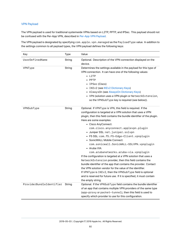#### <span id="page-91-0"></span>VPN Payload

The VPN payload is used for traditional systemwide VPNs based on L2TP, PPTP, and IPSec. This payload should not be confused with the Per-App VPN, described in [Per-App VPN Payload.](#page-103-0)

The VPN payload is designated by specifying com.apple.vpn.managed as the PayloadType value. In addition to the settings common to all payload types, the VPN payload defines the following keys:

| Key                      | <b>Type</b> | Value                                                                                                                                                                                                                                                                                                                                                                                                                                                                                                                                                                                                                                                                                                                                                                                                                                                                                                                                      |
|--------------------------|-------------|--------------------------------------------------------------------------------------------------------------------------------------------------------------------------------------------------------------------------------------------------------------------------------------------------------------------------------------------------------------------------------------------------------------------------------------------------------------------------------------------------------------------------------------------------------------------------------------------------------------------------------------------------------------------------------------------------------------------------------------------------------------------------------------------------------------------------------------------------------------------------------------------------------------------------------------------|
| UserDefinedName          | String      | Optional. Description of the VPN connection displayed on the<br>device.                                                                                                                                                                                                                                                                                                                                                                                                                                                                                                                                                                                                                                                                                                                                                                                                                                                                    |
| VPNType                  | String      | Determines the settings available in the payload for this type of<br>VPN connection. It can have one of the following values:<br>$\bullet$ L2TP<br>• PPTP<br>• IPSec (Cisco)<br>• IKEv2 (see IKEv2 Dictionary Keys)<br>• AlwaysOn (see AlwaysOn Dictionary Keys)<br>• VPN (solution uses a VPN plugin or NetworkExtension,<br>so the VPNSubType key is required (see below)).                                                                                                                                                                                                                                                                                                                                                                                                                                                                                                                                                              |
| VPNSubType               | String      | Optional. If VPNType is VPN, this field is required. If the<br>configuration is targeted at a VPN solution that uses a VPN<br>plugin, then this field contains the bundle identifier of the plugin.<br>Here are some examples:<br>• Cisco AnyConnect:<br>com.cisco.anyconnect.applevpn.plugin<br>· Juniper SSL: net.juniper.sslvpn<br>· F5 SSL: com.f5.F5-Edge-Client.vpnplugin<br>• SonicWALL Mobile Connect:<br>com.sonicwall.SonicWALL-SSLVPN.vpnplugin<br>• Aruba VIA:<br>com.arubanetworks.aruba-via.vpnplugin<br>If the configuration is targeted at a VPN solution that uses a<br>NetworkExtension provider, then this field contains the<br>bundle identifier of the app that contains the provider. Contact<br>the VPN solution vendor for the value of the identifier.<br>If VPNType is IKEv2, then the VPNSubType field is optional<br>and is reserved for future use. If it is specified, it must contain<br>the empty string. |
| ProviderBundleIdentifier | String      | Optional. If the VPNSubType field contains the bundle identifier<br>of an app that contains multiple VPN providers of the same type<br>(app-proxy or packet-tunnel), then this field is used to<br>specify which provider to use for this configuration.                                                                                                                                                                                                                                                                                                                                                                                                                                                                                                                                                                                                                                                                                   |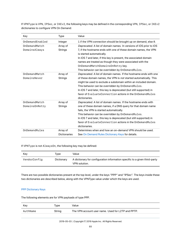If VPNType is VPN, IPSec, or IKEv2, the following keys may be defined in the corresponding VPN, IPSec, or IKEv2 dictionaries to configure VPN On Demand:

| Key             | <b>Type</b>         | Value                                                               |
|-----------------|---------------------|---------------------------------------------------------------------|
| OnDemandEnabled | Integer             | 1 if the VPN connection should be brought up on demand, else 0.     |
| OnDemandMatch   | Array of            | Deprecated. A list of domain names. In versions of iOS prior to iOS |
| DomainsAlways   | Strings             | 7, if the hostname ends with one of these domain names, the VPN     |
|                 |                     | is started automatically.                                           |
|                 |                     | In iOS 7 and later, if this key is present, the associated domain   |
|                 |                     | names are treated as though they were associated with the           |
|                 |                     | OnDemandMatchDomainsOnRetry key.                                    |
|                 |                     | This behavior can be overridden by OnDemandRules.                   |
| OnDemandMatch   | Array of            | Deprecated. A list of domain names. If the hostname ends with one   |
| DomainsNever    | Strings             | of these domain names, the VPN is not started automatically. This   |
|                 |                     | might be used to exclude a subdomain within an included domain.     |
|                 |                     | This behavior can be overridden by OnDemandRules.                   |
|                 |                     | In iOS 7 and later, this key is deprecated (but still supported) in |
|                 |                     | favor of EvaluateConnection actions in the OnDemandRules            |
|                 |                     | dictionaries.                                                       |
| OnDemandMatch   | Array of            | Deprecated. A list of domain names. If the hostname ends with       |
| DomainsOnRetry  | Strings             | one of these domain names, if a DNS query for that domain name      |
|                 |                     | fails, the VPN is started automatically.                            |
|                 |                     | This behavior can be overridden by OnDemandRules.                   |
|                 |                     | In iOS 7 and later, this key is deprecated (but still supported) in |
|                 |                     | favor of EvaluateConnection actions in the OnDemandRules            |
|                 |                     | dictionaries.                                                       |
| OnDemandRules   | Array of            | Determines when and how an on-demand VPN should be used.            |
|                 | <b>Dictionaries</b> | See On Demand Rules Dictionary Keys for details.                    |

If VPNType is not AlwaysOn, the following key may be defined:

| Kev          | Type       | Value                                                                                       |
|--------------|------------|---------------------------------------------------------------------------------------------|
| VendorConfig | Dictionary | A dictionary for configuration information specific to a given third-party<br>VPN solution. |

There are two possible dictionaries present at the top level, under the keys "PPP" and "IPSec". The keys inside these two dictionaries are described below, along with the VPNType value under which the keys are used.

#### PPP Dictionary Keys

The following elements are for VPN payloads of type PPP.

| Kev      | Type   | Value                                              |
|----------|--------|----------------------------------------------------|
| AuthName | String | The VPN account user name. Used for L2TP and PPTP. |

2019-05-03 | Copyright © 2019 Apple Inc. All Rights Reserved.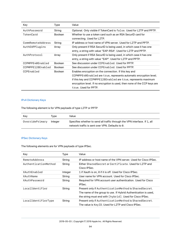| Key               | Type           | Value                                                                                                                                                                                                                                                                                             |
|-------------------|----------------|---------------------------------------------------------------------------------------------------------------------------------------------------------------------------------------------------------------------------------------------------------------------------------------------------|
| AuthPassword      | String         | Optional. Only visible if TokenCard is false. Used for L2TP and PPTP.                                                                                                                                                                                                                             |
| TokenCard         | <b>Boolean</b> | Whether to use a token card such as an RSA SecuriD card for<br>connecting. Used for L2TP.                                                                                                                                                                                                         |
| CommRemoteAddress | String         | IP address or host name of VPN server. Used for L2TP and PPTP.                                                                                                                                                                                                                                    |
| AuthEAPPlugins    | Array          | Only present if RSA SecurID is being used, in which case it has one<br>entry, a string with value "EAP-RSA". Used for L2TP and PPTP.                                                                                                                                                              |
| AuthProtocol      | Array          | Only present if RSA SecurID is being used, in which case it has one<br>entry, a string with value "EAP". Used for L2TP and PPTP.                                                                                                                                                                  |
| CCPMPPE40Enabled  | <b>Boolean</b> | See discussion under CCPEnabled. Used for PPTP.                                                                                                                                                                                                                                                   |
| CCPMPPE128Enabled | <b>Boolean</b> | See discussion under CCPEnabled. Used for PPTP.                                                                                                                                                                                                                                                   |
| CCPEnabled        | <b>Boolean</b> | Enables encryption on the connection. If this key and<br>CCPMPPE40Enabled are true, represents automatic encryption level;<br>if this key and CCPMPPE128Enabled are true, represents maximum<br>encryption level. If no encryption is used, then none of the CCP keys are<br>true. Used for PPTP. |

## IPv4 Dictionary Keys

The following element is for VPN payloads of type L2TP or PPTP

| Kev             | Tvpe    | Value                                                                                                                          |
|-----------------|---------|--------------------------------------------------------------------------------------------------------------------------------|
| OverridePrimary | Integer | Specifies whether to send all traffic through the VPN interface. If 1, all<br>network traffic is sent over VPN. Defaults to 0. |

## IPSec Dictionary Keys

The following elements are for VPN payloads of type IPSec.

| Key                  | Type    | Value                                                            |
|----------------------|---------|------------------------------------------------------------------|
| RemoteAddress        | String  | IP address or host name of the VPN server. Used for Cisco IPSec. |
| AuthenticationMethod | String  | Either Shared Secret or Certificate, Used for L2TP and           |
|                      |         | Cisco IPSec.                                                     |
| XAuthFnabled         | Integer | 1 if Xauth is on, 0 if it is off. Used for Cisco IPSec.          |
| XAuthName            | String  | User name for VPN account. Used for Cisco IPSec.                 |
| XAuthPassword        | String  | Required for VPN account user authentication. Used for Cisco     |
|                      |         | IPSec.                                                           |
| LocalIdentifier      | String  | Present only if AuthenticationMethod is SharedSecret.            |
|                      |         | The name of the group to use. If Hybrid Authentication is used,  |
|                      |         | the string must end with [hybrid]. Used for Cisco IPSec.         |
| LocalIdentifierType  | String  | Present only if AuthenticationMethod is SharedSecret.            |
|                      |         | The value is Key ID. Used for L2TP and Cisco IPSec.              |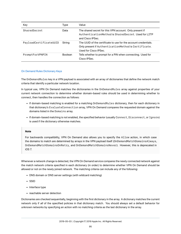| Key                    | Type           | Value                                                                                                                                             |
|------------------------|----------------|---------------------------------------------------------------------------------------------------------------------------------------------------|
| SharedSecret           | Data           | The shared secret for this VPN account. Only present if<br>AuthenticationMethod is SharedSecret. Used for L2TP<br>and Cisco IPSec.                |
| PayloadCertificateUUID | String         | The UUID of the certificate to use for the account credentials.<br>Only present if Authentication Method is Certificate.<br>Used for Cisco IPSec. |
| PromptForVPNPIN        | <b>Boolean</b> | Tells whether to prompt for a PIN when connecting. Used for<br>Cisco IPSec.                                                                       |

#### <span id="page-94-0"></span>On Demand Rules Dictionary Keys

The OnDemandRules key in a VPN payload is associated with an array of dictionaries that define the network match criteria that identify a particular network location.

In typical use, VPN On Demand matches the dictionaries in the OnDemandRules array against properties of your current network connection to determine whether domain-based rules should be used in determining whether to connect, then handles the connection as follows:

- If domain-based matching is enabled for a matching OnDemandRules dictionary, then for each dictionary in that dictionary's EvaluateConnection array, VPN On Demand compares the requested domain against the domains listed in the Domains array.
- If domain-based matching is not enabled, the specified behavior (usually Connect, Disconnect, or Ignore) is used if the dictionary otherwise matches.

#### **Note**

For backwards compatibility, VPN On Demand also allows you to specify the Allow action, in which case the domains to match are determined by arrays in the VPN payload itself (OnDemandMatchDomainsAlways, OnDemandMatchDomainsOnRetry, and OnDemandMatchDomainsNever). However, this is deprecated in iOS 7.

Whenever a network change is detected, the VPN On Demand service compares the newly connected network against the match network criteria specified in each dictionary (in order) to determine whether VPN On Demand should be allowed or not on the newly joined network. The matching criteria can include any of the following:

- DNS domain or DNS server settings (with wildcard matching)
- SSID
- Interface type
- reachable server detection

Dictionaries are checked sequentially, beginning with the first dictionary in the array. A dictionary matches the current network only if *all* of the specified policies in that dictionary match. You should always set a default behavior for unknown networks by specifying an action with no matching criteria as the last dictionary in the array.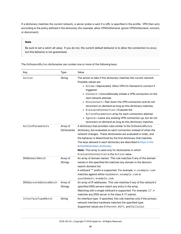If a dictionary matches the current network, a server probe is sent if a URL is specified in the profile. VPN then acts according to the policy defined in the dictionary (for example, allow VPNOnDemand, ignore VPNOnDemand, connect, or disconnect).

#### **Note**

Be sure to set a catch-all value. If you do not, the current default behavior is to allow the connection to occur, but this behavior is not guaranteed.

The OnDemandRules dictionaries can contain one or more of the following keys:

| Key                   | <b>Type</b>                     | Value                                                                                                                                                                                                                                                                                                                                                                                                                                                                                                                                                                                           |
|-----------------------|---------------------------------|-------------------------------------------------------------------------------------------------------------------------------------------------------------------------------------------------------------------------------------------------------------------------------------------------------------------------------------------------------------------------------------------------------------------------------------------------------------------------------------------------------------------------------------------------------------------------------------------------|
| Action                | String                          | The action to take if this dictionary matches the current network.<br>Possible values are:<br>• Allow-Deprecated. Allow VPN On Demand to connect if<br>triggered.<br>• Connect-Unconditionally initiate a VPN connection on the<br>next network attempt.<br>• Disconnect-Tear down the VPN connection and do not<br>reconnect on demand as long as this dictionary matches.<br>• EvaluateConnection-Evaluate the<br>ActionParameters array for each connection attempt.<br>• Ignore-Leave any existing VPN connection up, but do not<br>reconnect on demand as long as this dictionary matches. |
| ActionParameters      | Array of<br><b>Dictionaries</b> | A dictionary that provides rules similar to the OnDemandRules<br>dictionary, but evaluated on each connection instead of when the<br>network changes. These dictionaries are evaluated in order, and<br>the behavior is determined by the first dictionary that matches.<br>The keys allowed in each dictionary are described in Keys in the<br>ActionParameters dictionary.<br>Note: This array is used only for dictionaries in which<br>EvaluateConnection is the Action value.                                                                                                              |
| DNSDomainMatch        | Array of<br><b>Strings</b>      | An array of domain names. This rule matches if any of the domain<br>names in the specified list matches any domain in the device's<br>search domains list.<br>A wildcard '*' prefix is supported. For example, *.example.com<br>matches against either mydomain.example.com or<br>yourdomain.example.com.                                                                                                                                                                                                                                                                                       |
| DNSServerAddressMatch | Array of<br><b>Strings</b>      | An array of IP addresses. This rule matches if any of the network's<br>specified DNS servers match any entry in the array.<br>Matching with a single wildcard is supported. For example, 17.*<br>matches any DNS server in the class A 17 subnet.                                                                                                                                                                                                                                                                                                                                               |
| InterfaceTypeMatch    | String                          | An interface type. If specified, this rule matches only if the primary<br>network interface hardware matches the specified type.<br>Supported values are Ethernet, WiFi, and Cellular.                                                                                                                                                                                                                                                                                                                                                                                                          |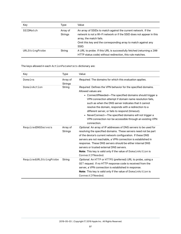| Key            | Type                       | Value                                                                                                                                                                                                                                         |
|----------------|----------------------------|-----------------------------------------------------------------------------------------------------------------------------------------------------------------------------------------------------------------------------------------------|
| SSIDMatch      | Array of<br><b>Strings</b> | An array of SSIDs to match against the current network. If the<br>network is not a Wi-Fi network or if the SSID does not appear in this<br>array, the match fails.<br>Omit this key and the corresponding array to match against any<br>SSID. |
| URLStringProbe | String                     | A URL to probe. If this URL is successfully fetched (returning a 200<br>HTTP status code) without redirection, this rule matches.                                                                                                             |

<span id="page-96-0"></span>The keys allowed in each ActionParameters dictionary are:

| Key                    | <b>Type</b>                | Value                                                                                                                                                                                                                                                                                                                                                                                                                                                                                                                 |
|------------------------|----------------------------|-----------------------------------------------------------------------------------------------------------------------------------------------------------------------------------------------------------------------------------------------------------------------------------------------------------------------------------------------------------------------------------------------------------------------------------------------------------------------------------------------------------------------|
| Domains                | Array of<br><b>Strings</b> | Required. The domains for which this evaluation applies.                                                                                                                                                                                                                                                                                                                                                                                                                                                              |
| DomainAction           | String                     | Required. Defines the VPN behavior for the specified domains.<br>Allowed values are:<br>• ConnectlfNeeded—The specified domains should trigger a<br>VPN connection attempt if domain name resolution fails,<br>such as when the DNS server indicates that it cannot<br>resolve the domain, responds with a redirection to a<br>different server, or fails to respond (timeout).<br>• NeverConnect—The specified domains will not trigger a<br>VPN connection nor be accessible through an existing VPN<br>connection. |
| RequiredDNSServers     | Array of<br><b>Strings</b> | Optional. An array of IP addresses of DNS servers to be used for<br>resolving the specified domains. These servers need not be part<br>of the device's current network configuration. If these DNS<br>servers are not reachable, a VPN connection is established in<br>response. These DNS servers should be either internal DNS<br>servers or trusted external DNS servers.<br>Note: This key is valid only if the value of DomainAction is<br>ConnectIfNeeded.                                                      |
| RequiredURLStringProbe | String                     | Optional. An HTTP or HTTPS (preferred) URL to probe, using a<br>GET request. If no HTTP response code is received from the<br>server, a VPN connection is established in response.<br>Note: This key is valid only if the value of DomainAction is<br>ConnectIfNeeded.                                                                                                                                                                                                                                                |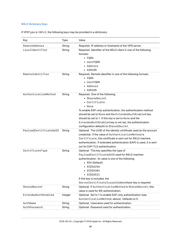# <span id="page-97-0"></span>IKEv2 Dictionary Keys

|  |  | If VPNType is IKEv2, the following keys may be provided in a dictionary: |  |  |
|--|--|--------------------------------------------------------------------------|--|--|
|  |  |                                                                          |  |  |

| Key                    | Type    | Value                                                                                                   |
|------------------------|---------|---------------------------------------------------------------------------------------------------------|
| RemoteAddress          | String  | Required. IP address or hostname of the VPN server.                                                     |
| LocalIdentifier        | String  | Required. Identifier of the IKEv2 client in one of the following<br>formats:                            |
|                        |         | $\cdot$ FQDN                                                                                            |
|                        |         | • UserFQDN<br>• Address                                                                                 |
|                        |         | • ASN1DN                                                                                                |
| RemoteIdentifier       | String  | Required. Remote identifier in one of the following formats:                                            |
|                        |         | $\bullet$ FQDN                                                                                          |
|                        |         | • UserFQDN                                                                                              |
|                        |         | • Address                                                                                               |
|                        |         | • ASN1DN                                                                                                |
| AuthenticationMethod   | String  | Required. One of the following:                                                                         |
|                        |         | • SharedSecret                                                                                          |
|                        |         | • Certificate                                                                                           |
|                        |         | • None                                                                                                  |
|                        |         | To enable EAP-only authentication, the authentication method                                            |
|                        |         | should be set to None and the Extended Auth Enabled key                                                 |
|                        |         | should be set to 1. If this key is set to None and the                                                  |
|                        |         | ExtendedAuthEnabled key is not set, the authentication                                                  |
|                        |         | configuration defaults to SharedSecret.                                                                 |
| PayloadCertificateUUID | String  | Optional. The UUID of the identity certificate used as the account                                      |
|                        |         | credential. If the value of AuthenticationMethod is                                                     |
|                        |         | Certificate, this certificate is sent out for IKEv2 machine                                             |
|                        |         | authentication. If extended authentication (EAP) is used, it is sent<br>out for EAP-TLS authentication. |
| CertificateType        | String  | Optional. This key specifies the type of                                                                |
|                        |         | PayloadCertificateUUID used for IKEv2 machine                                                           |
|                        |         | authentication. Its value is one of the following:                                                      |
|                        |         | • RSA (Default)                                                                                         |
|                        |         | $\text{-}$ ECDSA256                                                                                     |
|                        |         | ECDSA384                                                                                                |
|                        |         | $\text{-}$ ECDSA521                                                                                     |
|                        |         | If this key is included, the                                                                            |
|                        |         | ServerCertificateIssuerCommonName key is required.                                                      |
| SharedSecret           | String  | Optional. If AuthenticationMethod is SharedSecret, this                                                 |
|                        |         | value is used for IKE authentication.                                                                   |
| ExtendedAuthEnabled    | Integer | Optional. Set to 1 to enable EAP-only authentication (see                                               |
|                        |         | AuthenticationMethod, above). Defaults to 0.                                                            |
| AuthName               | String  | Optional. Username used for authentication.                                                             |
| AuthPassword           | String  | Optional. Password used for authentication.                                                             |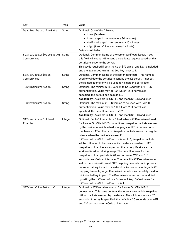| Key                                          | <b>Type</b> | Value                                                                                                                                                                                                                                                                                                                                                                                                                                                                                                                                                                                                                                                                                                                                                                                                                                                                                                                                                                                                                                                                                                   |
|----------------------------------------------|-------------|---------------------------------------------------------------------------------------------------------------------------------------------------------------------------------------------------------------------------------------------------------------------------------------------------------------------------------------------------------------------------------------------------------------------------------------------------------------------------------------------------------------------------------------------------------------------------------------------------------------------------------------------------------------------------------------------------------------------------------------------------------------------------------------------------------------------------------------------------------------------------------------------------------------------------------------------------------------------------------------------------------------------------------------------------------------------------------------------------------|
| DeadPeerDetectionRate                        | String      | Optional. One of the following:<br>• None (Disable)<br>• Low (keepalive sent every 30 minutes)<br>• Medium (keepalive sent every 10 minutes)<br>• High (keepalive sent every 1 minute)<br>Defaults to Medium.                                                                                                                                                                                                                                                                                                                                                                                                                                                                                                                                                                                                                                                                                                                                                                                                                                                                                           |
| ServerCertificateIssuer String<br>CommonName |             | Optional. Common Name of the server certificate issuer. If set,<br>this field will cause IKE to send a certificate request based on this<br>certificate issuer to the server.<br>This key is required if both the CertificateType key is included<br>and the ExtendedAuthEnabled key is set to 1.                                                                                                                                                                                                                                                                                                                                                                                                                                                                                                                                                                                                                                                                                                                                                                                                       |
| ServerCertificate<br>CommonName              | String      | Optional. Common Name of the server certificate. This name is<br>used to validate the certificate sent by the IKE server. If not set,<br>the Remote Identifier will be used to validate the certificate.                                                                                                                                                                                                                                                                                                                                                                                                                                                                                                                                                                                                                                                                                                                                                                                                                                                                                                |
| TLSMinimumVersion                            | String      | Optional. The minimum TLS version to be used with EAP-TLS<br>authentication. Value may be 1.0, 1.1, or 1.2. If no value is<br>specified, the default minimum is 1.0.<br>Availability: Available in iOS 11.0 and macOS 10.13 and later.                                                                                                                                                                                                                                                                                                                                                                                                                                                                                                                                                                                                                                                                                                                                                                                                                                                                  |
| TLSMaximumVersion                            | String      | Optional. The maximum TLS version to be used with EAP-TLS<br>authentication. Value may be 1.0, 1.1, or 1.2. If no value is<br>specified, the default maximum is 1.2.<br>Availability: Available in iOS 11.0 and macOS 10.13 and later.                                                                                                                                                                                                                                                                                                                                                                                                                                                                                                                                                                                                                                                                                                                                                                                                                                                                  |
| NATKeepAliveOffload<br>Enable                | Integer     | Optional. Set to 1 to enable or 0 to disable NAT Keepalive offload<br>for Always On VPN IKEv2 connections. Keepalive packets are sent<br>by the device to maintain NAT mappings for IKEv2 connections<br>that have a NAT on the path. Keepalive packets are sent at regular<br>interval when the device is awake. If<br>NATKeepAliveOffloadEnable is set to 1, Keepalive packets<br>will be offloaded to hardware while the device is asleep. NAT<br>Keepalive offload has an impact on the battery life since extra<br>workload is added during sleep. The default interval for the<br>Keepalive offload packets is 20 seconds over WiFi and 110<br>seconds over Cellular interface. The default NAT Keepalive works<br>well on networks with small NAT mapping timeouts but imposes a<br>potential battery impact. If a network is known to have larger NAT<br>mapping timeouts, larger Keepalive intervals may be safely used to<br>minimize battery impact. The Keepalive interval can be modified<br>by setting the NATKeepAliveInterval key. Default value for<br>NATKeepAliveOffloadEnable is 1. |
| NATKeepAliveInterval                         | Integer     | Optional. NAT Keepalive interval for Always On VPN IKEv2<br>connections. This value controls the interval over which Keepalive<br>offload packets are sent by the device. The minimum value is 20<br>seconds. If no key is specified, the default is 20 seconds over WiFi<br>and 110 seconds over a Cellular interface.                                                                                                                                                                                                                                                                                                                                                                                                                                                                                                                                                                                                                                                                                                                                                                                 |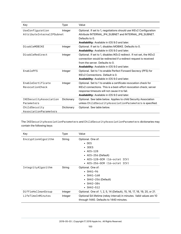| Key                                           | Type       | Value                                                                                                                                                                                                                                        |
|-----------------------------------------------|------------|----------------------------------------------------------------------------------------------------------------------------------------------------------------------------------------------------------------------------------------------|
| UseConfiguration<br>AttributeInternalIPSubnet | Integer    | Optional. If set to 1, negotiations should use IKEv2 Configuration<br>Attribute INTERNAL_IP4_SUBNET and INTERNAL_IP6_SUBNET.<br>Defaults to 0.<br><b>Availability:</b> Available in iOS 9.0 and later.                                       |
| DisableMOBIKF                                 | Integer    | Optional. If set to 1, disables MOBIKE. Defaults to 0.<br>Availability: Available in iOS 9.0 and later.                                                                                                                                      |
| DisableRedirect                               | Integer    | Optional. If set to 1, disables IKEv2 redirect. If not set, the IKEv2<br>connection would be redirected if a redirect request is received<br>from the server. Defaults to 0.<br>Availability: Available in iOS 9.0 and later.                |
| EnablePFS                                     | Integer    | Optional. Set to 1 to enable Perfect Forward Secrecy (PFS) for<br>IKEv2 Connections. Default is 0.<br><b>Availability:</b> Available in iOS 9.0 and later.                                                                                   |
| EnableCertificate<br>RevocationCheck          | Integer    | Optional. Set to 1 to enable a certificate revocation check for<br>IKEv2 connections. This is a best-effort revocation check; server<br>response timeouts will not cause it to fail.<br><b>Availability:</b> Available in iOS 9.0 and later. |
| IKESecurityAssociation<br>Parameters          | Dictionary | Optional. See table below. Applies to child Security Association<br>unless ChildSecurityAssociationParameters is specified.                                                                                                                  |
| ChildSecurity<br>AssociationParameters        | Dictionary | Optional. See table below.                                                                                                                                                                                                                   |

The IKESecurityAssociationParameters and ChildSecurityAssociationParameters dictionaries may contain the following keys:

| Key                 | Type    | Value                                                                                                            |
|---------------------|---------|------------------------------------------------------------------------------------------------------------------|
| EncryptionAlgorithm | String  | Optional. One of:                                                                                                |
|                     |         | $\bullet$ DES                                                                                                    |
|                     |         | $\cdot$ 3DES                                                                                                     |
|                     |         | $\cdot$ AES-128                                                                                                  |
|                     |         | • $AES-256$ (Default)                                                                                            |
|                     |         | • $AES-128-GCM$ (16-octet ICV)                                                                                   |
|                     |         | • $AES-256-GCM$ (16-octet ICV)                                                                                   |
| IntegrityAlgorithm  | String  | Optional. One of:                                                                                                |
|                     |         | $\cdot$ SHA1-96                                                                                                  |
|                     |         | $\cdot$ SHA1-160                                                                                                 |
|                     |         | • SHA2-256 (Default)                                                                                             |
|                     |         | $\cdot$ SHA2-384                                                                                                 |
|                     |         | $\cdot$ SHA2-512                                                                                                 |
| DiffieHellmanGroup  | Integer | Optional. One of: 1, 2, 5, 14 (Default), 15, 16, 17, 18, 19, 20, or 21.                                          |
| LifeTimeInMinutes   | Integer | Optional SA lifetime (rekey interval) in minutes. Valid values are 10<br>through 1440. Defaults to 1440 minutes. |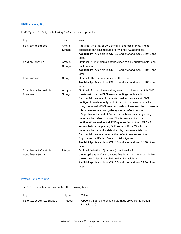### DNS Dictionary Keys

If VPNType is IKEv2, the following DNS keys may be provided:

| Key                                  | <b>Type</b>                | Value                                                                                                                                                                                                                                                                                                                                                                                                                                                                                                                                                                                                                                                                                                                                                                                                                                                                                             |
|--------------------------------------|----------------------------|---------------------------------------------------------------------------------------------------------------------------------------------------------------------------------------------------------------------------------------------------------------------------------------------------------------------------------------------------------------------------------------------------------------------------------------------------------------------------------------------------------------------------------------------------------------------------------------------------------------------------------------------------------------------------------------------------------------------------------------------------------------------------------------------------------------------------------------------------------------------------------------------------|
| ServerAddresses                      | Array of<br><b>Strings</b> | Required. An array of DNS server IP address strings. These IP<br>addresses can be a mixture of IPv4 and IPv6 addresses.<br>Availability: Available in iOS 10.0 and later and macOS 10.12 and<br>later.                                                                                                                                                                                                                                                                                                                                                                                                                                                                                                                                                                                                                                                                                            |
| SearchDomains                        | Array of<br><b>Strings</b> | Optional. A list of domain strings used to fully qualify single-label<br>host names.<br>Availability: Available in iOS 10.0 and later and macOS 10.12 and<br>later.                                                                                                                                                                                                                                                                                                                                                                                                                                                                                                                                                                                                                                                                                                                               |
| DomainName                           | String                     | Optional. The primary domain of the tunnel.<br>Availability: Available in iOS 10.0 and later and macOS 10.12 and<br>later.                                                                                                                                                                                                                                                                                                                                                                                                                                                                                                                                                                                                                                                                                                                                                                        |
| SupplementalMatch<br>Domains         | Array of<br><b>Strings</b> | Optional. A list of domain strings used to determine which DNS<br>queries will use the DNS resolver settings contained in<br>ServerAddresses. This key is used to create a split DNS<br>configuration where only hosts in certain domains are resolved<br>using the tunnel's DNS resolver. Hosts not in one of the domains in<br>this list are resolved using the system's default resolver.<br>If SupplementalMatchDomains contains the empty string it<br>becomes the default domain. This is how a split-tunnel<br>configuration can direct all DNS queries first to the VPN DNS<br>servers before the primary DNS servers. If the VPN tunnel<br>becomes the network's default route, the servers listed in<br>ServerAddresses become the default resolver and the<br>SupplementalMatchDomains list is ignored.<br>Availability: Available in iOS 10.0 and later and macOS 10.12 and<br>later. |
| SupplementalMatch<br>DomainsNoSearch | Integer                    | Optional. Whether (0) or not (1) the domains in<br>the SupplementalMatchDomains list should be appended to<br>the resolver's list of search domains. Default is 0.<br>Availability: Available in iOS 10.0 and later and macOS 10.12 and<br>later.                                                                                                                                                                                                                                                                                                                                                                                                                                                                                                                                                                                                                                                 |

## Proxies Dictionary Keys

The Proxies dictionary may contain the following keys:

| Kev                   | Tvpe    | Value                                                                         |
|-----------------------|---------|-------------------------------------------------------------------------------|
| ProxyAutoConfigEnable | Integer | Optional. Set to 1 to enable automatic proxy configuration.<br>Defaults to 0. |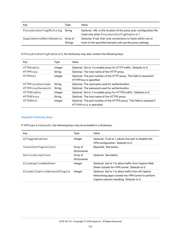| Key                      | Tvpe                       | Value                                                                                                                       |
|--------------------------|----------------------------|-----------------------------------------------------------------------------------------------------------------------------|
| ProxyAutoConfigURLString | Strina                     | Optional. URL to the location of the proxy auto-configuration file.<br>Used only when ProxyAutoConfigEnable is 1.           |
| SupplementalMatchDomains | Array of<br><b>Strings</b> | Optional. If set, then only connections to hosts within one or<br>more of the specified domains will use the proxy settings |

If ProxyAutoConfigEnable is 0, the dictionary may also contain the following keys:

| Key                | Type    | Value                                                                                               |
|--------------------|---------|-----------------------------------------------------------------------------------------------------|
| <b>HTTPEnable</b>  | Integer | Optional. Set to 1 to enable proxy for HTTP traffic. Defaults to 0.                                 |
| HTTPProxy          | String  | Optional. The host name of the HTTP proxy.                                                          |
| <b>HTTPPort</b>    | Integer | Optional. The port number of the HTTP proxy. This field is required if<br>HTTPProxy is specified.   |
| HTTPProxyUsername  | String  | Optional. The username used for authentication.                                                     |
| HTTPProxyPassword  | String  | Optional. The password used for authentication.                                                     |
| <b>HTTPSEnable</b> | Integer | Optional. Set to 1 to enable proxy for HTTPS traffic. Defaults to 0.                                |
| HTTPSProxy         | String  | Optional. The host name of the HTTPS proxy.                                                         |
| <b>HTTPSPort</b>   | Integer | Optional. The port number of the HTTPS proxy. This field is required if<br>HTTPSProxy is specified. |

## <span id="page-101-0"></span>AlwaysOn Dictionary Keys

If VPNType is AlwaysOn, the following keys may be provided in a dictionary:

| Key                           | Type                            | Value                                                                                                                                                 |
|-------------------------------|---------------------------------|-------------------------------------------------------------------------------------------------------------------------------------------------------|
| UIToggleEnabled               | Integer                         | Optional. If set to 1, allows the user to disable this<br>VPN configuration. Defaults to 0.                                                           |
| TunnelConfigurations          | Array of<br><b>Dictionaries</b> | Required. See below.                                                                                                                                  |
| ServiceExceptions             | Array of<br><b>Dictionaries</b> | Optional. See below.                                                                                                                                  |
| AllowCaptiveWebSheet          | Integer                         | Optional. Set to 1 to allow traffic from Captive Web<br>Sheet outside the VPN tunnel. Defaults to 0.                                                  |
| AllowAllCaptiveNetworkPlugins | Integer                         | Optional. Set to 1 to allow traffic from all Captive<br>Networking apps outside the VPN tunnel to perform<br>Captive network handling. Defaults to 0. |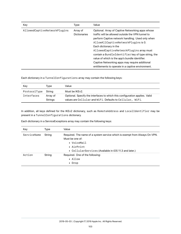| Key                          | Type                            | Value                                                                                                                                                                                                                                                                                                                                                                                                                           |
|------------------------------|---------------------------------|---------------------------------------------------------------------------------------------------------------------------------------------------------------------------------------------------------------------------------------------------------------------------------------------------------------------------------------------------------------------------------------------------------------------------------|
| AllowedCaptiveNetworkPlugins | Array of<br><b>Dictionaries</b> | Optional. Array of Captive Networking apps whose<br>traffic will be allowed outside the VPN tunnel to<br>perform Captive network handling. Used only when<br>AllowAllCaptiveNetworkPlugins is 0.<br>Each dictionary in the<br>AllowedCaptiveNetworkPlugins array must<br>contain a BundleIdentifier key of type string, the<br>value of which is the app's bundle identifier.<br>Captive Networking apps may require additional |
|                              |                                 | entitlements to operate in a captive environment.                                                                                                                                                                                                                                                                                                                                                                               |

Each dictionary in a TunnelConfigurations array may contain the following keys:

| Key          | Tvpe                | Value                                                                                                                                    |
|--------------|---------------------|------------------------------------------------------------------------------------------------------------------------------------------|
| ProtocolType | Strina              | Must be IKEv2.                                                                                                                           |
| Interfaces   | Array of<br>Strings | Optional. Specify the interfaces to which this configuration applies. Valid<br>values are Cellular and WiFi. Defaults to Cellular, WiFi. |

In addition, all keys defined for the IKEv2 dictionary, such as RemoteAddress and LocalIdentifier may be present in a TunnelConfigurations dictionary.

| Each dictionary in a ServiceExceptions array may contain the following keys: |  |  |  |  |
|------------------------------------------------------------------------------|--|--|--|--|
|                                                                              |  |  |  |  |

| Key         | Type   | Value                                                                                                                                                                               |
|-------------|--------|-------------------------------------------------------------------------------------------------------------------------------------------------------------------------------------|
| ServiceName | String | Required. The name of a system service which is exempt from Always On VPN.<br>Must be one of:<br>• VoiceMail<br>• AirPrint<br>• CellularServices (Available in iOS 11.3 and later.) |
| Action      | String | Required. One of the following:<br>• Allow<br>• Drop                                                                                                                                |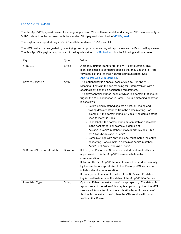## <span id="page-103-0"></span>Per-App VPN Payload

The Per-App VPN payload is used for configuring add-on VPN software, and it works only on VPN services of type 'VPN'. It should not be confused with the standard VPN payload, described in [VPN Payload.](#page-91-0)

This payload is supported only in iOS 7.0 and later and macOS v10.9 and later.

The VPN payload is designated by specifying com.apple.vpn.managed.applayer as the PayloadType value. The Per-App VPN payload supports all of the keys described in [VPN Payload](#page-91-0) plus the following additional keys:

<span id="page-103-1"></span>

| Key                     | Type    | Value                                                                                                                                                                                                                                                                                                                                                                                                                                                                                                                                                                                                                                                                                                                                                                                                                                                                                                         |
|-------------------------|---------|---------------------------------------------------------------------------------------------------------------------------------------------------------------------------------------------------------------------------------------------------------------------------------------------------------------------------------------------------------------------------------------------------------------------------------------------------------------------------------------------------------------------------------------------------------------------------------------------------------------------------------------------------------------------------------------------------------------------------------------------------------------------------------------------------------------------------------------------------------------------------------------------------------------|
| VPNUUID                 | String  | A globally-unique identifier for this VPN configuration. This<br>identifier is used to configure apps so that they use the Per-App<br>VPN service for all of their network communication. See<br>App-to-Per-App VPN Mapping.                                                                                                                                                                                                                                                                                                                                                                                                                                                                                                                                                                                                                                                                                  |
| SafariDomains           | Array   | This optional key is a special case of App-to-Per App VPN<br>Mapping. It sets up the app mapping for Safari (Webkit) with a<br>specific identifier and a designated requirement.<br>The array contains strings, each of which is a domain that should<br>trigger this VPN connection in Safari. The rule matching behavior<br>is as follows:<br>• Before being matched against a host, all leading and<br>trailing dots are stripped from the domain string. For<br>example, if the domain string is " . com" the domain string<br>used to match is "com".<br>• Each label in the domain string must match an entire label<br>in the host string. For example, a domain of<br>"example.com" matches "www.example.com", but<br>not "foo.badexample.com".<br>• Domain strings with only one label must match the entire<br>host string. For example, a domain of "com" matches<br>"com", not "www.example.com". |
| OnDemandMatchAppEnabled | Boolean | If true, the Per-App VPN connection starts automatically when<br>apps linked to this Per-App VPN service initiate network<br>communication.<br>If false, the Per-App VPN connection must be started manually<br>by the user before apps linked to this Per-App VPN service can<br>initiate network communication.<br>If this key is not present, the value of the OnDemandEnabled<br>key is used to determine the status of Per-App VPN On Demand.                                                                                                                                                                                                                                                                                                                                                                                                                                                            |
| ProviderType            | String  | Optional. Either packet-tunnel or app-proxy. The default is<br>app-proxy. If the value of this key is app-proxy, then the VPN<br>service will tunnel traffic at the application layer. If the value of<br>this key is packet-tunnel, then the VPN service will tunnel<br>traffic at the IP layer.                                                                                                                                                                                                                                                                                                                                                                                                                                                                                                                                                                                                             |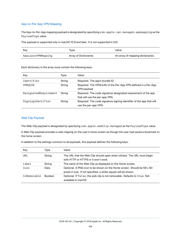### App-to-Per-App VPN Mapping

The App-to-Per-App mapping payload is designated by specifying com.apple.vpn.managed.appmapping as the PayloadType value.

This payload is supported only in macOS 10.9 and later. It is not supported in iOS.

| Kev                | Type                  | Value                             |
|--------------------|-----------------------|-----------------------------------|
| AppLayerVPNMapping | Array of Dictionaries | An array of mapping dictionaries. |

Each dictionary in the array must contain the following keys:

| Key                   | Type   | Value                                                                                            |
|-----------------------|--------|--------------------------------------------------------------------------------------------------|
| Identifier            | String | Required. The app's bundle ID.                                                                   |
| VPNUUID               | String | Required. The VPNUUID of the Per-App VPN defined in a Per-App<br>VPN payload.                    |
| DesignatedRequirement | String | Required. The code signature designated requirement of the app<br>that will use the per-app VPN. |
| SigningIdentifier     | String | Required. The code signature signing identifier of the app that will<br>use the per-app VPN.     |

#### Web Clip Payload

The Web Clip payload is designated by specifying com.apple.webClip.managed as the PayloadType value.

A Web Clip payload provides a web clipping on the user's home screen as though the user had saved a bookmark to the home screen.

| Key         | Type           | Value                                                                                                                                     |
|-------------|----------------|-------------------------------------------------------------------------------------------------------------------------------------------|
| URL         | String         | The URL that the Web Clip should open when clicked. The URL must begin<br>with HTTP or HTTPS or it won't work.                            |
| Label       | String         | The name of the Web Clip as displayed on the Home screen.                                                                                 |
| Icon        | Data           | Optional. A PNG icon to be shown on the Home screen. Should be 59 x 60<br>pixels in size. If not specified, a white square will be shown. |
| IsRemovable | <b>Boolean</b> | Optional. If false, the web clip is not removable. Defaults to true. Not<br>available in macOS.                                           |

In addition to the settings common to all payloads, this payload defines the following keys: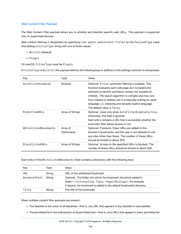#### Web Content Filter Payload

The Web Content Filter payload allows you to whitelist and blacklist specific web URLs. This payload is supported only on supervised devices.

Web content filtering is designated by specifying com.apple.webcontent-filter as the PayloadType value and adding a FilterType string with one of these values:

- BuiltIn (Default)
- Plugin

On macOS, FilterType must be Plugin.

If FilterType is BuiltIn, this payload defines the following keys in addition to the settings common to all payloads:

| Key                    | Type                            | Value                                                                                                                                                                                                                                                                                                                                                                                            |
|------------------------|---------------------------------|--------------------------------------------------------------------------------------------------------------------------------------------------------------------------------------------------------------------------------------------------------------------------------------------------------------------------------------------------------------------------------------------------|
| AutoFilterEnabled      | <b>Boolean</b>                  | Optional. If true, automatic filtering is enabled. This<br>function evaluates each web page as it is loaded and<br>attempts to identify and block content not suitable for<br>children. The search algorithm is complex and may vary<br>from release to release, but it is basically looking for adult<br>language, i.e. swearing and sexually explicit language.<br>The default value is false. |
| PermittedURLs          | Array of Strings                | Optional. Used only when AutoFilterEnabled is true.<br>Otherwise, this field is ignored.<br>Each entry contains a URL that is accessible whether the<br>automatic filter allows access or not.                                                                                                                                                                                                   |
| WhitelistedBookmarks   | Array of<br><b>Dictionaries</b> | Optional. If present, these URLs are added to the<br>browser's bookmarks, and the user is not allowed to visit<br>any sites other than these. The number of these URLs<br>should be limited to about 500.                                                                                                                                                                                        |
| <b>BlacklistedURLs</b> | Array of Strings                | Optional. Access to the specified URLs is blocked. The<br>number of these URLs should be limited to about 500.                                                                                                                                                                                                                                                                                   |

Each entry in the WhitelistedBookmarks field contains a dictionary with the following keys:

| Key          | Type   | Value                                                                                                                                                                                             |
|--------------|--------|---------------------------------------------------------------------------------------------------------------------------------------------------------------------------------------------------|
| URL          | String | URL of the whitelisted bookmark.                                                                                                                                                                  |
| BookmarkPath | String | Optional. The folder into which the bookmark should be added in<br>Safari-/Interesting Topic Pages/Biology/, for example.<br>If absent, the bookmark is added to the default bookmarks directory. |
| Title        | String | The title of the bookmark.                                                                                                                                                                        |

When multiple content filter payloads are present:

- The blacklist is the union of all blacklists—that is, any URL that appears in any blacklist is inaccessible.
- The permitted list is the intersection of all permitted lists—that is, only URLs that appear in *every* permitted list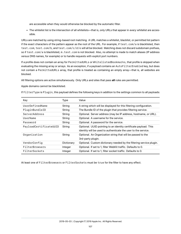are accessible when they would otherwise be blocked by the automatic filter.

• The whitelist list is the intersection of all whitelists—that is, only URLs that appear in *every* whitelist are accessible.

URLs are matched by using string-based root matching. A URL matches a whitelist, blacklist, or permitted list pattern if the exact characters of the pattern appear as the root of the URL. For example, if test.com/a is blacklisted, then test.com, test.com/b, and test.com/c/d/e will all be blocked. Matching does not discard subdomain prefixes, so if test.com/a is blacklisted, m.test.com is not blocked. Also, no attempt is made to match aliases (IP address versus DNS names, for example) or to handle requests with explicit port numbers.

If a profile does not contain an array for PermittedURLs or WhitelistedBookmarks, that profile is skipped when evaluating the missing array or arrays. As an exception, if a payload contains an AutoFilterEnabled key, but does not contain a PermittedURLs array, that profile is treated as containing an empty array—that is, all websites are blocked.

All filtering options are active simultaneously. Only URLs and sites that pass **all** rules are permitted.

Apple domains cannot be blacklisted.

If FilterType is Plugin, this payload defines the following keys in addition to the settings common to all payloads:

| Key                    | Type       | Value                                                               |
|------------------------|------------|---------------------------------------------------------------------|
| UserDefinedName        | String     | A string which will be displayed for this filtering configuration.  |
| PluginBundleID         | String     | The Bundle ID of the plugin that provides filtering service.        |
| ServerAddress          | String     | Optional. Server address (may be IP address, hostname, or URL).     |
| UserName               | String     | Optional. A username for the service.                               |
| Password               | String     | Optional. A password for the service.                               |
| PayloadCertificateUUID | String     | Optional. UUID pointing to an identity certificate payload. This    |
|                        |            | identity will be used to authenticate the user to the service.      |
| Organization           | String     | Optional. An Organization string that will be passed to the         |
|                        |            | 3rd-party plugin.                                                   |
| VendorConfig           | Dictionary | Optional. Custom dictionary needed by the filtering service plugin. |
| FilterBrowsers         | Integer    | Optional. If set to 1, filter WebKit traffic. Defaults to 0.        |
| FilterSockets          | Integer    | Optional. If set to 1, filter socket traffic. Defaults to 0.        |

At least one of FilterBrowsers or FilterSockets must be true for the filter to have any effect.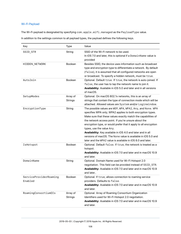# Wi-Fi Payload

The Wi-Fi payload is designated by specifying com.apple.wifi.managed as the PayloadType value.

In addition to the settings common to all payload types, the payload defines the following keys.

| Key                               | <b>Type</b>                | Value                                                                                                                                                                                                                                                                                                                                                                                                                                                                                                                                             |
|-----------------------------------|----------------------------|---------------------------------------------------------------------------------------------------------------------------------------------------------------------------------------------------------------------------------------------------------------------------------------------------------------------------------------------------------------------------------------------------------------------------------------------------------------------------------------------------------------------------------------------------|
| SSID_STR                          | String                     | SSID of the Wi-Fi network to be used.<br>In iOS 7.0 and later, this is optional if a DomainName value is<br>provided                                                                                                                                                                                                                                                                                                                                                                                                                              |
| HIDDEN NETWORK                    | Boolean                    | Besides SSID, the device uses information such as broadcast<br>type and encryption type to differentiate a network. By default<br>(false), it is assumed that all configured networks are open<br>or broadcast. To specify a hidden network, must be true.                                                                                                                                                                                                                                                                                        |
| AutoJoin                          | <b>Boolean</b>             | Optional. Default true. If true, the network is auto-joined. If<br>false, the user has to tap the network name to join it.<br>Availability: Available in iOS 5.0 and later and in all versions<br>of macOS.                                                                                                                                                                                                                                                                                                                                       |
| SetupModes                        | Array of<br><b>Strings</b> | Optional. On macOS 802.1x networks, this is an array of<br>strings that contain the type of connection mode which will be<br>attached. Allowed values are System and/or Loginwindow.                                                                                                                                                                                                                                                                                                                                                              |
| EncryptionType                    | String                     | The possible values are WEP, WPA, WPA2, Any, and None. WPA<br>specifies WPA only; WPA2 applies to both encryption types.<br>Make sure that these values exactly match the capabilities of<br>the network access point. If you're unsure about the<br>encryption type, or would prefer that it apply to all encryption<br>types, use the value Any.<br>Availability: Key available in iOS 4.0 and later and in all<br>versions of macOS. The None value is available in iOS 5.0 and<br>later and the WPA2 value is available in iOS 8.0 and later. |
| IsHotspot                         | Boolean                    | Optional. Default false. If true, the network is treated as a<br>hotspot.<br>Availability: Available in iOS 7.0 and later and in macOS 10.9<br>and later.                                                                                                                                                                                                                                                                                                                                                                                         |
| DomainName                        | String                     | Optional. Domain Name used for Wi-Fi Hotspot 2.0<br>negotiation. This field can be provided instead of SSID_STR.<br>Availability: Available in iOS 7.0 and later and in macOS 10.9<br>and later                                                                                                                                                                                                                                                                                                                                                   |
| ServiceProviderRoaming<br>Enabled | Boolean                    | Optional. If true, allows connection to roaming service<br>providers. Defaults to false.<br>Availability: Available in iOS 7.0 and later and in macOS 10.9<br>and later.                                                                                                                                                                                                                                                                                                                                                                          |
| RoamingConsortiumOIs              | Array of<br>Strings        | Optional. Array of Roaming Consortium Organization<br>Identifiers used for Wi-Fi Hotspot 2.0 negotiation.<br>Availability: Available in iOS 7.0 and later and in macOS 10.9<br>and later.                                                                                                                                                                                                                                                                                                                                                         |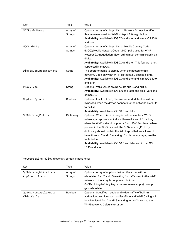| Key                   | Type                       | Value                                                                                                                                                                                                                                                                                                                                                                                                                                                                                 |
|-----------------------|----------------------------|---------------------------------------------------------------------------------------------------------------------------------------------------------------------------------------------------------------------------------------------------------------------------------------------------------------------------------------------------------------------------------------------------------------------------------------------------------------------------------------|
| NAIRealmNames         | Array of<br><b>Strings</b> | Optional. Array of strings. List of Network Access Identifier<br>Realm names used for Wi-Fi Hotspot 2.0 negotiation.<br>Availability: Available in iOS 7.0 and later and in macOS 10.9<br>and later.                                                                                                                                                                                                                                                                                  |
| <b>MCCAndMNCs</b>     | Array of<br><b>Strings</b> | Optional. Array of strings. List of Mobile Country Code<br>(MCC)/Mobile Network Code (MNC) pairs used for Wi-Fi<br>Hotspot 2.0 negotiation. Each string must contain exactly six<br>digits.<br>Availability: Available in iOS 7.0 and later. This feature is not<br>supported in macOS.                                                                                                                                                                                               |
| DisplayedOperatorName | String                     | The operator name to display when connected to this<br>network. Used only with Wi-Fi Hotspot 2.0 access points.<br>Availability: Available in iOS 7.0 and later and in macOS 10.9<br>and later.                                                                                                                                                                                                                                                                                       |
| ProxyType             | String                     | Optional. Valid values are None, Manual, and Auto.<br>Availability: Available in iOS 5.0 and later and on all versions<br>of macOS.                                                                                                                                                                                                                                                                                                                                                   |
| CaptiveBypass         | Boolean                    | Optional. If set to true, Captive Network detection will be<br>bypassed when the device connects to the network. Defaults<br>to false.<br>Availability: Available in iOS 10.0 and later.                                                                                                                                                                                                                                                                                              |
| QoSMarkingPolicy      | Dictionary                 | Optional. When this dictionary is not present for a Wi-Fi<br>network, all apps are whitelisted to use L2 and L3 marking<br>when the Wi-Fi network supports Cisco QoS fast lane. When<br>present in the Wi-Fi payload, the QoSMarkingPolicy<br>dictionary should contain the list of apps that are allowed to<br>benefit from L2 and L3 marking. For dictionary keys, see the<br>table below.<br><b>Availability:</b> Available in iOS 10.0 and later and in macOS<br>10.13 and later. |

The QoSMarkingPolicy dictionary contains these keys:

| Key                                     | Type                       | Value                                                                                                                                                                                                                                                 |
|-----------------------------------------|----------------------------|-------------------------------------------------------------------------------------------------------------------------------------------------------------------------------------------------------------------------------------------------------|
| QoSMarkingWhitelisted<br>AppIdentifiers | Array of<br><b>Strings</b> | Optional. Array of app bundle identifiers that will be<br>whitelisted for L2 and L3 marking for traffic sent to the Wi-Fi<br>network. If the array is not present but the<br>QoSMarkingPolicy key is present (even empty) no app<br>gets whitelisted. |
| QoSMarkingAppleAudio<br>VideoCalls      | <b>Boolean</b>             | Optional. Specifies if audio and video traffic of built-in<br>audio/video services such as FaceTime and Wi-Fi Calling will<br>be white listed for L2 and L3 marking for traffic sent to the<br>Wi-Fi network. Defaults to true.                       |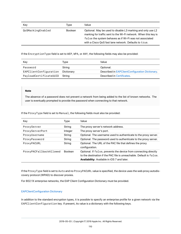| Key               | Type           | Value                                                                                                                                                                                                                                              |
|-------------------|----------------|----------------------------------------------------------------------------------------------------------------------------------------------------------------------------------------------------------------------------------------------------|
| QoSMarkingEnabled | <b>Boolean</b> | Optional. May be used to disable L3 marking and only use L2<br>marking for traffic sent to the Wi-Fi network. When this key is<br>false the system behaves as if Wi-Fi was not associated<br>with a Cisco QoS fast lane network. Defaults to true. |

If the EncryptionType field is set to WEP, WPA, or ANY, the following fields may also be provided:

| Kev                    | Type       | Value                                           |
|------------------------|------------|-------------------------------------------------|
| Password               | String     | Optional.                                       |
| EAPClientConfiguration | Dictionary | Described in EAPClientConfiguration Dictionary. |
| PayloadCertificateUUID | Strina     | Described in Certificates.                      |

### **Note**

The absence of a password does not prevent a network from being added to the list of known networks. The user is eventually prompted to provide the password when connecting to that network.

If the ProxyType field is set to Manual, the following fields must also be provided:

| Key                     | Type           | Value                                                                                                                                                                                          |
|-------------------------|----------------|------------------------------------------------------------------------------------------------------------------------------------------------------------------------------------------------|
| ProxyServer             | String         | The proxy server's network address.                                                                                                                                                            |
| ProxyServerPort         | Integer        | The proxy server's port.                                                                                                                                                                       |
| ProxyUsername           | String         | Optional. The username used to authenticate to the proxy server.                                                                                                                               |
| ProxyPassword           | String         | Optional. The password used to authenticate to the proxy server.                                                                                                                               |
| ProxyPACURL             | String         | Optional. The URL of the PAC file that defines the proxy<br>configuration.                                                                                                                     |
| ProxyPACFallbackAllowed | <b>Boolean</b> | Optional. If false, prevents the device from connecting directly<br>to the destination if the PAC file is unreachable. Default is false.<br><b>Availability:</b> Available in iOS 7 and later. |

If the ProxyType field is set to Auto and no ProxyPACURL value is specified, the device uses the web proxy autodiscovery protocol (WPAD) to discover proxies.

<span id="page-109-0"></span>For 802.1X enterprise networks, the EAP Client Configuration Dictionary must be provided.

### EAPClientConfiguration Dictionary

In addition to the standard encryption types, it is possible to specify an enterprise profile for a given network via the EAPClientConfiguration key. If present, its value is a dictionary with the following keys.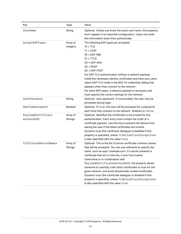| Key                              | Type                       | Value                                                                                                                                                                                                                                                                                                                                                                                                                                                                                                                                                                                                                                             |
|----------------------------------|----------------------------|---------------------------------------------------------------------------------------------------------------------------------------------------------------------------------------------------------------------------------------------------------------------------------------------------------------------------------------------------------------------------------------------------------------------------------------------------------------------------------------------------------------------------------------------------------------------------------------------------------------------------------------------------|
| UserName                         | String                     | Optional. Unless you know the exact user name, this property<br>won't appear in an imported configuration. Users can enter<br>this information when they authenticate.                                                                                                                                                                                                                                                                                                                                                                                                                                                                            |
| AcceptEAPTypes                   | Array of<br>Integers       | The following EAP types are accepted:<br>$13 = TLS$<br>$17 = LEAP$<br>$18 = EAP-SIM$<br>$21 = TTLS$<br>$23 = EAP-AKA$<br>$25 = PEAP$<br>$43 = EAP-FAST$<br>For EAP-TLS authentication without a network payload,<br>install the necessary identity certificates and have your users<br>select EAP-TLS mode in the 802.1X credentials dialog that<br>appears when they connect to the network.<br>For other EAP types, a network payload is necessary and<br>must specify the correct settings for the network.                                                                                                                                    |
| UserPassword                     | String                     | Optional. User password. If not provided, the user may be<br>prompted during login.                                                                                                                                                                                                                                                                                                                                                                                                                                                                                                                                                               |
| OneTimePassword                  | Boolean                    | Optional. If true, the user will be prompted for a password<br>each time they connect to the network. Defaults to false.                                                                                                                                                                                                                                                                                                                                                                                                                                                                                                                          |
| PayloadCertificate<br>AnchorUUID | Array of<br><b>Strings</b> | Optional. Identifies the certificates to be trusted for this<br>authentication. Each entry must contain the UUID of a<br>certificate payload. Use this key to prevent the device from<br>asking the user if the listed certificates are trusted.<br>Dynamic trust (the certificate dialogue) is disabled if this<br>property is specified, unless TLSAllowTrustExceptions<br>is also specified with the value true.                                                                                                                                                                                                                               |
| TLSTrustedServerNames            | Array of<br>Strings        | Optional. This is the list of server certificate common names<br>that will be accepted. You can use wildcards to specify the<br>name, such as wpa.*.example.com. If a server presents a<br>certificate that isn't in this list, it won't be trusted.<br>Used alone or in combination with<br>PayloadCertificateAnchorUUID, the property allows<br>someone to carefully craft which certificates to trust for the<br>given network, and avoid dynamically trusted certificates.<br>Dynamic trust (the certificate dialogue) is disabled if this<br>property is specified, unless TLSAllowTrustExceptions<br>is also specified with the value true. |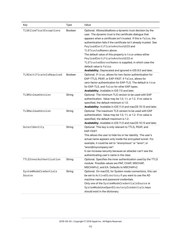| Key                             | Type    | Value                                                                                                                                                                                                                                                                                                                                                                                                                                                                                                                                                                         |
|---------------------------------|---------|-------------------------------------------------------------------------------------------------------------------------------------------------------------------------------------------------------------------------------------------------------------------------------------------------------------------------------------------------------------------------------------------------------------------------------------------------------------------------------------------------------------------------------------------------------------------------------|
| TLSAllowTrustExceptions         | Boolean | Optional. Allows/disallows a dynamic trust decision by the<br>user. The dynamic trust is the certificate dialogue that<br>appears when a certificate isn't trusted. If this is false, the<br>authentication fails if the certificate isn't already trusted. See<br>PayloadCertificateAnchorUUID and<br>TLSTrustedNames above.<br>The default value of this property is true unless either<br>PayloadCertificateAnchorUUID or<br>TLSTrustedServerNames is supplied, in which case the<br>default value is false.<br>Availability: Deprecated and ignored in iOS 8.0 and later. |
| TLSCertificateIsRequired        | Boolean | Optional. If true, allows for two-factor authentication for<br>EAP-TTLS, PEAP, or EAP-FAST. If false, allows for<br>zero-factor authentication for EAP-TLS. The default is true<br>for EAP-TLS, and false for other EAP types.<br>Availability: Available in iOS 7.0 and later.                                                                                                                                                                                                                                                                                               |
| TLSMinimumVersion               | String  | Optional. The minimum TLS version to be used with EAP<br>authentication. Value may be 1.0, 1.1, or 1.2. If no value is<br>specified, the default minimum is 1.0.<br>Availability: Available in iOS 11.0 and macOS 10.13 and later.                                                                                                                                                                                                                                                                                                                                            |
| TLSMaximumVersion               | String  | Optional. The maximum TLS version to be used with EAP<br>authentication. Value may be 1.0, 1.1, or 1.2. If no value is<br>specified, the default maximum is 1.2.<br>Availability: Available in iOS 11.0 and macOS 10.13 and later.                                                                                                                                                                                                                                                                                                                                            |
| OuterIdentity                   | String  | Optional. This key is only relevant to TTLS, PEAP, and<br>EAP-FAST.<br>This allows the user to hide his or her identity. The user's<br>actual name appears only inside the encrypted tunnel. For<br>example, it could be set to "anonymous" or "anon", or<br>"anon@mycompany.net".<br>It can increase security because an attacker can't see the<br>authenticating user's name in the clear.                                                                                                                                                                                  |
| TTLSInnerAuthentication         | String  | Optional. Specifies the inner authentication used by the TTLS<br>module. Possible values are PAP, CHAP, MSCHAP,<br>MSCHAPv2, and EA. Defaults to MSCHAPv2.                                                                                                                                                                                                                                                                                                                                                                                                                    |
| SystemModeCredentials<br>Source | String  | Optional. On macOS, for System mode connections, this can<br>be set to ActiveDirectory if you want to use the AD<br>machine name and password credentials.<br>Only one of the SystemModeCredentialsSource or<br>SystemModeUseOpenDirectoryCredentialskeys<br>should exist in the dictionary.                                                                                                                                                                                                                                                                                  |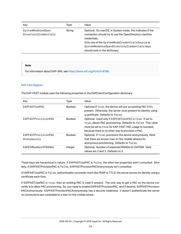| Key                                       | Type   | Value                                                                                                                                                                                                                                                                 |
|-------------------------------------------|--------|-----------------------------------------------------------------------------------------------------------------------------------------------------------------------------------------------------------------------------------------------------------------------|
| SystemModeUseOpen<br>DirectoryCredentials | String | Optional. On macOS, in System mode, this indicates if the<br>connection should try to use the OpenDirectory machine<br>credentials.<br>Only one of the SystemModeCredentialsSource or<br>SystemModeUseOpenDirectoryCredentialskeys<br>should exist in the dictionary. |

#### **Note**

For information about EAP-SIM, see <https://tools.ietf.org/html/rfc4186>.

#### EAP-Fast Support

The EAP-FAST module uses the following properties in the EAPClientConfiguration dictionary.

| Key                                | Type           | Value                                                                                                                                                                                                                                  |
|------------------------------------|----------------|----------------------------------------------------------------------------------------------------------------------------------------------------------------------------------------------------------------------------------------|
| EAPFASTUsePAC                      | <b>Boolean</b> | Optional. If true, the device will use an existing PAC if it's<br>present. Otherwise, the server must present its identity using<br>a certificate. Defaults to false.                                                                  |
| <b>FAPFASTProvisionPAC</b>         | <b>Boolean</b> | Optional. Used only if EAPFASTUsePAC is true. If set to<br>true, allows PAC provisioning. Defaults to false. This value<br>must be set to true for EAP-FAST PAC usage to succeed,<br>because there is no other way to provision a PAC. |
| EAPFASTProvisionPAC<br>Anonymously | <b>Boolean</b> | Optional. If true, provisions the device anonymously. Note<br>that there are known man-in-the-middle attacks for<br>anonymous provisioning. Defaults to false.                                                                         |
| EAPSIMNumberOfRANDs                | Integer        | Optional. Number of expected RANDs for EAPSIM. Valid<br>values are 2 and 3. Defaults to 3.                                                                                                                                             |

These keys are hierarchical in nature: if EAPFASTUsePAC is false, the other two properties aren't consulted. Similarly, if EAPFASTProvisionPAC is false, EAPFASTProvisionPACAnonymously isn't consulted.

If EAPFASTUsePAC is false, authentication proceeds much like PEAP or TTLS: the server proves its identity using a certificate each time.

<span id="page-112-0"></span>If EAPFASTUsePAC is true, then an existing PAC is used if present. The only way to get a PAC on the device currently is to allow PAC provisioning. So, you need to enable EAPFASTProvisionPAC, and if desired, EAPFASTProvision-PACAnonymously. EAPFASTProvisionPACAnonymously has a security weakness: it doesn't authenticate the server so connections are vulnerable to a man-in-the-middle attack.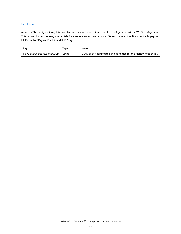### **Certificates**

As with VPN configurations, it is possible to associate a certificate identity configuration with a Wi-Fi configuration. This is useful when defining credentials for a secure enterprise network. To associate an identity, specify its payload UUID via the "PayloadCertificateUUID" key.

| Kev                    | Tvpe   | Value                                                               |  |
|------------------------|--------|---------------------------------------------------------------------|--|
| PayloadCertificateUUID | Strina | UUID of the certificate payload to use for the identity credential. |  |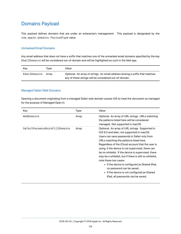## Domains Payload

This payload defines domains that are under an enterprise's management. This payload is designated by the com.apple.domains PayloadType value.

## Unmarked Email Domains

Any email address that does not have a suffix that matches one of the unmarked email domains specified by the key EmailDomains will be considered out-of-domain and will be highlighted as such in the Mail app.

| Kev          | Tvpe  | Value                                                                                                                                   |
|--------------|-------|-----------------------------------------------------------------------------------------------------------------------------------------|
| EmailDomains | Arrav | Optional. An array of strings. An email address lacking a suffix that matches<br>any of these strings will be considered out-of-domain. |

## Managed Safari Web Domains

Opening a document originating from a managed Safari web domain causes iOS to treat the document as managed for the purpose of Managed Open In.

| Key                           | Type  | Value                                                                                                                                                                                                                                                                                                                                                                                                                                                                                                                                                                                                           |
|-------------------------------|-------|-----------------------------------------------------------------------------------------------------------------------------------------------------------------------------------------------------------------------------------------------------------------------------------------------------------------------------------------------------------------------------------------------------------------------------------------------------------------------------------------------------------------------------------------------------------------------------------------------------------------|
| WebDomains                    | Array | Optional. An array of URL strings. URLs matching<br>the patterns listed here will be considered<br>managed. Not supported in macOS                                                                                                                                                                                                                                                                                                                                                                                                                                                                              |
| SafariPasswordAutoFillDomains | Array | Optional. An array of URL strings. Supported in<br>iOS 9.3 and later; not supported in macOS.<br>Users can save passwords in Safari only from<br>URLs matching the patterns listed here.<br>Regardless of the iCloud account that the user is<br>using, if the device is not supervised, there can<br>be no whitelist. If the device is supervised, there<br>may be a whitelist, but if there is still no whitelist,<br>note these two cases:<br>• If the device is configured as Shared iPad,<br>no password can be saved.<br>• If the device is not configured as Shared<br>iPad, all passwords can be saved. |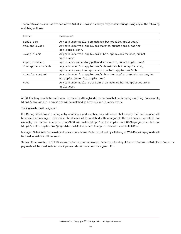The WebDomains and SafariPasswordAutoFillDomains arrays may contain strings using any of the following matching patterns:

| Format            | Description                                                                                                          |
|-------------------|----------------------------------------------------------------------------------------------------------------------|
| apple.com         | Any path under apple.com matches, but not site.apple.com/.                                                           |
| foo.apple.com     | Any path under foo.apple.com matches, but not apple.com/ or<br>bar.apple.com/.                                       |
| $*.apple.com$     | Any path under foo.apple.com or bar.apple.com matches, but not<br>apple.com.                                         |
| apple.com/sub     | apple.com/sub and any path under it matches, but not apple.com/.                                                     |
| foo.apple.com/sub | Any path under foo.apple.com/sub matches, but not apple.com,<br>apple.com/sub, foo.apple.com/, or bar.apple.com/sub. |
| $*.apple.com/sub$ | Any path under foo.apple.com/sub or bar.apple.com/sub matches, but<br>not apple.com or foo.apple.com/.               |
| $*.CO$            | Any path under apple.co or beats.co matches, but not apple.co.uk or<br>apple.com.                                    |

A URL that begins with the prefix www. is treated as though it did not contain that prefix during matching. For example, http://www.apple.com/store will be matched as http://apple.com/store.

Trailing slashes will be ignored.

If a ManagedWebDomain string entry contains a port number, only addresses that specify that port number will be considered managed. Otherwise, the domain will be matched without regard to the port number specified. For example, the pattern \*.apple.com:8080 will match http://site.apple.com:8080/page.html but not http://site.apple.com/page.html, while the pattern \*.apple.com will match both URLs.

Managed Safari Web Domain definitions are cumulative. Patterns defined by all Managed Web Domains payloads will be used to match a URL request.

SafariPasswordAutoFillDomains definitions are cumulative. Patterns defined by all SafariPasswordAutoFillDomains payloads will be used to determine if passwords can be stored for a given URL.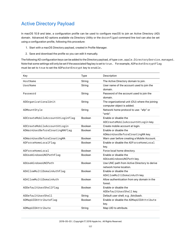# Active Directory Payload

In macOS 10.9 and later, a configuration profile can be used to configure macOS to join an Active Directory (AD) domain. Advanced AD options available via Directory Utility or the dsconfigad command line tool can also be set using a configuration profile, following this procedure:

- 1. Start with a macOS Directory payload, created in Profile Manager.
- 2. Save and download the profile so you can edit it manually.

The following AD configuration keys can be added to the Directory payload, of type com.apple.DirectoryService.managed. Note that some settings will only be set if the associated flag key is set to true. For example, ADPacketEncryptFlag must be set to true to set the ADPacketEncrypt key to enable.

| HostName<br>String<br>The Active Directory domain to join.<br>UserName<br>String<br>User name of the account used to join the<br>domain.<br>Password<br>String<br>Password of the account used to join the<br>domain.<br>ADOrganizationalUnit<br>The organizational unit (OU) where the joining<br>String<br>computer object is added.<br>Network home protocol to use: "afp" or<br>ADMountStyle<br>String<br>"smb".<br>ADCreateMobileAccountAtLoginFlag<br>Fnable or disable the<br><b>Boolean</b><br>ADCreateMobileAccountAtLogin key.<br>ADCreateMobileAccountAtLogin<br><b>Boolean</b><br>Create mobile account at login.<br>Enable or disable the<br>ADWarnUserBeforeCreatingMAFlag<br><b>Boolean</b><br>ADWarnUserBeforeCreatingMA key.<br>ADWarnUserBeforeCreatingMA<br><b>Boolean</b><br>Warn user before creating a Mobile Account.<br>Enable or disable the ADForceHomeLocal<br>ADForceHomeLocalFlag<br><b>Boolean</b><br>key.<br>ADForceHomeLocal<br><b>Boolean</b><br>Force local home directory.<br>Enable or disable the<br>ADUseWindowsUNCPathFlag<br><b>Boolean</b><br>ADUseWindowsUNCPath key.<br>ADUseWindowsUNCPath<br>Boolean<br>Use UNC path from Active Directory to derive<br>network home location.<br>ADAllowMultiDomainAuthFlag<br>Enable or disable the<br><b>Boolean</b><br>ADAllowMultiDomainAuth key.<br>ADAllowMultiDomainAuth<br>Allow authentication from any domain in the<br><b>Boolean</b><br>forest.<br>ADDefaultUserShellFlag<br>Boolean<br>Enable or disable the<br>ADDefaultUserShell key.<br>ADDefaultUserShell<br>Default user shell; e.g. /bin/bash.<br>String<br>ADMapUIDAttributeFlag<br><b>Boolean</b><br>Enable or disable the ADMapUIDAttribute<br>key.<br>ADMapUIDAttribute<br>String<br>Map UID to attribute. | Key | <b>Type</b> | Description |
|-----------------------------------------------------------------------------------------------------------------------------------------------------------------------------------------------------------------------------------------------------------------------------------------------------------------------------------------------------------------------------------------------------------------------------------------------------------------------------------------------------------------------------------------------------------------------------------------------------------------------------------------------------------------------------------------------------------------------------------------------------------------------------------------------------------------------------------------------------------------------------------------------------------------------------------------------------------------------------------------------------------------------------------------------------------------------------------------------------------------------------------------------------------------------------------------------------------------------------------------------------------------------------------------------------------------------------------------------------------------------------------------------------------------------------------------------------------------------------------------------------------------------------------------------------------------------------------------------------------------------------------------------------------------------------------------------------------------------------------------------------------------|-----|-------------|-------------|
|                                                                                                                                                                                                                                                                                                                                                                                                                                                                                                                                                                                                                                                                                                                                                                                                                                                                                                                                                                                                                                                                                                                                                                                                                                                                                                                                                                                                                                                                                                                                                                                                                                                                                                                                                                 |     |             |             |
|                                                                                                                                                                                                                                                                                                                                                                                                                                                                                                                                                                                                                                                                                                                                                                                                                                                                                                                                                                                                                                                                                                                                                                                                                                                                                                                                                                                                                                                                                                                                                                                                                                                                                                                                                                 |     |             |             |
|                                                                                                                                                                                                                                                                                                                                                                                                                                                                                                                                                                                                                                                                                                                                                                                                                                                                                                                                                                                                                                                                                                                                                                                                                                                                                                                                                                                                                                                                                                                                                                                                                                                                                                                                                                 |     |             |             |
|                                                                                                                                                                                                                                                                                                                                                                                                                                                                                                                                                                                                                                                                                                                                                                                                                                                                                                                                                                                                                                                                                                                                                                                                                                                                                                                                                                                                                                                                                                                                                                                                                                                                                                                                                                 |     |             |             |
|                                                                                                                                                                                                                                                                                                                                                                                                                                                                                                                                                                                                                                                                                                                                                                                                                                                                                                                                                                                                                                                                                                                                                                                                                                                                                                                                                                                                                                                                                                                                                                                                                                                                                                                                                                 |     |             |             |
|                                                                                                                                                                                                                                                                                                                                                                                                                                                                                                                                                                                                                                                                                                                                                                                                                                                                                                                                                                                                                                                                                                                                                                                                                                                                                                                                                                                                                                                                                                                                                                                                                                                                                                                                                                 |     |             |             |
|                                                                                                                                                                                                                                                                                                                                                                                                                                                                                                                                                                                                                                                                                                                                                                                                                                                                                                                                                                                                                                                                                                                                                                                                                                                                                                                                                                                                                                                                                                                                                                                                                                                                                                                                                                 |     |             |             |
|                                                                                                                                                                                                                                                                                                                                                                                                                                                                                                                                                                                                                                                                                                                                                                                                                                                                                                                                                                                                                                                                                                                                                                                                                                                                                                                                                                                                                                                                                                                                                                                                                                                                                                                                                                 |     |             |             |
|                                                                                                                                                                                                                                                                                                                                                                                                                                                                                                                                                                                                                                                                                                                                                                                                                                                                                                                                                                                                                                                                                                                                                                                                                                                                                                                                                                                                                                                                                                                                                                                                                                                                                                                                                                 |     |             |             |
|                                                                                                                                                                                                                                                                                                                                                                                                                                                                                                                                                                                                                                                                                                                                                                                                                                                                                                                                                                                                                                                                                                                                                                                                                                                                                                                                                                                                                                                                                                                                                                                                                                                                                                                                                                 |     |             |             |
|                                                                                                                                                                                                                                                                                                                                                                                                                                                                                                                                                                                                                                                                                                                                                                                                                                                                                                                                                                                                                                                                                                                                                                                                                                                                                                                                                                                                                                                                                                                                                                                                                                                                                                                                                                 |     |             |             |
|                                                                                                                                                                                                                                                                                                                                                                                                                                                                                                                                                                                                                                                                                                                                                                                                                                                                                                                                                                                                                                                                                                                                                                                                                                                                                                                                                                                                                                                                                                                                                                                                                                                                                                                                                                 |     |             |             |
|                                                                                                                                                                                                                                                                                                                                                                                                                                                                                                                                                                                                                                                                                                                                                                                                                                                                                                                                                                                                                                                                                                                                                                                                                                                                                                                                                                                                                                                                                                                                                                                                                                                                                                                                                                 |     |             |             |
|                                                                                                                                                                                                                                                                                                                                                                                                                                                                                                                                                                                                                                                                                                                                                                                                                                                                                                                                                                                                                                                                                                                                                                                                                                                                                                                                                                                                                                                                                                                                                                                                                                                                                                                                                                 |     |             |             |
|                                                                                                                                                                                                                                                                                                                                                                                                                                                                                                                                                                                                                                                                                                                                                                                                                                                                                                                                                                                                                                                                                                                                                                                                                                                                                                                                                                                                                                                                                                                                                                                                                                                                                                                                                                 |     |             |             |
|                                                                                                                                                                                                                                                                                                                                                                                                                                                                                                                                                                                                                                                                                                                                                                                                                                                                                                                                                                                                                                                                                                                                                                                                                                                                                                                                                                                                                                                                                                                                                                                                                                                                                                                                                                 |     |             |             |
|                                                                                                                                                                                                                                                                                                                                                                                                                                                                                                                                                                                                                                                                                                                                                                                                                                                                                                                                                                                                                                                                                                                                                                                                                                                                                                                                                                                                                                                                                                                                                                                                                                                                                                                                                                 |     |             |             |
|                                                                                                                                                                                                                                                                                                                                                                                                                                                                                                                                                                                                                                                                                                                                                                                                                                                                                                                                                                                                                                                                                                                                                                                                                                                                                                                                                                                                                                                                                                                                                                                                                                                                                                                                                                 |     |             |             |
|                                                                                                                                                                                                                                                                                                                                                                                                                                                                                                                                                                                                                                                                                                                                                                                                                                                                                                                                                                                                                                                                                                                                                                                                                                                                                                                                                                                                                                                                                                                                                                                                                                                                                                                                                                 |     |             |             |
|                                                                                                                                                                                                                                                                                                                                                                                                                                                                                                                                                                                                                                                                                                                                                                                                                                                                                                                                                                                                                                                                                                                                                                                                                                                                                                                                                                                                                                                                                                                                                                                                                                                                                                                                                                 |     |             |             |
|                                                                                                                                                                                                                                                                                                                                                                                                                                                                                                                                                                                                                                                                                                                                                                                                                                                                                                                                                                                                                                                                                                                                                                                                                                                                                                                                                                                                                                                                                                                                                                                                                                                                                                                                                                 |     |             |             |
|                                                                                                                                                                                                                                                                                                                                                                                                                                                                                                                                                                                                                                                                                                                                                                                                                                                                                                                                                                                                                                                                                                                                                                                                                                                                                                                                                                                                                                                                                                                                                                                                                                                                                                                                                                 |     |             |             |
|                                                                                                                                                                                                                                                                                                                                                                                                                                                                                                                                                                                                                                                                                                                                                                                                                                                                                                                                                                                                                                                                                                                                                                                                                                                                                                                                                                                                                                                                                                                                                                                                                                                                                                                                                                 |     |             |             |
|                                                                                                                                                                                                                                                                                                                                                                                                                                                                                                                                                                                                                                                                                                                                                                                                                                                                                                                                                                                                                                                                                                                                                                                                                                                                                                                                                                                                                                                                                                                                                                                                                                                                                                                                                                 |     |             |             |
|                                                                                                                                                                                                                                                                                                                                                                                                                                                                                                                                                                                                                                                                                                                                                                                                                                                                                                                                                                                                                                                                                                                                                                                                                                                                                                                                                                                                                                                                                                                                                                                                                                                                                                                                                                 |     |             |             |
|                                                                                                                                                                                                                                                                                                                                                                                                                                                                                                                                                                                                                                                                                                                                                                                                                                                                                                                                                                                                                                                                                                                                                                                                                                                                                                                                                                                                                                                                                                                                                                                                                                                                                                                                                                 |     |             |             |
|                                                                                                                                                                                                                                                                                                                                                                                                                                                                                                                                                                                                                                                                                                                                                                                                                                                                                                                                                                                                                                                                                                                                                                                                                                                                                                                                                                                                                                                                                                                                                                                                                                                                                                                                                                 |     |             |             |
|                                                                                                                                                                                                                                                                                                                                                                                                                                                                                                                                                                                                                                                                                                                                                                                                                                                                                                                                                                                                                                                                                                                                                                                                                                                                                                                                                                                                                                                                                                                                                                                                                                                                                                                                                                 |     |             |             |
|                                                                                                                                                                                                                                                                                                                                                                                                                                                                                                                                                                                                                                                                                                                                                                                                                                                                                                                                                                                                                                                                                                                                                                                                                                                                                                                                                                                                                                                                                                                                                                                                                                                                                                                                                                 |     |             |             |
|                                                                                                                                                                                                                                                                                                                                                                                                                                                                                                                                                                                                                                                                                                                                                                                                                                                                                                                                                                                                                                                                                                                                                                                                                                                                                                                                                                                                                                                                                                                                                                                                                                                                                                                                                                 |     |             |             |
|                                                                                                                                                                                                                                                                                                                                                                                                                                                                                                                                                                                                                                                                                                                                                                                                                                                                                                                                                                                                                                                                                                                                                                                                                                                                                                                                                                                                                                                                                                                                                                                                                                                                                                                                                                 |     |             |             |
|                                                                                                                                                                                                                                                                                                                                                                                                                                                                                                                                                                                                                                                                                                                                                                                                                                                                                                                                                                                                                                                                                                                                                                                                                                                                                                                                                                                                                                                                                                                                                                                                                                                                                                                                                                 |     |             |             |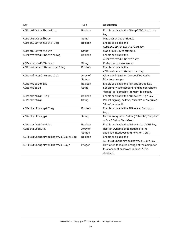| Key                               | <b>Type</b>              | Description                                      |
|-----------------------------------|--------------------------|--------------------------------------------------|
| ADMapGIDAttributeFlag             | <b>Boolean</b>           | Enable or disable the ADMapGIDAttribute<br>key.  |
| ADMapGIDAttribute                 |                          | Map user GID to attribute.                       |
| ADMapGGIDAttributeFlag            | String<br><b>Boolean</b> | Enable or disable the                            |
|                                   |                          |                                                  |
|                                   |                          | ADMapGGIDAttributeFlagkey.                       |
| ADMapGGIDAttribute                | String                   | Map group GID to attribute.                      |
| ADPreferredDCServerFlag           | <b>Boolean</b>           | Enable or disable the                            |
|                                   |                          | ADPreferredDCServer key.                         |
| ADPreferredDCServer               | String                   | Prefer this domain server.                       |
| ADDomainAdminGroupListFlag        | Boolean                  | Enable or disable the                            |
|                                   |                          | ADDomainAdminGroupListkey.                       |
| ADDomainAdminGroupList            | Array of                 | Allow administration by specified Active         |
|                                   | <b>Strings</b>           | Directory groups.                                |
| ADNamespaceFlag                   | <b>Boolean</b>           | Enable or disable the ADNamespace key.           |
| ADNamespace                       | String                   | Set primary user account naming convention:      |
|                                   |                          | "forest" or "domain"; "domain" is default.       |
| ADPacketSignFlag                  | Boolean                  | Enable or disable the ADPacketSign key.          |
| ADPacketSign                      | String                   | Packet signing: "allow", "disable" or "require"; |
|                                   |                          | "allow" is default.                              |
| ADPacketEncryptFlag               | Boolean                  | Enable or disable the ADPacketEncrypt            |
|                                   |                          | key.                                             |
| ADPacketEncrypt                   | String                   | Packet encryption: "allow", "disable", "require" |
|                                   |                          | or "ssl"; "allow" is default.                    |
| ADRestrictDDNSFlag                | <b>Boolean</b>           | Enable or disable the ADRestrictDDNS key.        |
| ADRestrictDDNS                    | Array of                 | Restrict Dynamic DNS updates to the              |
|                                   | <b>Strings</b>           | specified interfaces (e.g. en0, en1, etc).       |
| ADTrustChangePassIntervalDaysFlag | Boolean                  | Enable or disable the                            |
|                                   |                          | ADTrustChangePassIntervalDayskey.                |
| ADTrustChangePassIntervalDays     | Integer                  | How often to require change of the computer      |
|                                   |                          | trust account password in days; "0" is           |
|                                   |                          | disabled.                                        |
|                                   |                          |                                                  |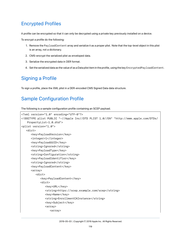# Encrypted Profiles

A profile can be encrypted so that it can only be decrypted using a private key previously installed on a device.

To encrypt a profile do the following:

- 1. Remove the PayloadContent array and serialize it as a proper plist. Note that the top-level object in this plist is an array, not a dictionary.
- 2. CMS-encrypt the serialized plist as enveloped data.
- 3. Serialize the encrypted data in DER format.
- 4. Set the serialized data as the value of as a Data plist item in the profile, using the key EncryptedPayloadContent.

## Signing a Profile

To sign a profile, place the XML plist in a DER-encoded CMS Signed Data data structure.

## Sample Configuration Profile

The following is a sample configuration profile containing an SCEP payload.

```
<?xml version="1.0" encoding="UTF-8"?>
<!DOCTYPE plist PUBLIC "-//Apple Inc//DTD PLIST 1.0//EN" "http://www.apple.com/DTDs/
   PropertyList-1.0.dtd">
<plist version="1.0">
   <dict>
      <key>PayloadVersion</key>
      <integer>1</integer>
      <key>PayloadUUID</key>
      <string>Ignored</string>
      <key>PayloadType</key>
      <string>Configuration</string>
      <key>PayloadIdentifier</key>
      <string>Ignored</string>
      <key>PayloadContent</key>
      <array>
         <dict>
            <key>PayloadContent</key>
            <dict>
               <key>URL</key>
               <string>https://scep.example.com/scep</string>
               <key>Name</key>
               <string>EnrollmentCAInstance</string>
               <key>Subject</key>
               <array>
                  <array>
```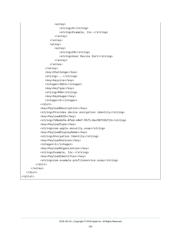```
<array>
                       <string>O</string>
                       <string>Example, Inc.</string>
                    </array>
                 </array>
                 <array>
                    <array>
                       <string>CN</string>
                       <string>User Device Cert</string>
                    </array>
                 </array>
              </array>
              <key>Challenge</key>
              <string>...</string>
              <key>Keysize</key>
              <integer>1024</integer>
              <key>KeyType</key>
              <string>RSA</string>
              <key>KeyUsage</key>
              <integer>5</integer>
           </dict>
           <key>PayloadDescription</key>
           <string>Provides device encryption identity</string>
           <key>PayloadUUID</key>
           <string>fd8a6b9e-0fed-406f-9571-8ec98722b713</string>
           <key>PayloadType</key>
           <string>com.apple.security.scep</string>
           <key>PayloadDisplayName</key>
           <string>Encryption Identity</string>
           <key>PayloadVersion</key>
           <integer>1</integer>
           <key>PayloadOrganization</key>
           <string>Example, Inc.</string>
           <key>PayloadIdentifier</key>
           <string>com.example.profileservice.scep</string>
        </dict>
     </array>
  </dict>
</plist>
```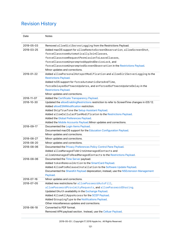# Revision History

| Date       | <b>Notes</b>                                                                                |
|------------|---------------------------------------------------------------------------------------------|
| 2019-05-03 | Removed allowSiriServerLogging from the Restrictions Payload.                               |
| 2019-03-25 | Added macOS support for allowRemoteScreenObservation, allowScreenShot,                      |
|            | forceClassroomAutomaticallyJoinClasses,                                                     |
|            | forceClassroomRequestPermissionToLeaveClasses,                                              |
|            | forceClassroomUnpromptedAppAndDeviceLock, and                                               |
|            | forceClassroomUnpromptedScreenObservation in the Restrictions Payload.                      |
|            | Minor updates and corrections.                                                              |
| 2019-01-22 | Added allowPersonalHotspotModification and allowSiriServerLogging to the                    |
|            | <b>Restrictions Payload.</b>                                                                |
|            | Added tvOS support for forceAutomaticDateAndTime,                                           |
|            | forceDelayedSoftwareUpdates, and enforcedSoftwareUpdateDelay in the                         |
|            | <b>Restrictions Payload.</b>                                                                |
|            | Minor updates and corrections.                                                              |
| 2018-11-07 | Added the Certificate Transparency Payload.                                                 |
| 2018-10-30 | Updated the allowEnablingRestrictions restriction to refer to ScreenTime changes in iOS 12. |
|            | Added allowESIMModification restriction.                                                    |
|            | Added SkipTrueTone the Setup Assistant Payload.                                             |
|            | Added allowCellularPlanModificaton to the Restrictions Payload.                             |
|            | Added the Global Preferences Payload.                                                       |
|            | Added the Mobile Accounts Payload. Minor updates and corrections.                           |
| 2018-09-17 | Documented the Login Items Payload.                                                         |
|            | Documented macOS support for the Education Configuration Payload.                           |
|            | Minor updates and corrections.                                                              |
| 2018-08-27 | Minor updates and corrections.                                                              |
| 2018-08-20 | Minor updates and corrections.                                                              |
| 2018-08-06 | Documented the Privacy Preferences Policy Control Pane Payload.                             |
|            | Added allowManagedToWriteUnmanagedContacts and                                              |
|            | allowUnmanagedToReadManagedContacts to the Restrictions Payload.                            |
| 2018-08-06 | Documented the Time Server payload.                                                         |
|            | Added tokenRemovalAction to the SmartCard Payload.                                          |
|            | Added AllowPreReleaseInstallation to the Software Update Payload.                           |
|            | Documented the ShareKit Payload deprecation; instead, use the NSExtension Management        |
|            | Payload.                                                                                    |
| 2018-07-16 | Minor updates and corrections.                                                              |
| 2018-07-05 | Added new restrictions for allowPasswordAutoFill,                                           |
|            | allowPasswordProximityRequests, and allowPasswordSharing.                                   |
|            | Updated 0Auth availability in the Exchange Payload.                                         |
|            | Added AllowAllAppsAccess for the SCEP Payload.                                              |
|            | Added GroupingType to the Notifications Payload.                                            |
|            | Other miscellaneous updates and corrections.                                                |
| 2018-06-18 | Converted to PDF format.                                                                    |
|            | Removed APN payload section. Instead, use the Celluar Payload.                              |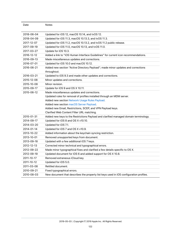| Date       | <b>Notes</b>                                                                                    |  |
|------------|-------------------------------------------------------------------------------------------------|--|
|            |                                                                                                 |  |
| 2018-06-04 | Updated for iOS 12, macOS 10.14, and tvOS 12.                                                   |  |
| 2018-04-09 | Updated for iOS 11.3, macOS 10.13.3, and tvOS 11.3.                                             |  |
| 2017-12-07 | Updated for iOS 11.2, macOS 10.13.2, and tvOS 11.2 public release.                              |  |
| 2017-09-19 | Updated for iOS 11.0, macOS 10.13, and tvOS 11.0.                                               |  |
| 2017-03-27 | Update for iOS 10.3.                                                                            |  |
| 2016-12-12 | Added a link to "iOS Human Interface Guidelines" for current icon recommendations.              |  |
| 2016-09-13 | Made miscellaneous updates and corrections.                                                     |  |
| 2016-07-01 | Updated for iOS 10.0 and macOS 10.12.                                                           |  |
| 2016-06-21 | Added new section "Active Directory Payload"; made minor updates and corrections<br>throughout. |  |
| 2016-03-21 | Updated to iOS 9.3 and made other updates and corrections.                                      |  |
| 2015-12-08 | Minor updates and corrections.                                                                  |  |
| 2015-10-08 | Minor revision.                                                                                 |  |
| 2015-09-17 | Update for iOS 9 and OS X 10.11.                                                                |  |
| 2015-06-12 | Made miscellaneous updates and corrections.                                                     |  |
|            | Updated rules for removal of profiles installed through an MDM server.                          |  |
|            | Added new section Network Usage Rules Payload.                                                  |  |
|            | Added new section macOS Server Payload.                                                         |  |
|            | Added new Email, Restrictions, SCEP, and VPN Payload keys.                                      |  |
|            | Clarified Web Content Filter URL matching.                                                      |  |
| 2015-01-31 | Added new keys to the Restrictions Payload and clarified managed domain terminology.            |  |
| 2014-09-17 | Updated for iOS 8 and OS X v10.10.                                                              |  |
| 2014-03-20 | Updated for iOS 7.1.                                                                            |  |
| 2014-01-14 | Updated for iOS 7 and OS X v10.9.                                                               |  |
| 2013-10-22 | Added information about the keychain syncing restriction.                                       |  |
| 2013-10-01 | Removed unsupported keys from document.                                                         |  |
| 2013-09-18 | Updated with a few additional iOS 7 keys.                                                       |  |
| 2012-12-13 | Corrected minor technical and typographical errors.                                             |  |
| 2012-09-22 | Made minor typographical fixes and clarified a few details specific to OS X.                    |  |
| 2012-09-19 | Updated document for iOS 6 and added support for OS X 10.8.                                     |  |
| 2011-10-17 | Removed extraneous iCloud key.                                                                  |  |
| 2011-10-12 | Updated for iOS 5.0.                                                                            |  |
| 2011-03-08 | Retitled document.                                                                              |  |
| 2010-09-21 | Fixed typographical errors.                                                                     |  |
| 2010-08-03 | New document that describes the property list keys used in iOS configuration profiles.          |  |